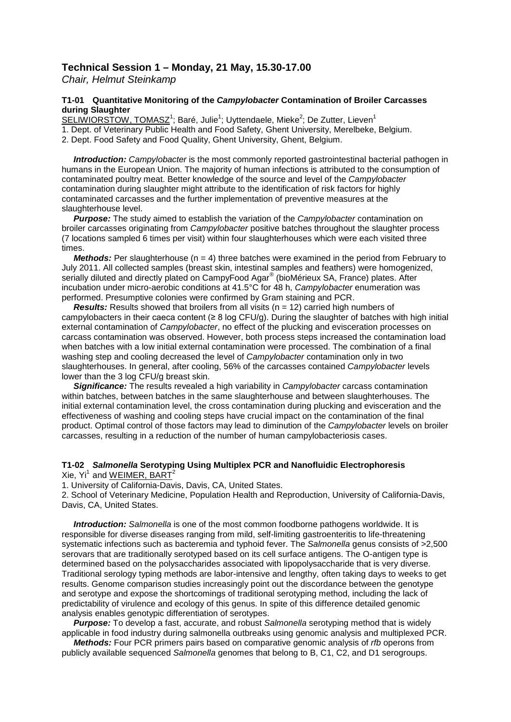## **Technical Session 1 – Monday, 21 May, 15.30-17.00**

*Chair, Helmut Steinkamp*

## **T1-01 Quantitative Monitoring of the** *Campylobacter* **Contamination of Broiler Carcasses during Slaughter**

SELIWIORSTOW, TOMASZ<sup>1</sup>; Baré, Julie<sup>1</sup>; Uyttendaele, Mieke<sup>2</sup>; De Zutter, Lieven<sup>1</sup> 1. Dept. of Veterinary Public Health and Food Safety, Ghent University, Merelbeke, Belgium.

2. Dept. Food Safety and Food Quality, Ghent University, Ghent, Belgium.

 *Introduction: Campylobacter* is the most commonly reported gastrointestinal bacterial pathogen in humans in the European Union. The majority of human infections is attributed to the consumption of contaminated poultry meat. Better knowledge of the source and level of the *Campylobacter* contamination during slaughter might attribute to the identification of risk factors for highly contaminated carcasses and the further implementation of preventive measures at the slaughterhouse level.

 *Purpose:* The study aimed to establish the variation of the *Campylobacter* contamination on broiler carcasses originating from *Campylobacter* positive batches throughout the slaughter process (7 locations sampled 6 times per visit) within four slaughterhouses which were each visited three times.

*Methods:* Per slaughterhouse (n = 4) three batches were examined in the period from February to July 2011. All collected samples (breast skin, intestinal samples and feathers) were homogenized, serially diluted and directly plated on CampyFood Agar<sup>®</sup> (bioMérieux SA, France) plates. After incubation under micro-aerobic conditions at 41.5°C for 48 h, *Campylobacter* enumeration was performed. Presumptive colonies were confirmed by Gram staining and PCR.

*Results:* Results showed that broilers from all visits (n = 12) carried high numbers of campylobacters in their caeca content ( $\geq 8$  log CFU/g). During the slaughter of batches with high initial external contamination of *Campylobacter*, no effect of the plucking and evisceration processes on carcass contamination was observed. However, both process steps increased the contamination load when batches with a low initial external contamination were processed. The combination of a final washing step and cooling decreased the level of *Campylobacter* contamination only in two slaughterhouses. In general, after cooling, 56% of the carcasses contained *Campylobacter* levels lower than the 3 log CFU/g breast skin.

 *Significance:* The results revealed a high variability in *Campylobacter* carcass contamination within batches, between batches in the same slaughterhouse and between slaughterhouses. The initial external contamination level, the cross contamination during plucking and evisceration and the effectiveness of washing and cooling steps have crucial impact on the contamination of the final product. Optimal control of those factors may lead to diminution of the *Campylobacter* levels on broiler carcasses, resulting in a reduction of the number of human campylobacteriosis cases.

## **T1-02** *Salmonella* **Serotyping Using Multiplex PCR and Nanofluidic Electrophoresis** Xie,  $Yi^1$  and WEIMER, BART<sup>2</sup>

1. University of California-Davis, Davis, CA, United States.

2. School of Veterinary Medicine, Population Health and Reproduction, University of California-Davis, Davis, CA, United States.

 *Introduction: Salmonella* is one of the most common foodborne pathogens worldwide. It is responsible for diverse diseases ranging from mild, self-limiting gastroenteritis to life-threatening systematic infections such as bacteremia and typhoid fever. The *Salmonella* genus consists of >2,500 serovars that are traditionally serotyped based on its cell surface antigens. The O-antigen type is determined based on the polysaccharides associated with lipopolysaccharide that is very diverse. Traditional serology typing methods are labor-intensive and lengthy, often taking days to weeks to get results. Genome comparison studies increasingly point out the discordance between the genotype and serotype and expose the shortcomings of traditional serotyping method, including the lack of predictability of virulence and ecology of this genus. In spite of this difference detailed genomic analysis enables genotypic differentiation of serotypes.

 *Purpose:* To develop a fast, accurate, and robust *Salmonella* serotyping method that is widely applicable in food industry during salmonella outbreaks using genomic analysis and multiplexed PCR.

 *Methods:* Four PCR primers pairs based on comparative genomic analysis of *rfb* operons from publicly available sequenced *Salmonella* genomes that belong to B, C1, C2, and D1 serogroups.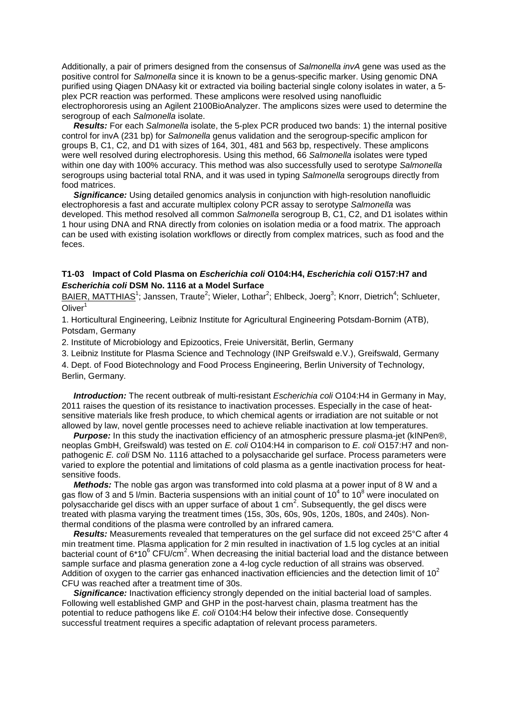Additionally, a pair of primers designed from the consensus of *Salmonella invA* gene was used as the positive control for *Salmonella* since it is known to be a genus-specific marker. Using genomic DNA purified using Qiagen DNAasy kit or extracted via boiling bacterial single colony isolates in water, a 5 plex PCR reaction was performed. These amplicons were resolved using nanofluidic electrophororesis using an Agilent 2100BioAnalyzer. The amplicons sizes were used to determine the serogroup of each *Salmonella* isolate.

 *Results:* For each *Salmonella* isolate, the 5-plex PCR produced two bands: 1) the internal positive control for invA (231 bp) for *Salmonella* genus validation and the serogroup-specific amplicon for groups B, C1, C2, and D1 with sizes of 164, 301, 481 and 563 bp, respectively. These amplicons were well resolved during electrophoresis. Using this method, 66 *Salmonella* isolates were typed within one day with 100% accuracy. This method was also successfully used to serotype *Salmonella* serogroups using bacterial total RNA, and it was used in typing *Salmonella* serogroups directly from food matrices.

*Significance:* Using detailed genomics analysis in conjunction with high-resolution nanofluidic electrophoresis a fast and accurate multiplex colony PCR assay to serotype *Salmonella* was developed. This method resolved all common *Salmonella* serogroup B, C1, C2, and D1 isolates within 1 hour using DNA and RNA directly from colonies on isolation media or a food matrix. The approach can be used with existing isolation workflows or directly from complex matrices, such as food and the feces.

#### **T1-03 Impact of Cold Plasma on** *Escherichia coli* **O104:H4,** *Escherichia coli* **O157:H7 and**  *Escherichia coli* **DSM No. 1116 at a Model Surface**

BAIER, MATTHIAS<sup>1</sup>; Janssen, Traute<sup>2</sup>; Wieler, Lothar<sup>2</sup>; Ehlbeck, Joerg<sup>3</sup>; Knorr, Dietrich<sup>4</sup>; Schlueter,  $O$ liver<sup>1</sup>

1. Horticultural Engineering, Leibniz Institute for Agricultural Engineering Potsdam-Bornim (ATB), Potsdam, Germany

2. Institute of Microbiology and Epizootics, Freie Universität, Berlin, Germany

3. Leibniz Institute for Plasma Science and Technology (INP Greifswald e.V.), Greifswald, Germany

4. Dept. of Food Biotechnology and Food Process Engineering, Berlin University of Technology, Berlin, Germany.

 *Introduction:* The recent outbreak of multi-resistant *Escherichia coli* O104:H4 in Germany in May, 2011 raises the question of its resistance to inactivation processes. Especially in the case of heatsensitive materials like fresh produce, to which chemical agents or irradiation are not suitable or not allowed by law, novel gentle processes need to achieve reliable inactivation at low temperatures.

 *Purpose:* In this study the inactivation efficiency of an atmospheric pressure plasma-jet (kINPen®, neoplas GmbH, Greifswald) was tested on *E. coli* O104:H4 in comparison to *E. coli* O157:H7 and nonpathogenic *E. coli* DSM No. 1116 attached to a polysaccharide gel surface. Process parameters were varied to explore the potential and limitations of cold plasma as a gentle inactivation process for heatsensitive foods.

 *Methods:* The noble gas argon was transformed into cold plasma at a power input of 8 W and a gas flow of 3 and 5 l/min. Bacteria suspensions with an initial count of  $10^4$  to  $10^8$  were inoculated on polysaccharide gel discs with an upper surface of about 1  $cm<sup>2</sup>$ . Subsequently, the gel discs were treated with plasma varying the treatment times (15s, 30s, 60s, 90s, 120s, 180s, and 240s). Nonthermal conditions of the plasma were controlled by an infrared camera.

 *Results:* Measurements revealed that temperatures on the gel surface did not exceed 25°C after 4 min treatment time. Plasma application for 2 min resulted in inactivation of 1.5 log cycles at an initial bacterial count of 6\*10 $^6$  CFU/cm<sup>2</sup>. When decreasing the initial bacterial load and the distance between sample surface and plasma generation zone a 4-log cycle reduction of all strains was observed. Addition of oxygen to the carrier gas enhanced inactivation efficiencies and the detection limit of  $10^2$ CFU was reached after a treatment time of 30s.

Significance: Inactivation efficiency strongly depended on the initial bacterial load of samples. Following well established GMP and GHP in the post-harvest chain, plasma treatment has the potential to reduce pathogens like *E. coli* O104:H4 below their infective dose. Consequently successful treatment requires a specific adaptation of relevant process parameters.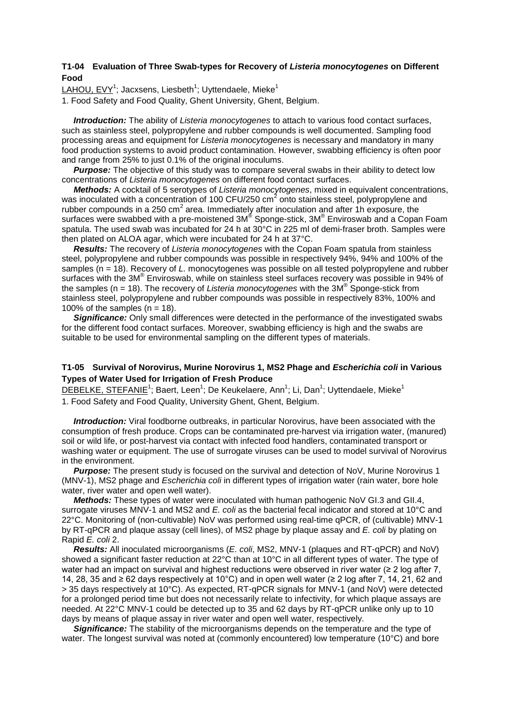#### **T1-04 Evaluation of Three Swab-types for Recovery of** *Listeria monocytogenes* **on Different Food**

LAHOU, EVY<sup>1</sup>; Jacxsens, Liesbeth<sup>1</sup>; Uyttendaele, Mieke<sup>1</sup>

1. Food Safety and Food Quality, Ghent University, Ghent, Belgium.

 *Introduction:* The ability of *Listeria monocytogenes* to attach to various food contact surfaces, such as stainless steel, polypropylene and rubber compounds is well documented. Sampling food processing areas and equipment for *Listeria monocytogenes* is necessary and mandatory in many food production systems to avoid product contamination. However, swabbing efficiency is often poor and range from 25% to just 0.1% of the original inoculums.

**Purpose:** The objective of this study was to compare several swabs in their ability to detect low concentrations of *Listeria monocytogenes* on different food contact surfaces.

 *Methods:* A cocktail of 5 serotypes of *Listeria monocytogenes*, mixed in equivalent concentrations, was inoculated with a concentration of 100 CFU/250  $\text{cm}^2$  onto stainless steel, polypropylene and rubber compounds in a 250  $\text{cm}^2$  area. Immediately after inoculation and after 1h exposure, the surfaces were swabbed with a pre-moistened 3M® Sponge-stick, 3M® Enviroswab and a Copan Foam spatula. The used swab was incubated for 24 h at 30°C in 225 ml of demi-fraser broth. Samples were then plated on ALOA agar, which were incubated for 24 h at 37°C.

 *Results:* The recovery of *Listeria monocytogenes* with the Copan Foam spatula from stainless steel, polypropylene and rubber compounds was possible in respectively 94%, 94% and 100% of the samples (n = 18). Recovery of *L.* monocytogenes was possible on all tested polypropylene and rubber surfaces with the 3M® Enviroswab, while on stainless steel surfaces recovery was possible in 94% of the samples (n = 18). The recovery of *Listeria monocytogenes* with the 3M® Sponge-stick from stainless steel, polypropylene and rubber compounds was possible in respectively 83%, 100% and 100% of the samples  $(n = 18)$ .

*Significance:* Only small differences were detected in the performance of the investigated swabs for the different food contact surfaces. Moreover, swabbing efficiency is high and the swabs are suitable to be used for environmental sampling on the different types of materials.

## **T1-05 Survival of Norovirus, Murine Norovirus 1, MS2 Phage and** *Escherichia coli* **in Various Types of Water Used for Irrigation of Fresh Produce**

<u>DEBELKE, STEFANIE</u><sup>1</sup>; Baert, Leen<sup>1</sup>; De Keukelaere, Ann<sup>1</sup>; Li, Dan<sup>1</sup>; Uyttendaele, Mieke<sup>1</sup> 1. Food Safety and Food Quality, University Ghent, Ghent, Belgium.

 *Introduction:* Viral foodborne outbreaks, in particular Norovirus, have been associated with the consumption of fresh produce. Crops can be contaminated pre-harvest via irrigation water, (manured) soil or wild life, or post-harvest via contact with infected food handlers, contaminated transport or washing water or equipment. The use of surrogate viruses can be used to model survival of Norovirus in the environment.

**Purpose:** The present study is focused on the survival and detection of NoV, Murine Norovirus 1 (MNV-1), MS2 phage and *Escherichia coli* in different types of irrigation water (rain water, bore hole water, river water and open well water).

 *Methods:* These types of water were inoculated with human pathogenic NoV GI.3 and GII.4, surrogate viruses MNV-1 and MS2 and *E. coli* as the bacterial fecal indicator and stored at 10°C and 22°C. Monitoring of (non-cultivable) NoV was performed using real-time qPCR, of (cultivable) MNV-1 by RT-qPCR and plaque assay (cell lines), of MS2 phage by plaque assay and *E. coli* by plating on Rapid *E. coli* 2.

 *Results:* All inoculated microorganisms (*E. coli*, MS2, MNV-1 (plaques and RT-qPCR) and NoV) showed a significant faster reduction at 22°C than at 10°C in all different types of water. The type of water had an impact on survival and highest reductions were observed in river water (≥ 2 log after 7, 14, 28, 35 and ≥ 62 days respectively at 10°C) and in open well water (≥ 2 log after 7, 14, 21, 62 and > 35 days respectively at 10°C). As expected, RT-qPCR signals for MNV-1 (and NoV) were detected for a prolonged period time but does not necessarily relate to infectivity, for which plaque assays are needed. At 22°C MNV-1 could be detected up to 35 and 62 days by RT-qPCR unlike only up to 10 days by means of plaque assay in river water and open well water, respectively.

 *Significance:* The stability of the microorganisms depends on the temperature and the type of water. The longest survival was noted at (commonly encountered) low temperature (10°C) and bore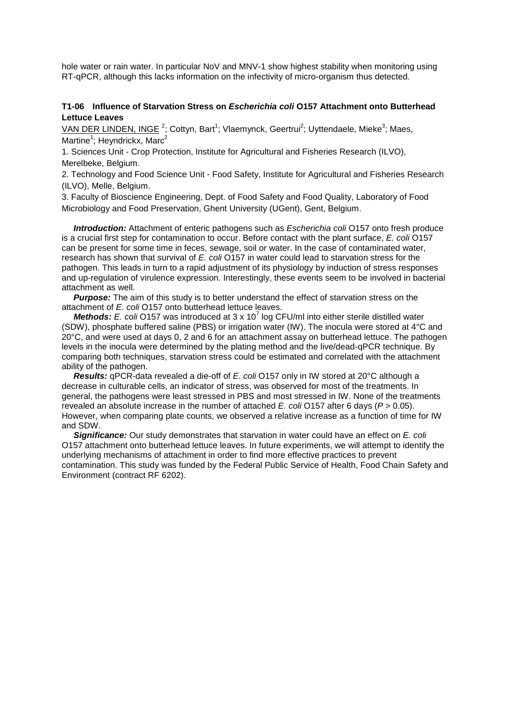hole water or rain water. In particular NoV and MNV-1 show highest stability when monitoring using RT-qPCR, although this lacks information on the infectivity of micro-organism thus detected.

#### **T1-06 Influence of Starvation Stress on** *Escherichia coli* **O157 Attachment onto Butterhead Lettuce Leaves**

VAN DER LINDEN, INGE<sup>2</sup>; Cottyn, Bart<sup>1</sup>; Vlaemynck, Geertrui<sup>2</sup>; Uyttendaele, Mieke<sup>3</sup>; Maes, Martine<sup>1</sup>; Heyndrickx, Marc<sup>2</sup>

1. Sciences Unit - Crop Protection, Institute for Agricultural and Fisheries Research (ILVO), Merelbeke, Belgium.

2. Technology and Food Science Unit - Food Safety, Institute for Agricultural and Fisheries Research (ILVO), Melle, Belgium.

3. Faculty of Bioscience Engineering, Dept. of Food Safety and Food Quality, Laboratory of Food Microbiology and Food Preservation, Ghent University (UGent), Gent, Belgium.

 *Introduction:* Attachment of enteric pathogens such as *Escherichia coli* O157 onto fresh produce is a crucial first step for contamination to occur. Before contact with the plant surface, *E. coli* O157 can be present for some time in feces, sewage, soil or water. In the case of contaminated water, research has shown that survival of *E. coli* O157 in water could lead to starvation stress for the pathogen. This leads in turn to a rapid adjustment of its physiology by induction of stress responses and up-regulation of virulence expression. Interestingly, these events seem to be involved in bacterial attachment as well.

**Purpose:** The aim of this study is to better understand the effect of starvation stress on the attachment of *E. coli* O157 onto butterhead lettuce leaves.

*Methods: E. coli* O157 was introduced at 3 x 10<sup>7</sup> log CFU/ml into either sterile distilled water (SDW), phosphate buffered saline (PBS) or irrigation water (IW). The inocula were stored at 4°C and 20°C, and were used at days 0, 2 and 6 for an attachment assay on butterhead lettuce. The pathogen levels in the inocula were determined by the plating method and the live/dead-qPCR technique. By comparing both techniques, starvation stress could be estimated and correlated with the attachment ability of the pathogen.

 *Results:* qPCR-data revealed a die-off of *E. coli* O157 only in IW stored at 20°C although a decrease in culturable cells, an indicator of stress, was observed for most of the treatments. In general, the pathogens were least stressed in PBS and most stressed in IW. None of the treatments revealed an absolute increase in the number of attached *E. coli* O157 after 6 days (*P* > 0.05). However, when comparing plate counts, we observed a relative increase as a function of time for IW and SDW.

 *Significance:* Our study demonstrates that starvation in water could have an effect on *E. coli* O157 attachment onto butterhead lettuce leaves. In future experiments, we will attempt to identify the underlying mechanisms of attachment in order to find more effective practices to prevent contamination. This study was funded by the Federal Public Service of Health, Food Chain Safety and Environment (contract RF 6202).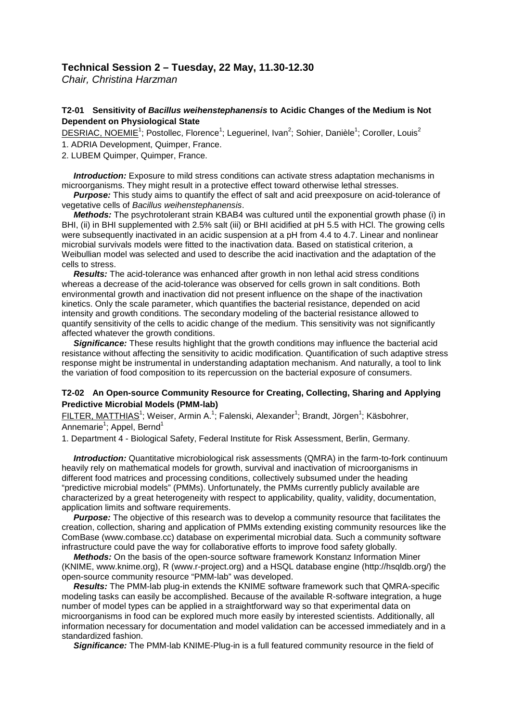## **Technical Session 2 – Tuesday, 22 May, 11.30-12.30**

*Chair, Christina Harzman*

## **T2-01 Sensitivity of** *Bacillus weihenstephanensis* **to Acidic Changes of the Medium is Not Dependent on Physiological State**

DESRIAC, NOEMIE<sup>1</sup>; Postollec, Florence<sup>1</sup>; Leguerinel, Ivan<sup>2</sup>; Sohier, Danièle<sup>1</sup>; Coroller, Louis<sup>2</sup> 1. ADRIA Development, Quimper, France.

2. LUBEM Quimper, Quimper, France.

*Introduction:* Exposure to mild stress conditions can activate stress adaptation mechanisms in microorganisms. They might result in a protective effect toward otherwise lethal stresses.

*Purpose:* This study aims to quantify the effect of salt and acid preexposure on acid-tolerance of vegetative cells of *Bacillus weihenstephanensis*.

 *Methods:* The psychrotolerant strain KBAB4 was cultured until the exponential growth phase (i) in BHI, (ii) in BHI supplemented with 2.5% salt (iii) or BHI acidified at pH 5.5 with HCl. The growing cells were subsequently inactivated in an acidic suspension at a pH from 4.4 to 4.7. Linear and nonlinear microbial survivals models were fitted to the inactivation data. Based on statistical criterion, a Weibullian model was selected and used to describe the acid inactivation and the adaptation of the cells to stress.

 *Results:* The acid-tolerance was enhanced after growth in non lethal acid stress conditions whereas a decrease of the acid-tolerance was observed for cells grown in salt conditions. Both environmental growth and inactivation did not present influence on the shape of the inactivation kinetics. Only the scale parameter, which quantifies the bacterial resistance, depended on acid intensity and growth conditions. The secondary modeling of the bacterial resistance allowed to quantify sensitivity of the cells to acidic change of the medium. This sensitivity was not significantly affected whatever the growth conditions.

 *Significance:* These results highlight that the growth conditions may influence the bacterial acid resistance without affecting the sensitivity to acidic modification. Quantification of such adaptive stress response might be instrumental in understanding adaptation mechanism. And naturally, a tool to link the variation of food composition to its repercussion on the bacterial exposure of consumers.

## **T2-02 An Open-source Community Resource for Creating, Collecting, Sharing and Applying Predictive Microbial Models (PMM-lab)**

<u>FILTER, MATTHIAS</u><sup>1</sup>; Weiser, Armin A.<sup>1</sup>; Falenski, Alexander<sup>1</sup>; Brandt, Jörgen<sup>1</sup>; Käsbohrer, Annemarie<sup>1</sup>; Appel, Bernd<sup>1</sup>

1. Department 4 - Biological Safety, Federal Institute for Risk Assessment, Berlin, Germany.

 *Introduction:* Quantitative microbiological risk assessments (QMRA) in the farm-to-fork continuum heavily rely on mathematical models for growth, survival and inactivation of microorganisms in different food matrices and processing conditions, collectively subsumed under the heading "predictive microbial models" (PMMs). Unfortunately, the PMMs currently publicly available are characterized by a great heterogeneity with respect to applicability, quality, validity, documentation, application limits and software requirements.

**Purpose:** The objective of this research was to develop a community resource that facilitates the creation, collection, sharing and application of PMMs extending existing community resources like the ComBase (www.combase.cc) database on experimental microbial data. Such a community software infrastructure could pave the way for collaborative efforts to improve food safety globally.

 *Methods:* On the basis of the open-source software framework Konstanz Information Miner (KNIME, www.knime.org), R (www.r-project.org) and a HSQL database engine (http://hsqldb.org/) the open-source community resource "PMM-lab" was developed.

 *Results:* The PMM-lab plug-in extends the KNIME software framework such that QMRA-specific modeling tasks can easily be accomplished. Because of the available R-software integration, a huge number of model types can be applied in a straightforward way so that experimental data on microorganisms in food can be explored much more easily by interested scientists. Additionally, all information necessary for documentation and model validation can be accessed immediately and in a standardized fashion.

 *Significance:* The PMM-lab KNIME-Plug-in is a full featured community resource in the field of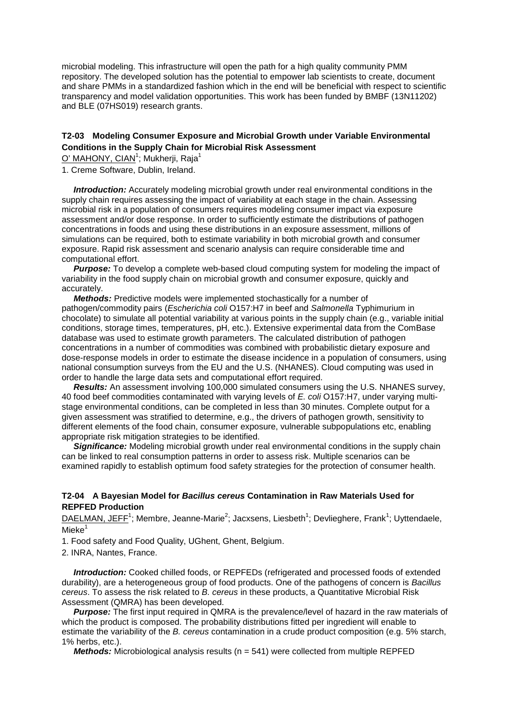microbial modeling. This infrastructure will open the path for a high quality community PMM repository. The developed solution has the potential to empower lab scientists to create, document and share PMMs in a standardized fashion which in the end will be beneficial with respect to scientific transparency and model validation opportunities. This work has been funded by BMBF (13N11202) and BLE (07HS019) research grants.

## **T2-03 Modeling Consumer Exposure and Microbial Growth under Variable Environmental Conditions in the Supply Chain for Microbial Risk Assessment**

<u>O' MAHONY, CIAN<sup>1</sup>; Mukherji, Raja<sup>1</sup></u>

1. Creme Software, Dublin, Ireland.

*Introduction:* Accurately modeling microbial growth under real environmental conditions in the supply chain requires assessing the impact of variability at each stage in the chain. Assessing microbial risk in a population of consumers requires modeling consumer impact via exposure assessment and/or dose response. In order to sufficiently estimate the distributions of pathogen concentrations in foods and using these distributions in an exposure assessment, millions of simulations can be required, both to estimate variability in both microbial growth and consumer exposure. Rapid risk assessment and scenario analysis can require considerable time and computational effort.

*Purpose:* To develop a complete web-based cloud computing system for modeling the impact of variability in the food supply chain on microbial growth and consumer exposure, quickly and accurately.

 *Methods:* Predictive models were implemented stochastically for a number of pathogen/commodity pairs (*Escherichia coli* O157:H7 in beef and *Salmonella* Typhimurium in chocolate) to simulate all potential variability at various points in the supply chain (e.g., variable initial conditions, storage times, temperatures, pH, etc.). Extensive experimental data from the ComBase database was used to estimate growth parameters. The calculated distribution of pathogen concentrations in a number of commodities was combined with probabilistic dietary exposure and dose-response models in order to estimate the disease incidence in a population of consumers, using national consumption surveys from the EU and the U.S. (NHANES). Cloud computing was used in order to handle the large data sets and computational effort required.

 *Results:* An assessment involving 100,000 simulated consumers using the U.S. NHANES survey, 40 food beef commodities contaminated with varying levels of *E. coli* O157:H7, under varying multistage environmental conditions, can be completed in less than 30 minutes. Complete output for a given assessment was stratified to determine, e.g., the drivers of pathogen growth, sensitivity to different elements of the food chain, consumer exposure, vulnerable subpopulations etc, enabling appropriate risk mitigation strategies to be identified.

**Significance:** Modeling microbial growth under real environmental conditions in the supply chain can be linked to real consumption patterns in order to assess risk. Multiple scenarios can be examined rapidly to establish optimum food safety strategies for the protection of consumer health.

#### **T2-04 A Bayesian Model for** *Bacillus cereus* **Contamination in Raw Materials Used for REPFED Production**

DAELMAN, JEFF<sup>1</sup>; Membre, Jeanne-Marie<sup>2</sup>; Jacxsens, Liesbeth<sup>1</sup>; Devlieghere, Frank<sup>1</sup>; Uyttendaele,  $Mieke<sup>1</sup>$ 

1. Food safety and Food Quality, UGhent, Ghent, Belgium.

2. INRA, Nantes, France.

 *Introduction:* Cooked chilled foods, or REPFEDs (refrigerated and processed foods of extended durability), are a heterogeneous group of food products. One of the pathogens of concern is *Bacillus cereus*. To assess the risk related to *B. cereus* in these products, a Quantitative Microbial Risk Assessment (QMRA) has been developed.

 *Purpose:* The first input required in QMRA is the prevalence/level of hazard in the raw materials of which the product is composed. The probability distributions fitted per ingredient will enable to estimate the variability of the *B. cereus* contamination in a crude product composition (e.g. 5% starch, 1% herbs, etc.).

 *Methods:* Microbiological analysis results (n = 541) were collected from multiple REPFED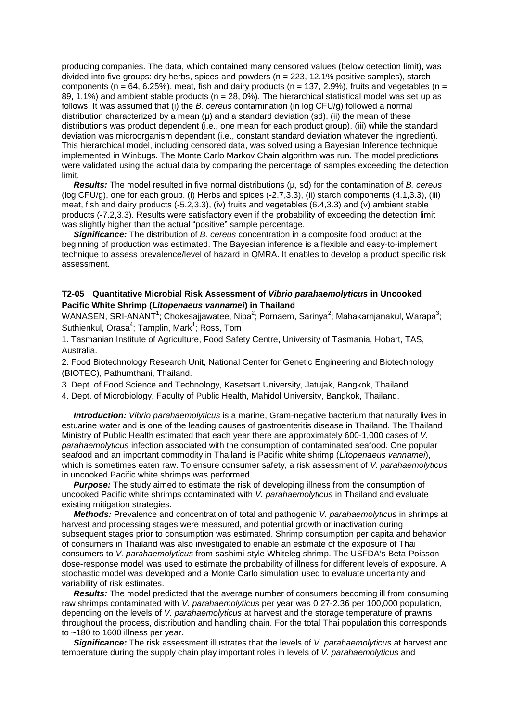producing companies. The data, which contained many censored values (below detection limit), was divided into five groups: dry herbs, spices and powders ( $n = 223$ , 12.1% positive samples), starch components (n =  $64, 6.25\%$ ), meat, fish and dairy products (n = 137, 2.9%), fruits and vegetables (n = 89, 1.1%) and ambient stable products ( $n = 28$ , 0%). The hierarchical statistical model was set up as follows. It was assumed that (i) the *B. cereus* contamination (in log CFU/g) followed a normal distribution characterized by a mean  $(\mu)$  and a standard deviation (sd), (ii) the mean of these distributions was product dependent (i.e., one mean for each product group), (iii) while the standard deviation was microorganism dependent (i.e., constant standard deviation whatever the ingredient). This hierarchical model, including censored data, was solved using a Bayesian Inference technique implemented in Winbugs. The Monte Carlo Markov Chain algorithm was run. The model predictions were validated using the actual data by comparing the percentage of samples exceeding the detection limit.

 *Results:* The model resulted in five normal distributions (µ, sd) for the contamination of *B. cereus* (log CFU/g), one for each group. (i) Herbs and spices (-2.7,3.3), (ii) starch components (4.1,3.3), (iii) meat, fish and dairy products (-5.2,3.3), (iv) fruits and vegetables (6.4,3.3) and (v) ambient stable products (-7.2,3.3). Results were satisfactory even if the probability of exceeding the detection limit was slightly higher than the actual "positive" sample percentage.

 *Significance:* The distribution of *B. cereus* concentration in a composite food product at the beginning of production was estimated. The Bayesian inference is a flexible and easy-to-implement technique to assess prevalence/level of hazard in QMRA. It enables to develop a product specific risk assessment.

#### **T2-05 Quantitative Microbial Risk Assessment of** *Vibrio parahaemolyticus* **in Uncooked Pacific White Shrimp (***Litopenaeus vannamei***) in Thailand**

 $\textsf{WANASEN}, \textsf{SRI-ANANT}^1$ ; Chokesajjawatee, Nipa<sup>2</sup>; Pornaem, Sarinya<sup>2</sup>; Mahakarnjanakul, Warapa<sup>3</sup>; Suthienkul, Orasa<sup>4</sup>; Tamplin, Mark<sup>1</sup>; Ross, Tom<sup>1</sup>

1. Tasmanian Institute of Agriculture, Food Safety Centre, University of Tasmania, Hobart, TAS, Australia.

2. Food Biotechnology Research Unit, National Center for Genetic Engineering and Biotechnology (BIOTEC), Pathumthani, Thailand.

3. Dept. of Food Science and Technology, Kasetsart University, Jatujak, Bangkok, Thailand.

4. Dept. of Microbiology, Faculty of Public Health, Mahidol University, Bangkok, Thailand.

 *Introduction: Vibrio parahaemolyticus* is a marine, Gram-negative bacterium that naturally lives in estuarine water and is one of the leading causes of gastroenteritis disease in Thailand. The Thailand Ministry of Public Health estimated that each year there are approximately 600-1,000 cases of *V. parahaemolyticus* infection associated with the consumption of contaminated seafood. One popular seafood and an important commodity in Thailand is Pacific white shrimp (*Litopenaeus vannamei*), which is sometimes eaten raw. To ensure consumer safety, a risk assessment of *V. parahaemolyticus* in uncooked Pacific white shrimps was performed.

**Purpose:** The study aimed to estimate the risk of developing illness from the consumption of uncooked Pacific white shrimps contaminated with *V. parahaemolyticus* in Thailand and evaluate existing mitigation strategies.

 *Methods:* Prevalence and concentration of total and pathogenic *V. parahaemolyticus* in shrimps at harvest and processing stages were measured, and potential growth or inactivation during subsequent stages prior to consumption was estimated. Shrimp consumption per capita and behavior of consumers in Thailand was also investigated to enable an estimate of the exposure of Thai consumers to *V. parahaemolyticus* from sashimi-style Whiteleg shrimp. The USFDA's Beta-Poisson dose-response model was used to estimate the probability of illness for different levels of exposure. A stochastic model was developed and a Monte Carlo simulation used to evaluate uncertainty and variability of risk estimates.

 *Results:* The model predicted that the average number of consumers becoming ill from consuming raw shrimps contaminated with *V. parahaemolyticus* per year was 0.27-2.36 per 100,000 population, depending on the levels of *V. parahaemolyticus* at harvest and the storage temperature of prawns throughout the process, distribution and handling chain. For the total Thai population this corresponds to ~180 to 1600 illness per year.

 *Significance:* The risk assessment illustrates that the levels of *V. parahaemolyticus* at harvest and temperature during the supply chain play important roles in levels of *V. parahaemolyticus* and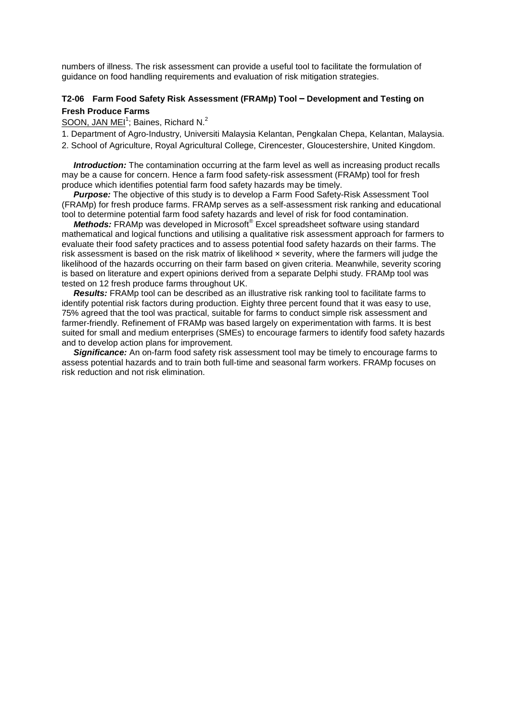numbers of illness. The risk assessment can provide a useful tool to facilitate the formulation of guidance on food handling requirements and evaluation of risk mitigation strategies.

## **T2-06 Farm Food Safety Risk Assessment (FRAMp) Tool – Development and Testing on Fresh Produce Farms**

SOON, JAN MEI<sup>1</sup>; Baines, Richard N.<sup>2</sup>

- 1. Department of Agro-Industry, Universiti Malaysia Kelantan, Pengkalan Chepa, Kelantan, Malaysia.
- 2. School of Agriculture, Royal Agricultural College, Cirencester, Gloucestershire, United Kingdom.

*Introduction:* The contamination occurring at the farm level as well as increasing product recalls may be a cause for concern. Hence a farm food safety-risk assessment (FRAMp) tool for fresh produce which identifies potential farm food safety hazards may be timely.

 *Purpose:* The objective of this study is to develop a Farm Food Safety-Risk Assessment Tool (FRAMp) for fresh produce farms. FRAMp serves as a self-assessment risk ranking and educational tool to determine potential farm food safety hazards and level of risk for food contamination.

 *Methods:* FRAMp was developed in Microsoft® Excel spreadsheet software using standard mathematical and logical functions and utilising a qualitative risk assessment approach for farmers to evaluate their food safety practices and to assess potential food safety hazards on their farms. The risk assessment is based on the risk matrix of likelihood  $\times$  severity, where the farmers will judge the likelihood of the hazards occurring on their farm based on given criteria. Meanwhile, severity scoring is based on literature and expert opinions derived from a separate Delphi study. FRAMp tool was tested on 12 fresh produce farms throughout UK.

 *Results:* FRAMp tool can be described as an illustrative risk ranking tool to facilitate farms to identify potential risk factors during production. Eighty three percent found that it was easy to use, 75% agreed that the tool was practical, suitable for farms to conduct simple risk assessment and farmer-friendly. Refinement of FRAMp was based largely on experimentation with farms. It is best suited for small and medium enterprises (SMEs) to encourage farmers to identify food safety hazards and to develop action plans for improvement.

 *Significance:* An on-farm food safety risk assessment tool may be timely to encourage farms to assess potential hazards and to train both full-time and seasonal farm workers. FRAMp focuses on risk reduction and not risk elimination.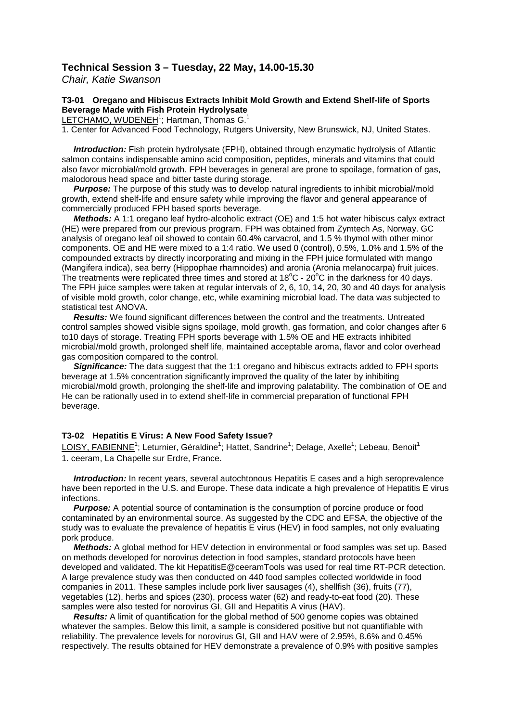## **Technical Session 3 – Tuesday, 22 May, 14.00-15.30**

*Chair, Katie Swanson*

## **T3-01 Oregano and Hibiscus Extracts Inhibit Mold Growth and Extend Shelf-life of Sports Beverage Made with Fish Protein Hydrolysate**

LETCHAMO, WUDENEH<sup>1</sup>; Hartman, Thomas G.<sup>1</sup>

1. Center for Advanced Food Technology, Rutgers University, New Brunswick, NJ, United States.

 *Introduction:* Fish protein hydrolysate (FPH), obtained through enzymatic hydrolysis of Atlantic salmon contains indispensable amino acid composition, peptides, minerals and vitamins that could also favor microbial/mold growth. FPH beverages in general are prone to spoilage, formation of gas, malodorous head space and bitter taste during storage.

 *Purpose:* The purpose of this study was to develop natural ingredients to inhibit microbial/mold growth, extend shelf-life and ensure safety while improving the flavor and general appearance of commercially produced FPH based sports beverage.

 *Methods:* A 1:1 oregano leaf hydro-alcoholic extract (OE) and 1:5 hot water hibiscus calyx extract (HE) were prepared from our previous program. FPH was obtained from Zymtech As, Norway. GC analysis of oregano leaf oil showed to contain 60.4% carvacrol, and 1.5 % thymol with other minor components. OE and HE were mixed to a 1:4 ratio. We used 0 (control), 0.5%, 1.0% and 1.5% of the compounded extracts by directly incorporating and mixing in the FPH juice formulated with mango (Mangifera indica), sea berry (Hippophae rhamnoides) and aronia (Aronia melanocarpa) fruit juices. The treatments were replicated three times and stored at  $18^{\circ}$ C - 20 $^{\circ}$ C in the darkness for 40 days. The FPH juice samples were taken at regular intervals of 2, 6, 10, 14, 20, 30 and 40 days for analysis of visible mold growth, color change, etc, while examining microbial load. The data was subjected to statistical test ANOVA.

 *Results:* We found significant differences between the control and the treatments. Untreated control samples showed visible signs spoilage, mold growth, gas formation, and color changes after 6 to10 days of storage. Treating FPH sports beverage with 1.5% OE and HE extracts inhibited microbial/mold growth, prolonged shelf life, maintained acceptable aroma, flavor and color overhead gas composition compared to the control.

**Significance:** The data suggest that the 1:1 oregano and hibiscus extracts added to FPH sports beverage at 1.5% concentration significantly improved the quality of the later by inhibiting microbial/mold growth, prolonging the shelf-life and improving palatability. The combination of OE and He can be rationally used in to extend shelf-life in commercial preparation of functional FPH beverage.

## **T3-02 Hepatitis E Virus: A New Food Safety Issue?**

LOISY, FABIENNE<sup>1</sup>; Leturnier, Géraldine<sup>1</sup>; Hattet, Sandrine<sup>1</sup>; Delage, Axelle<sup>1</sup>; Lebeau, Benoit<sup>1</sup> 1. ceeram, La Chapelle sur Erdre, France.

**Introduction:** In recent years, several autochtonous Hepatitis E cases and a high seroprevalence have been reported in the U.S. and Europe. These data indicate a high prevalence of Hepatitis E virus infections.

*Purpose:* A potential source of contamination is the consumption of porcine produce or food contaminated by an environmental source. As suggested by the CDC and EFSA, the objective of the study was to evaluate the prevalence of hepatitis E virus (HEV) in food samples, not only evaluating pork produce.

 *Methods:* A global method for HEV detection in environmental or food samples was set up. Based on methods developed for norovirus detection in food samples, standard protocols have been developed and validated. The kit HepatitisE@ceeramTools was used for real time RT-PCR detection. A large prevalence study was then conducted on 440 food samples collected worldwide in food companies in 2011. These samples include pork liver sausages (4), shellfish (36), fruits (77), vegetables (12), herbs and spices (230), process water (62) and ready-to-eat food (20). These samples were also tested for norovirus GI, GII and Hepatitis A virus (HAV).

*Results:* A limit of quantification for the global method of 500 genome copies was obtained whatever the samples. Below this limit, a sample is considered positive but not quantifiable with reliability. The prevalence levels for norovirus GI, GII and HAV were of 2.95%, 8.6% and 0.45% respectively. The results obtained for HEV demonstrate a prevalence of 0.9% with positive samples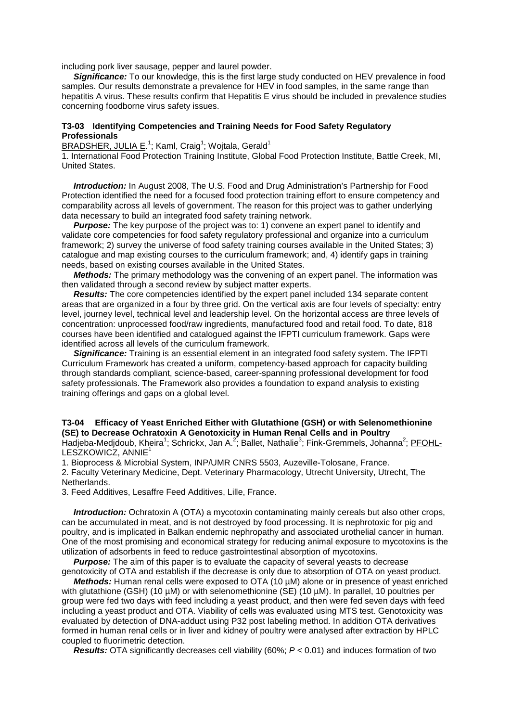including pork liver sausage, pepper and laurel powder.

**Significance:** To our knowledge, this is the first large study conducted on HEV prevalence in food samples. Our results demonstrate a prevalence for HEV in food samples, in the same range than hepatitis A virus. These results confirm that Hepatitis E virus should be included in prevalence studies concerning foodborne virus safety issues.

#### **T3-03 Identifying Competencies and Training Needs for Food Safety Regulatory Professionals**

BRADSHER, JULIA E.<sup>1</sup>; Kaml, Craig<sup>1</sup>; Wojtala, Gerald<sup>1</sup>

1. International Food Protection Training Institute, Global Food Protection Institute, Battle Creek, MI, United States.

 *Introduction:* In August 2008, The U.S. Food and Drug Administration's Partnership for Food Protection identified the need for a focused food protection training effort to ensure competency and comparability across all levels of government. The reason for this project was to gather underlying data necessary to build an integrated food safety training network.

**Purpose:** The key purpose of the project was to: 1) convene an expert panel to identify and validate core competencies for food safety regulatory professional and organize into a curriculum framework; 2) survey the universe of food safety training courses available in the United States; 3) catalogue and map existing courses to the curriculum framework; and, 4) identify gaps in training needs, based on existing courses available in the United States.

 *Methods:* The primary methodology was the convening of an expert panel. The information was then validated through a second review by subject matter experts.

 *Results:* The core competencies identified by the expert panel included 134 separate content areas that are organized in a four by three grid. On the vertical axis are four levels of specialty: entry level, journey level, technical level and leadership level. On the horizontal access are three levels of concentration: unprocessed food/raw ingredients, manufactured food and retail food. To date, 818 courses have been identified and catalogued against the IFPTI curriculum framework. Gaps were identified across all levels of the curriculum framework.

*Significance:* Training is an essential element in an integrated food safety system. The IFPTI Curriculum Framework has created a uniform, competency-based approach for capacity building through standards compliant, science-based, career-spanning professional development for food safety professionals. The Framework also provides a foundation to expand analysis to existing training offerings and gaps on a global level.

#### **T3-04 Efficacy of Yeast Enriched Either with Glutathione (GSH) or with Selenomethionine (SE) to Decrease Ochratoxin A Genotoxicity in Human Renal Cells and in Poultry** Hadjeba-Medjdoub, Kheira<sup>1</sup>; Schrickx, Jan A.<sup>2</sup>; Ballet, Nathalie<sup>3</sup>; Fink-Gremmels, Johanna<sup>2</sup>; <u>PFOHL-</u> LESZKOWICZ, ANNIE<sup>1</sup>

1. Bioprocess & Microbial System, INP/UMR CNRS 5503, Auzeville-Tolosane, France.

2. Faculty Veterinary Medicine, Dept. Veterinary Pharmacology, Utrecht University, Utrecht, The Netherlands.

3. Feed Additives, Lesaffre Feed Additives, Lille, France.

 *Introduction:* Ochratoxin A (OTA) a mycotoxin contaminating mainly cereals but also other crops, can be accumulated in meat, and is not destroyed by food processing. It is nephrotoxic for pig and poultry, and is implicated in Balkan endemic nephropathy and associated urothelial cancer in human. One of the most promising and economical strategy for reducing animal exposure to mycotoxins is the utilization of adsorbents in feed to reduce gastrointestinal absorption of mycotoxins.

**Purpose:** The aim of this paper is to evaluate the capacity of several yeasts to decrease genotoxicity of OTA and establish if the decrease is only due to absorption of OTA on yeast product.

*Methods:* Human renal cells were exposed to OTA (10 µM) alone or in presence of yeast enriched with glutathione (GSH) (10 µM) or with selenomethionine (SE) (10 µM). In parallel, 10 poultries per group were fed two days with feed including a yeast product, and then were fed seven days with feed including a yeast product and OTA. Viability of cells was evaluated using MTS test. Genotoxicity was evaluated by detection of DNA-adduct using P32 post labeling method. In addition OTA derivatives formed in human renal cells or in liver and kidney of poultry were analysed after extraction by HPLC coupled to fluorimetric detection.

 *Results:* OTA significantly decreases cell viability (60%; *P* < 0.01) and induces formation of two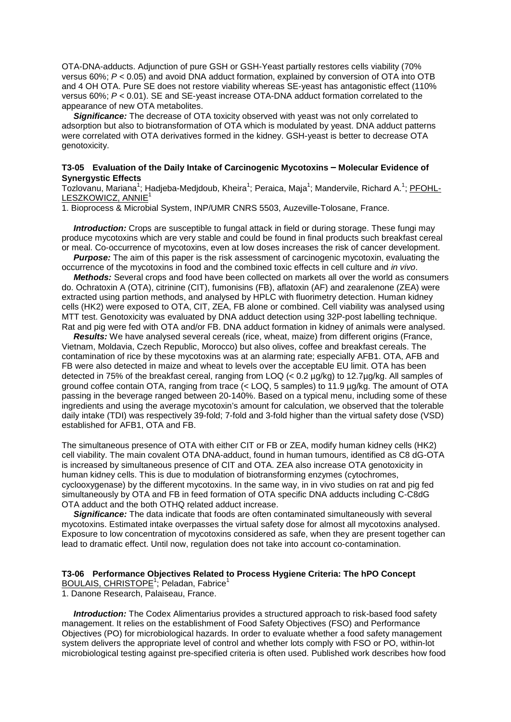OTA-DNA-adducts. Adjunction of pure GSH or GSH-Yeast partially restores cells viability (70% versus 60%; *P* < 0.05) and avoid DNA adduct formation, explained by conversion of OTA into OTB and 4 OH OTA. Pure SE does not restore viability whereas SE-yeast has antagonistic effect (110% versus 60%; *P* < 0.01). SE and SE-yeast increase OTA-DNA adduct formation correlated to the appearance of new OTA metabolites.

 *Significance:* The decrease of OTA toxicity observed with yeast was not only correlated to adsorption but also to biotransformation of OTA which is modulated by yeast. DNA adduct patterns were correlated with OTA derivatives formed in the kidney. GSH-yeast is better to decrease OTA genotoxicity.

#### **T3-05 Evaluation of the Daily Intake of Carcinogenic Mycotoxins – Molecular Evidence of Synergystic Effects**

Tozlovanu, Mariana<sup>1</sup>; Hadjeba-Medjdoub, Kheira<sup>1</sup>; Peraica, Maja<sup>1</sup>; Mandervile, Richard A.<sup>1</sup>; <u>PFOHL-</u> LESZKOWICZ, ANNIE<sup>1</sup>

1. Bioprocess & Microbial System, INP/UMR CNRS 5503, Auzeville-Tolosane, France.

 *Introduction:* Crops are susceptible to fungal attack in field or during storage. These fungi may produce mycotoxins which are very stable and could be found in final products such breakfast cereal or meal. Co-occurrence of mycotoxins, even at low doses increases the risk of cancer development.

*Purpose:* The aim of this paper is the risk assessment of carcinogenic mycotoxin, evaluating the occurrence of the mycotoxins in food and the combined toxic effects in cell culture and *in vivo*.

 *Methods:* Several crops and food have been collected on markets all over the world as consumers do. Ochratoxin A (OTA), citrinine (CIT), fumonisins (FB), aflatoxin (AF) and zearalenone (ZEA) were extracted using partion methods, and analysed by HPLC with fluorimetry detection. Human kidney cells (HK2) were exposed to OTA, CIT, ZEA, FB alone or combined. Cell viability was analysed using MTT test. Genotoxicity was evaluated by DNA adduct detection using 32P-post labelling technique. Rat and pig were fed with OTA and/or FB. DNA adduct formation in kidney of animals were analysed.

 *Results:* We have analysed several cereals (rice, wheat, maize) from different origins (France, Vietnam, Moldavia, Czech Republic, Morocco) but also olives, coffee and breakfast cereals. The contamination of rice by these mycotoxins was at an alarming rate; especially AFB1. OTA, AFB and FB were also detected in maize and wheat to levels over the acceptable EU limit. OTA has been detected in 75% of the breakfast cereal, ranging from LOQ (< 0.2 µg/kg) to 12.7µg/kg. All samples of ground coffee contain OTA, ranging from trace (< LOQ, 5 samples) to 11.9 µg/kg. The amount of OTA passing in the beverage ranged between 20-140%. Based on a typical menu, including some of these ingredients and using the average mycotoxin's amount for calculation, we observed that the tolerable daily intake (TDI) was respectively 39-fold; 7-fold and 3-fold higher than the virtual safety dose (VSD) established for AFB1, OTA and FB.

The simultaneous presence of OTA with either CIT or FB or ZEA, modify human kidney cells (HK2) cell viability. The main covalent OTA DNA-adduct, found in human tumours, identified as C8 dG-OTA is increased by simultaneous presence of CIT and OTA. ZEA also increase OTA genotoxicity in human kidney cells. This is due to modulation of biotransforming enzymes (cytochromes, cyclooxygenase) by the different mycotoxins. In the same way, in in vivo studies on rat and pig fed simultaneously by OTA and FB in feed formation of OTA specific DNA adducts including C-C8dG OTA adduct and the both OTHQ related adduct increase.

 *Significance:* The data indicate that foods are often contaminated simultaneously with several mycotoxins. Estimated intake overpasses the virtual safety dose for almost all mycotoxins analysed. Exposure to low concentration of mycotoxins considered as safe, when they are present together can lead to dramatic effect. Until now, regulation does not take into account co-contamination.

#### **T3-06 Performance Objectives Related to Process Hygiene Criteria: The hPO Concept** BOULAIS, CHRISTOPE<sup>1</sup>; Peladan, Fabrice<sup>1</sup>

1. Danone Research, Palaiseau, France.

 *Introduction:* The Codex Alimentarius provides a structured approach to risk-based food safety management. It relies on the establishment of Food Safety Objectives (FSO) and Performance Objectives (PO) for microbiological hazards. In order to evaluate whether a food safety management system delivers the appropriate level of control and whether lots comply with FSO or PO, within-lot microbiological testing against pre-specified criteria is often used. Published work describes how food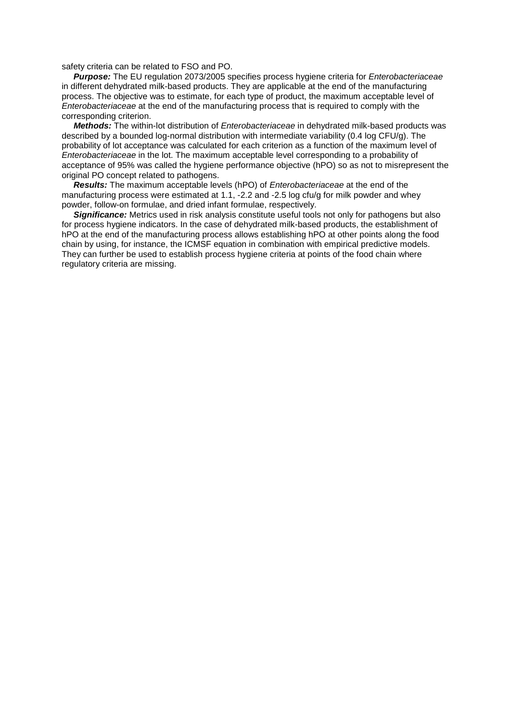safety criteria can be related to FSO and PO.

 *Purpose:* The EU regulation 2073/2005 specifies process hygiene criteria for *Enterobacteriaceae* in different dehydrated milk-based products. They are applicable at the end of the manufacturing process. The objective was to estimate, for each type of product, the maximum acceptable level of *Enterobacteriaceae* at the end of the manufacturing process that is required to comply with the corresponding criterion.

 *Methods:* The within-lot distribution of *Enterobacteriaceae* in dehydrated milk-based products was described by a bounded log-normal distribution with intermediate variability (0.4 log CFU/g). The probability of lot acceptance was calculated for each criterion as a function of the maximum level of *Enterobacteriaceae* in the lot. The maximum acceptable level corresponding to a probability of acceptance of 95% was called the hygiene performance objective (hPO) so as not to misrepresent the original PO concept related to pathogens.

 *Results:* The maximum acceptable levels (hPO) of *Enterobacteriaceae* at the end of the manufacturing process were estimated at 1.1, -2.2 and -2.5 log cfu/g for milk powder and whey powder, follow-on formulae, and dried infant formulae, respectively.

*Significance:* Metrics used in risk analysis constitute useful tools not only for pathogens but also for process hygiene indicators. In the case of dehydrated milk-based products, the establishment of hPO at the end of the manufacturing process allows establishing hPO at other points along the food chain by using, for instance, the ICMSF equation in combination with empirical predictive models. They can further be used to establish process hygiene criteria at points of the food chain where regulatory criteria are missing.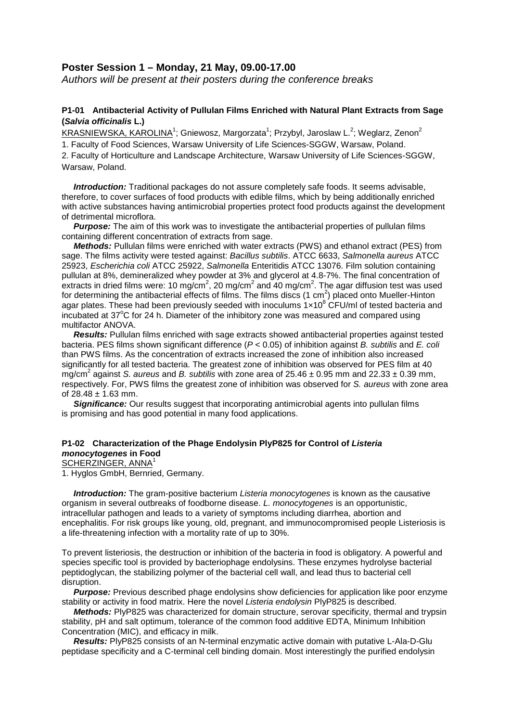## **Poster Session 1 – Monday, 21 May, 09.00-17.00**

*Authors will be present at their posters during the conference breaks*

## **P1-01 Antibacterial Activity of Pullulan Films Enriched with Natural Plant Extracts from Sage (***Salvia officinalis* **L.)**

<u>KRASNIEWSKA, KAROLINA</u><sup>1</sup>; Gniewosz, Margorzata<sup>1</sup>; Przybyl, Jaroslaw L.<sup>2</sup>; Weglarz, Zenon<sup>2</sup> 1. Faculty of Food Sciences, Warsaw University of Life Sciences-SGGW, Warsaw, Poland. 2. Faculty of Horticulture and Landscape Architecture, Warsaw University of Life Sciences-SGGW, Warsaw, Poland.

*Introduction:* Traditional packages do not assure completely safe foods. It seems advisable, therefore, to cover surfaces of food products with edible films, which by being additionally enriched with active substances having antimicrobial properties protect food products against the development of detrimental microflora.

**Purpose:** The aim of this work was to investigate the antibacterial properties of pullulan films containing different concentration of extracts from sage.

 *Methods:* Pullulan films were enriched with water extracts (PWS) and ethanol extract (PES) from sage. The films activity were tested against: *Bacillus subtilis*. ATCC 6633, *Salmonella aureus* ATCC 25923, *Escherichia coli* ATCC 25922, *Salmonella* Enteritidis ATCC 13076. Film solution containing pullulan at 8%, demineralized whey powder at 3% and glycerol at 4.8-7%. The final concentration of extracts in dried films were: 10 mg/cm<sup>2</sup>, 20 mg/cm<sup>2</sup> and 40 mg/cm<sup>2</sup>. The agar diffusion test was used for determining the antibacterial effects of films. The films discs (1 cm<sup>2</sup>) placed onto Mueller-Hinton agar plates. These had been previously seeded with inoculums  $1\times10^8$  CFU/ml of tested bacteria and incubated at 37°C for 24 h. Diameter of the inhibitory zone was measured and compared using multifactor ANOVA.

**Results:** Pullulan films enriched with sage extracts showed antibacterial properties against tested bacteria. PES films shown significant difference (*P* < 0.05) of inhibition against *B. subtilis* and *E. coli* than PWS films. As the concentration of extracts increased the zone of inhibition also increased significantly for all tested bacteria. The greatest zone of inhibition was observed for PES film at 40 mg/cm<sup>2</sup> against *S. aureus* and *B. subtilis* with zone area of  $25.46 \pm 0.95$  mm and  $22.33 \pm 0.39$  mm, respectively. For, PWS films the greatest zone of inhibition was observed for *S. aureus* with zone area of  $28.48 \pm 1.63$  mm.

**Significance:** Our results suggest that incorporating antimicrobial agents into pullulan films is promising and has good potential in many food applications.

#### **P1-02 Characterization of the Phage Endolysin PlyP825 for Control of** *Listeria monocytogenes* **in Food** SCHERZINGER, ANNA<sup>1</sup>

1. Hyglos GmbH, Bernried, Germany.

 *Introduction:* The gram-positive bacterium *Listeria monocytogenes* is known as the causative organism in several outbreaks of foodborne disease. *L. monocytogenes* is an opportunistic, intracellular pathogen and leads to a variety of symptoms including diarrhea, abortion and encephalitis. For risk groups like young, old, pregnant, and immunocompromised people Listeriosis is a life-threatening infection with a mortality rate of up to 30%.

To prevent listeriosis, the destruction or inhibition of the bacteria in food is obligatory. A powerful and species specific tool is provided by bacteriophage endolysins. These enzymes hydrolyse bacterial peptidoglycan, the stabilizing polymer of the bacterial cell wall, and lead thus to bacterial cell disruption.

 *Purpose:* Previous described phage endolysins show deficiencies for application like poor enzyme stability or activity in food matrix. Here the novel *Listeria endolysin* PlyP825 is described.

 *Methods:* PlyP825 was characterized for domain structure, serovar specificity, thermal and trypsin stability, pH and salt optimum, tolerance of the common food additive EDTA, Minimum Inhibition Concentration (MIC), and efficacy in milk.

 *Results:* PlyP825 consists of an N-terminal enzymatic active domain with putative L-Ala-D-Glu peptidase specificity and a C-terminal cell binding domain. Most interestingly the purified endolysin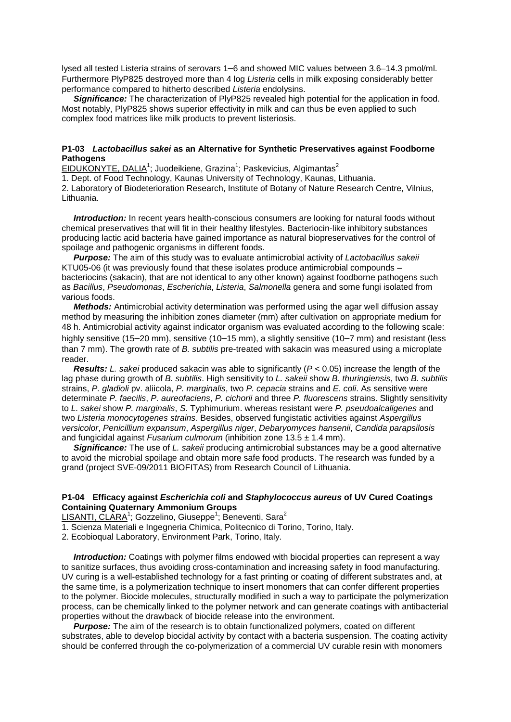lysed all tested Listeria strains of serovars 1–6 and showed MIC values between 3.6–14.3 pmol/ml. Furthermore PlyP825 destroyed more than 4 log *Listeria* cells in milk exposing considerably better performance compared to hitherto described *Listeria* endolysins.

**Significance:** The characterization of PlyP825 revealed high potential for the application in food. Most notably, PlyP825 shows superior effectivity in milk and can thus be even applied to such complex food matrices like milk products to prevent listeriosis.

#### **P1-03** *Lactobacillus sakei* **as an Alternative for Synthetic Preservatives against Foodborne Pathogens**

EIDUKONYTE, DALIA<sup>1</sup>; Juodeikiene, Grazina<sup>1</sup>; Paskevicius, Algimantas<sup>2</sup>

1. Dept. of Food Technology, Kaunas University of Technology, Kaunas, Lithuania.

2. Laboratory of Biodeterioration Research, Institute of Botany of Nature Research Centre, Vilnius, Lithuania.

 *Introduction:* In recent years health-conscious consumers are looking for natural foods without chemical preservatives that will fit in their healthy lifestyles. Bacteriocin-like inhibitory substances producing lactic acid bacteria have gained importance as natural biopreservatives for the control of spoilage and pathogenic organisms in different foods.

 *Purpose:* The aim of this study was to evaluate antimicrobial activity of *Lactobacillus sakeii* KTU05-06 (it was previously found that these isolates produce antimicrobial compounds – bacteriocins (sakacin), that are not identical to any other known) against foodborne pathogens such as *Bacillus*, *Pseudomonas*, *Escherichia*, *Listeria*, *Salmonella* genera and some fungi isolated from various foods.

 *Methods:* Antimicrobial activity determination was performed using the agar well diffusion assay method by measuring the inhibition zones diameter (mm) after cultivation on appropriate medium for 48 h. Antimicrobial activity against indicator organism was evaluated according to the following scale: highly sensitive (15–20 mm), sensitive (10–15 mm), a slightly sensitive (10–7 mm) and resistant (less than 7 mm). The growth rate of *B. subtilis* pre-treated with sakacin was measured using a microplate reader.

 *Results: L. sakei* produced sakacin was able to significantly (*P* < 0.05) increase the length of the lag phase during growth of *B. subtilis*. High sensitivity to *L. sakeii* show *B. thuringiensis*, two *B. subtilis* strains, *P. gladioli* pv. aliicola, *P. marginalis*, two *P. cepacia* strains and *E. coli*. As sensitive were determinate *P. faecilis*, *P. aureofaciens*, *P. cichorii* and three *P. fluorescens* strains. Slightly sensitivity to *L. sakei* show *P. marginalis*, *S.* Typhimurium. whereas resistant were *P. pseudoalcaligenes* and two *Listeria monocytogenes strains*. Besides, observed fungistatic activities against *Aspergillus versicolor*, *Penicillium expansum*, *Aspergillus niger*, *Debaryomyces hansenii*, *Candida parapsilosis* and fungicidal against *Fusarium culmorum* (inhibition zone 13.5 ± 1.4 mm).

 *Significance:* The use of *L. sakeii* producing antimicrobial substances may be a good alternative to avoid the microbial spoilage and obtain more safe food products. The research was funded by a grand (project SVE-09/2011 BIOFITAS) from Research Council of Lithuania.

### **P1-04 Efficacy against** *Escherichia coli* **and** *Staphylococcus aureus* **of UV Cured Coatings Containing Quaternary Ammonium Groups**

LISANTI, CLARA<sup>1</sup>; Gozzelino, Giuseppe<sup>1</sup>; Beneventi, Sara<sup>2</sup>

1. Scienza Materiali e Ingegneria Chimica, Politecnico di Torino, Torino, Italy.

2. Ecobioqual Laboratory, Environment Park, Torino, Italy.

 *Introduction:* Coatings with polymer films endowed with biocidal properties can represent a way to sanitize surfaces, thus avoiding cross-contamination and increasing safety in food manufacturing. UV curing is a well-established technology for a fast printing or coating of different substrates and, at the same time, is a polymerization technique to insert monomers that can confer different properties to the polymer. Biocide molecules, structurally modified in such a way to participate the polymerization process, can be chemically linked to the polymer network and can generate coatings with antibacterial properties without the drawback of biocide release into the environment.

*Purpose:* The aim of the research is to obtain functionalized polymers, coated on different substrates, able to develop biocidal activity by contact with a bacteria suspension. The coating activity should be conferred through the co-polymerization of a commercial UV curable resin with monomers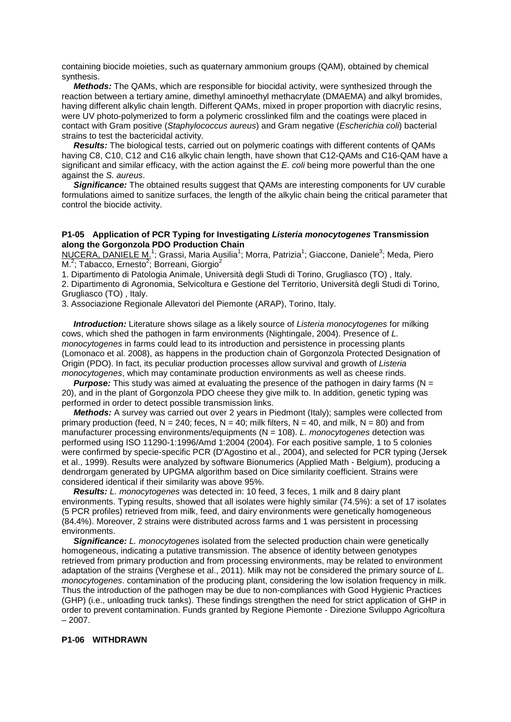containing biocide moieties, such as quaternary ammonium groups (QAM), obtained by chemical synthesis.

 *Methods:* The QAMs, which are responsible for biocidal activity, were synthesized through the reaction between a tertiary amine, dimethyl aminoethyl methacrylate (DMAEMA) and alkyl bromides, having different alkylic chain length. Different QAMs, mixed in proper proportion with diacrylic resins, were UV photo-polymerized to form a polymeric crosslinked film and the coatings were placed in contact with Gram positive (*Staphylococcus aureus*) and Gram negative (*Escherichia coli*) bacterial strains to test the bactericidal activity.

 *Results:* The biological tests, carried out on polymeric coatings with different contents of QAMs having C8, C10, C12 and C16 alkylic chain length, have shown that C12-QAMs and C16-QAM have a significant and similar efficacy, with the action against the *E. coli* being more powerful than the one against the *S. aureus*.

**Significance:** The obtained results suggest that QAMs are interesting components for UV curable formulations aimed to sanitize surfaces, the length of the alkylic chain being the critical parameter that control the biocide activity.

#### **P1-05 Application of PCR Typing for Investigating** *Listeria monocytogenes* **Transmission along the Gorgonzola PDO Production Chain**

NUCERA, DANIELE M.<sup>1</sup>; Grassi, Maria Ausilia<sup>1</sup>; Morra, Patrizia<sup>1</sup>; Giaccone, Daniele<sup>3</sup>; Meda, Piero M.<sup>2</sup>; Tabacco, Ernesto<sup>2</sup>; Borreani, Giorgio<sup>2</sup>

1. Dipartimento di Patologia Animale, Università degli Studi di Torino, Grugliasco (TO) , Italy.

2. Dipartimento di Agronomia, Selvicoltura e Gestione del Territorio, Università degli Studi di Torino, Grugliasco (TO) , Italy.

3. Associazione Regionale Allevatori del Piemonte (ARAP), Torino, Italy.

 *Introduction:* Literature shows silage as a likely source of *Listeria monocytogenes* for milking cows, which shed the pathogen in farm environments (Nightingale, 2004). Presence of *L. monocytogenes* in farms could lead to its introduction and persistence in processing plants (Lomonaco et al. 2008), as happens in the production chain of Gorgonzola Protected Designation of Origin (PDO). In fact, its peculiar production processes allow survival and growth of *Listeria monocytogenes*, which may contaminate production environments as well as cheese rinds.

*Purpose:* This study was aimed at evaluating the presence of the pathogen in dairy farms (N = 20), and in the plant of Gorgonzola PDO cheese they give milk to. In addition, genetic typing was performed in order to detect possible transmission links.

*Methods:* A survey was carried out over 2 years in Piedmont (Italy); samples were collected from primary production (feed,  $N = 240$ ; feces,  $N = 40$ ; milk filters,  $N = 40$ , and milk,  $N = 80$ ) and from manufacturer processing environments/equipments (N = 108). *L. monocytogenes* detection was performed using ISO 11290-1:1996/Amd 1:2004 (2004). For each positive sample, 1 to 5 colonies were confirmed by specie-specific PCR (D'Agostino et al., 2004), and selected for PCR typing (Jersek et al., 1999). Results were analyzed by software Bionumerics (Applied Math - Belgium), producing a dendrorgam generated by UPGMA algorithm based on Dice similarity coefficient. Strains were considered identical if their similarity was above 95%.

 *Results: L. monocytogenes* was detected in: 10 feed, 3 feces, 1 milk and 8 dairy plant environments. Typing results, showed that all isolates were highly similar (74.5%): a set of 17 isolates (5 PCR profiles) retrieved from milk, feed, and dairy environments were genetically homogeneous (84.4%). Moreover, 2 strains were distributed across farms and 1 was persistent in processing environments.

 *Significance: L. monocytogenes* isolated from the selected production chain were genetically homogeneous, indicating a putative transmission. The absence of identity between genotypes retrieved from primary production and from processing environments, may be related to environment adaptation of the strains (Verghese et al., 2011). Milk may not be considered the primary source of *L. monocytogenes*. contamination of the producing plant, considering the low isolation frequency in milk. Thus the introduction of the pathogen may be due to non-compliances with Good Hygienic Practices (GHP) (i.e., unloading truck tanks). These findings strengthen the need for strict application of GHP in order to prevent contamination. Funds granted by Regione Piemonte - Direzione Sviluppo Agricoltura  $-2007.$ 

#### **P1-06 WITHDRAWN**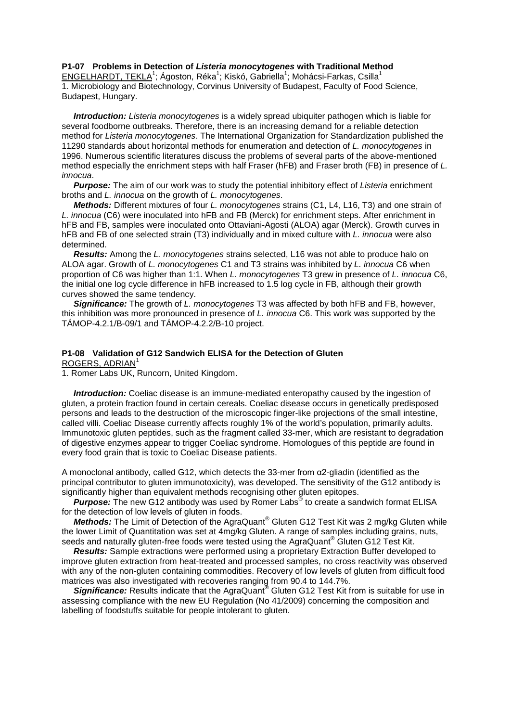#### **P1-07 Problems in Detection of** *Listeria monocytogenes* **with Traditional Method**

ENGELHARDT, TEKLA<sup>1</sup>; Ágoston, Réka<sup>1</sup>; Kiskó, Gabriella<sup>1</sup>; Mohácsi-Farkas, Csilla<sup>1</sup> 1. Microbiology and Biotechnology, Corvinus University of Budapest, Faculty of Food Science, Budapest, Hungary.

 *Introduction: Listeria monocytogenes* is a widely spread ubiquiter pathogen which is liable for several foodborne outbreaks. Therefore, there is an increasing demand for a reliable detection method for *Listeria monocytogenes*. The International Organization for Standardization published the 11290 standards about horizontal methods for enumeration and detection of *L. monocytogenes* in 1996. Numerous scientific literatures discuss the problems of several parts of the above-mentioned method especially the enrichment steps with half Fraser (hFB) and Fraser broth (FB) in presence of *L. innocua*.

 *Purpose:* The aim of our work was to study the potential inhibitory effect of *Listeria* enrichment broths and *L. innocua* on the growth of *L. monocytogenes*.

 *Methods:* Different mixtures of four *L. monocytogenes* strains (C1, L4, L16, T3) and one strain of *L. innocua* (C6) were inoculated into hFB and FB (Merck) for enrichment steps. After enrichment in hFB and FB, samples were inoculated onto Ottaviani-Agosti (ALOA) agar (Merck). Growth curves in hFB and FB of one selected strain (T3) individually and in mixed culture with *L. innocua* were also determined.

 *Results:* Among the *L. monocytogenes* strains selected, L16 was not able to produce halo on ALOA agar. Growth of *L. monocytogenes* C1 and T3 strains was inhibited by *L. innocua* C6 when proportion of C6 was higher than 1:1. When *L. monocytogenes* T3 grew in presence of *L. innocua* C6, the initial one log cycle difference in hFB increased to 1.5 log cycle in FB, although their growth curves showed the same tendency.

 *Significance:* The growth of *L. monocytogenes* T3 was affected by both hFB and FB, however, this inhibition was more pronounced in presence of *L. innocua* C6. This work was supported by the TÁMOP-4.2.1/B-09/1 and TÁMOP-4.2.2/B-10 project.

## **P1-08 Validation of G12 Sandwich ELISA for the Detection of Gluten**

ROGERS, ADRIAN<sup>1</sup>

1. Romer Labs UK, Runcorn, United Kingdom.

 *Introduction:* Coeliac disease is an immune-mediated enteropathy caused by the ingestion of gluten, a protein fraction found in certain cereals. Coeliac disease occurs in genetically predisposed persons and leads to the destruction of the microscopic finger-like projections of the small intestine, called villi. Coeliac Disease currently affects roughly 1% of the world's population, primarily adults. Immunotoxic gluten peptides, such as the fragment called 33-mer, which are resistant to degradation of digestive enzymes appear to trigger Coeliac syndrome. Homologues of this peptide are found in every food grain that is toxic to Coeliac Disease patients.

A monoclonal antibody, called G12, which detects the 33-mer from  $\alpha$ 2-gliadin (identified as the principal contributor to gluten immunotoxicity), was developed. The sensitivity of the G12 antibody is significantly higher than equivalent methods recognising other gluten epitopes.

 *Purpose:* The new G12 antibody was used by Romer Labs® to create a sandwich format ELISA for the detection of low levels of gluten in foods.

*Methods:* The Limit of Detection of the AgraQuant<sup>®</sup> Gluten G12 Test Kit was 2 mg/kg Gluten while the lower Limit of Quantitation was set at 4mg/kg Gluten. A range of samples including grains, nuts, seeds and naturally gluten-free foods were tested using the AgraQuant® Gluten G12 Test Kit.

 *Results:* Sample extractions were performed using a proprietary Extraction Buffer developed to improve gluten extraction from heat-treated and processed samples, no cross reactivity was observed with any of the non-gluten containing commodities. Recovery of low levels of gluten from difficult food matrices was also investigated with recoveries ranging from 90.4 to 144.7%.

Significance: Results indicate that the AgraQuant<sup>®</sup> Gluten G12 Test Kit from is suitable for use in assessing compliance with the new EU Regulation (No 41/2009) concerning the composition and labelling of foodstuffs suitable for people intolerant to gluten.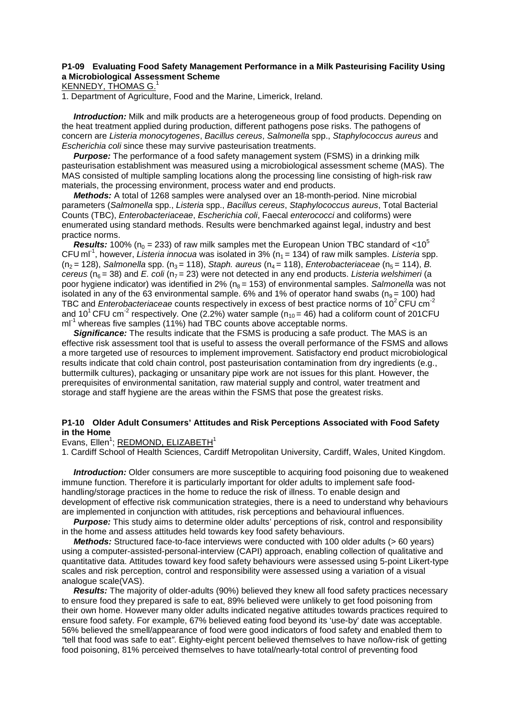## **P1-09 Evaluating Food Safety Management Performance in a Milk Pasteurising Facility Using a Microbiological Assessment Scheme**

## KENNEDY, THOMAS G.<sup>1</sup>

1. Department of Agriculture, Food and the Marine, Limerick, Ireland.

 *Introduction:* Milk and milk products are a heterogeneous group of food products. Depending on the heat treatment applied during production, different pathogens pose risks. The pathogens of concern are *Listeria monocytogenes*, *Bacillus cereus*, *Salmonella* spp., *Staphylococcus aureus* and *Escherichia coli* since these may survive pasteurisation treatments.

**Purpose:** The performance of a food safety management system (FSMS) in a drinking milk pasteurisation establishment was measured using a microbiological assessment scheme (MAS). The MAS consisted of multiple sampling locations along the processing line consisting of high-risk raw materials, the processing environment, process water and end products.

 *Methods:* A total of 1268 samples were analysed over an 18-month-period. Nine microbial parameters (*Salmonella* spp., *Listeria* spp., *Bacillus cereus*, *Staphylococcus aureus*, Total Bacterial Counts (TBC), *Enterobacteriaceae*, *Escherichia coli*, Faecal *enterococci* and coliforms) were enumerated using standard methods. Results were benchmarked against legal, industry and best practice norms.

**Results:** 100% ( $n_0$  = 233) of raw milk samples met the European Union TBC standard of <10<sup>5</sup> CFU ml<sup>-1</sup>, however, *Listeria innocua* was isolated in 3% ( $n_1$  = 134) of raw milk samples. *Listeria* spp. (n<sub>2</sub> = 128), *Salmonella* spp. (n<sub>3</sub> = 118), *Staph. aureus* (n<sub>4</sub> = 118), *Enterobacteriaceae* (n<sub>5</sub> = 114), *B. cereus* (n6 = 38) and *E. coli* (n7 = 23) were not detected in any end products. *Listeria welshimeri* (a poor hygiene indicator) was identified in 2% (n<sub>8</sub> = 153) of environmental samples. *Salmonella* was not isolated in any of the 63 environmental sample. 6% and 1% of operator hand swabs ( $n<sub>9</sub> = 100$ ) had TBC and *Enterobacteriaceae* counts respectively in excess of best practice norms of 10<sup>2</sup> CFU cm<sup>-2</sup> and 10<sup>1</sup> CFU cm<sup>-2</sup> respectively. One (2.2%) water sample ( $n_{10}$  = 46) had a coliform count of 201CFU  $ml<sup>-1</sup>$  whereas five samples (11%) had TBC counts above acceptable norms.

**Significance:** The results indicate that the FSMS is producing a safe product. The MAS is an effective risk assessment tool that is useful to assess the overall performance of the FSMS and allows a more targeted use of resources to implement improvement. Satisfactory end product microbiological results indicate that cold chain control, post pasteurisation contamination from dry ingredients (e.g., buttermilk cultures), packaging or unsanitary pipe work are not issues for this plant. However, the prerequisites of environmental sanitation, raw material supply and control, water treatment and storage and staff hygiene are the areas within the FSMS that pose the greatest risks.

#### **P1-10 Older Adult Consumers' Attitudes and Risk Perceptions Associated with Food Safety in the Home**

Evans, Ellen<sup>1</sup>; REDMOND, ELIZABETH<sup>1</sup>

1. Cardiff School of Health Sciences, Cardiff Metropolitan University, Cardiff, Wales, United Kingdom.

 *Introduction:* Older consumers are more susceptible to acquiring food poisoning due to weakened immune function. Therefore it is particularly important for older adults to implement safe foodhandling/storage practices in the home to reduce the risk of illness. To enable design and development of effective risk communication strategies, there is a need to understand why behaviours are implemented in conjunction with attitudes, risk perceptions and behavioural influences.

*Purpose:* This study aims to determine older adults' perceptions of risk, control and responsibility in the home and assess attitudes held towards key food safety behaviours.

 *Methods:* Structured face-to-face interviews were conducted with 100 older adults (> 60 years) using a computer-assisted-personal-interview (CAPI) approach, enabling collection of qualitative and quantitative data. Attitudes toward key food safety behaviours were assessed using 5-point Likert-type scales and risk perception, control and responsibility were assessed using a variation of a visual analogue scale(VAS).

 *Results:* The majority of older-adults (90%) believed they knew all food safety practices necessary to ensure food they prepared is safe to eat, 89% believed were unlikely to get food poisoning from their own home. However many older adults indicated negative attitudes towards practices required to ensure food safety. For example, 67% believed eating food beyond its 'use-by' date was acceptable. 56% believed the smell/appearance of food were good indicators of food safety and enabled them to *"*tell that food was safe to eat*"*. Eighty-eight percent believed themselves to have no/low-risk of getting food poisoning, 81% perceived themselves to have total/nearly-total control of preventing food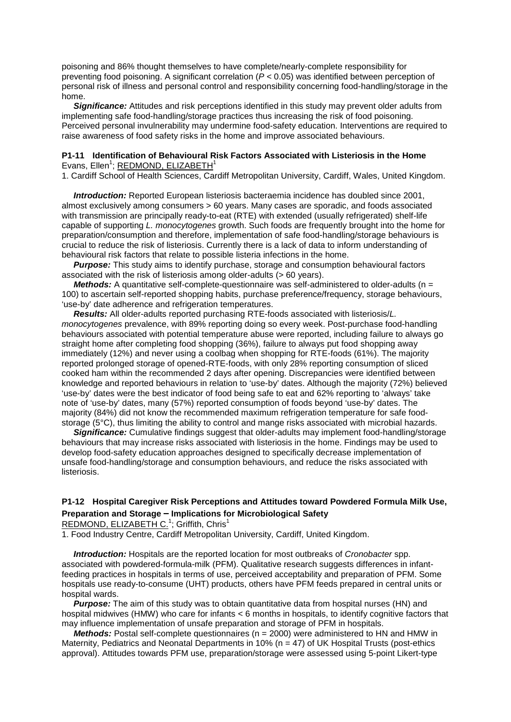poisoning and 86% thought themselves to have complete/nearly-complete responsibility for preventing food poisoning. A significant correlation (*P* < 0.05) was identified between perception of personal risk of illness and personal control and responsibility concerning food-handling/storage in the home.

**Significance:** Attitudes and risk perceptions identified in this study may prevent older adults from implementing safe food-handling/storage practices thus increasing the risk of food poisoning. Perceived personal invulnerability may undermine food-safety education. Interventions are required to raise awareness of food safety risks in the home and improve associated behaviours.

## **P1-11 Identification of Behavioural Risk Factors Associated with Listeriosis in the Home** Evans, Ellen<sup>1</sup>; REDMOND, ELIZABETH<sup>1</sup>

1. Cardiff School of Health Sciences, Cardiff Metropolitan University, Cardiff, Wales, United Kingdom.

 *Introduction:* Reported European listeriosis bacteraemia incidence has doubled since 2001, almost exclusively among consumers > 60 years. Many cases are sporadic, and foods associated with transmission are principally ready-to-eat (RTE) with extended (usually refrigerated) shelf-life capable of supporting *L. monocytogenes* growth. Such foods are frequently brought into the home for preparation/consumption and therefore, implementation of safe food-handling/storage behaviours is crucial to reduce the risk of listeriosis. Currently there is a lack of data to inform understanding of behavioural risk factors that relate to possible listeria infections in the home.

 *Purpose:* This study aims to identify purchase, storage and consumption behavioural factors associated with the risk of listeriosis among older-adults (> 60 years).

*Methods:* A quantitative self-complete-questionnaire was self-administered to older-adults (n = 100) to ascertain self-reported shopping habits, purchase preference/frequency, storage behaviours, 'use-by' date adherence and refrigeration temperatures.

 *Results:* All older-adults reported purchasing RTE-foods associated with listeriosis/*L. monocytogenes* prevalence, with 89% reporting doing so every week. Post-purchase food-handling behaviours associated with potential temperature abuse were reported, including failure to always go straight home after completing food shopping (36%), failure to always put food shopping away immediately (12%) and never using a coolbag when shopping for RTE-foods (61%). The majority reported prolonged storage of opened-RTE-foods, with only 28% reporting consumption of sliced cooked ham within the recommended 2 days after opening. Discrepancies were identified between knowledge and reported behaviours in relation to 'use-by' dates. Although the majority (72%) believed 'use-by' dates were the best indicator of food being safe to eat and 62% reporting to 'always' take note of 'use-by' dates, many (57%) reported consumption of foods beyond 'use-by' dates. The majority (84%) did not know the recommended maximum refrigeration temperature for safe foodstorage (5°C), thus limiting the ability to control and mange risks associated with microbial hazards.

 *Significance:* Cumulative findings suggest that older-adults may implement food-handling/storage behaviours that may increase risks associated with listeriosis in the home. Findings may be used to develop food-safety education approaches designed to specifically decrease implementation of unsafe food-handling/storage and consumption behaviours, and reduce the risks associated with listeriosis.

## **P1-12 Hospital Caregiver Risk Perceptions and Attitudes toward Powdered Formula Milk Use, Preparation and Storage – Implications for Microbiological Safety**

REDMOND, ELIZABETH C.<sup>1</sup>; Griffith, Chris<sup>1</sup>

1. Food Industry Centre, Cardiff Metropolitan University, Cardiff, United Kingdom.

 *Introduction:* Hospitals are the reported location for most outbreaks of *Cronobacter* spp. associated with powdered-formula-milk (PFM). Qualitative research suggests differences in infantfeeding practices in hospitals in terms of use, perceived acceptability and preparation of PFM. Some hospitals use ready-to-consume (UHT) products, others have PFM feeds prepared in central units or hospital wards.

**Purpose:** The aim of this study was to obtain quantitative data from hospital nurses (HN) and hospital midwives (HMW) who care for infants < 6 months in hospitals, to identify cognitive factors that may influence implementation of unsafe preparation and storage of PFM in hospitals.

*Methods:* Postal self-complete questionnaires (n = 2000) were administered to HN and HMW in Maternity, Pediatrics and Neonatal Departments in 10% (n = 47) of UK Hospital Trusts (post-ethics approval). Attitudes towards PFM use, preparation/storage were assessed using 5-point Likert-type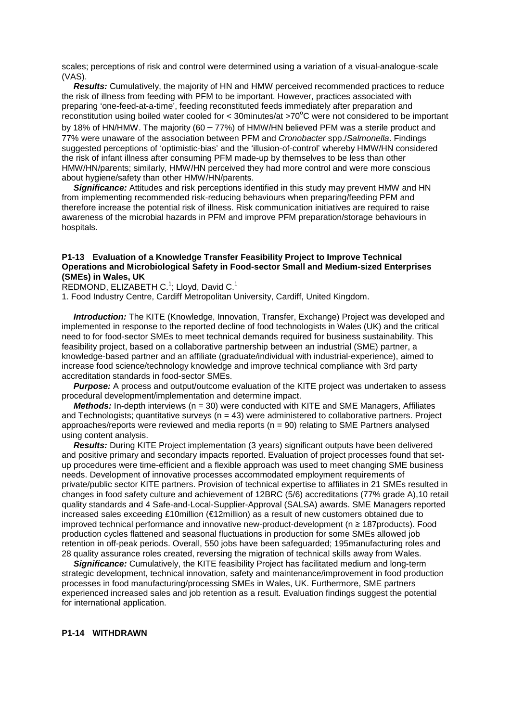scales; perceptions of risk and control were determined using a variation of a visual-analogue-scale (VAS).

 *Results:* Cumulatively, the majority of HN and HMW perceived recommended practices to reduce the risk of illness from feeding with PFM to be important. However, practices associated with preparing 'one-feed-at-a-time', feeding reconstituted feeds immediately after preparation and reconstitution using boiled water cooled for < 30 minutes/at >70 $^{\circ}$ C were not considered to be important by 18% of HN/HMW. The majority (60 – 77%) of HMW/HN believed PFM was a sterile product and 77% were unaware of the association between PFM and *Cronobacter* spp./*Salmonella*. Findings suggested perceptions of 'optimistic-bias' and the 'illusion-of-control' whereby HMW/HN considered the risk of infant illness after consuming PFM made-up by themselves to be less than other HMW/HN/parents; similarly, HMW/HN perceived they had more control and were more conscious about hygiene/safety than other HMW/HN/parents.

**Significance:** Attitudes and risk perceptions identified in this study may prevent HMW and HN from implementing recommended risk-reducing behaviours when preparing/feeding PFM and therefore increase the potential risk of illness. Risk communication initiatives are required to raise awareness of the microbial hazards in PFM and improve PFM preparation/storage behaviours in hospitals.

#### **P1-13 Evaluation of a Knowledge Transfer Feasibility Project to Improve Technical Operations and Microbiological Safety in Food-sector Small and Medium-sized Enterprises (SMEs) in Wales, UK**

REDMOND, ELIZABETH C.<sup>1</sup>; Lloyd, David C.<sup>1</sup>

1. Food Industry Centre, Cardiff Metropolitan University, Cardiff, United Kingdom.

 *Introduction:* The KITE (Knowledge, Innovation, Transfer, Exchange) Project was developed and implemented in response to the reported decline of food technologists in Wales (UK) and the critical need to for food-sector SMEs to meet technical demands required for business sustainability. This feasibility project, based on a collaborative partnership between an industrial (SME) partner, a knowledge-based partner and an affiliate (graduate/individual with industrial-experience), aimed to increase food science/technology knowledge and improve technical compliance with 3rd party accreditation standards in food-sector SMEs.

**Purpose:** A process and output/outcome evaluation of the KITE project was undertaken to assess procedural development/implementation and determine impact.

*Methods:* In-depth interviews (n = 30) were conducted with KITE and SME Managers, Affiliates and Technologists; quantitative surveys ( $n = 43$ ) were administered to collaborative partners. Project approaches/reports were reviewed and media reports (n = 90) relating to SME Partners analysed using content analysis.

 *Results:* During KITE Project implementation (3 years) significant outputs have been delivered and positive primary and secondary impacts reported. Evaluation of project processes found that setup procedures were time-efficient and a flexible approach was used to meet changing SME business needs. Development of innovative processes accommodated employment requirements of private/public sector KITE partners. Provision of technical expertise to affiliates in 21 SMEs resulted in changes in food safety culture and achievement of 12BRC (5/6) accreditations (77% grade A),10 retail quality standards and 4 Safe-and-Local-Supplier-Approval (SALSA) awards. SME Managers reported increased sales exceeding £10million (€12million) as a result of new customers obtained due to improved technical performance and innovative new-product-development (n ≥ 187products). Food production cycles flattened and seasonal fluctuations in production for some SMEs allowed job retention in off-peak periods. Overall, 550 jobs have been safeguarded; 195manufacturing roles and 28 quality assurance roles created, reversing the migration of technical skills away from Wales.

 *Significance:* Cumulatively, the KITE feasibility Project has facilitated medium and long-term strategic development, technical innovation, safety and maintenance/improvement in food production processes in food manufacturing/processing SMEs in Wales, UK. Furthermore, SME partners experienced increased sales and job retention as a result. Evaluation findings suggest the potential for international application.

## **P1-14 WITHDRAWN**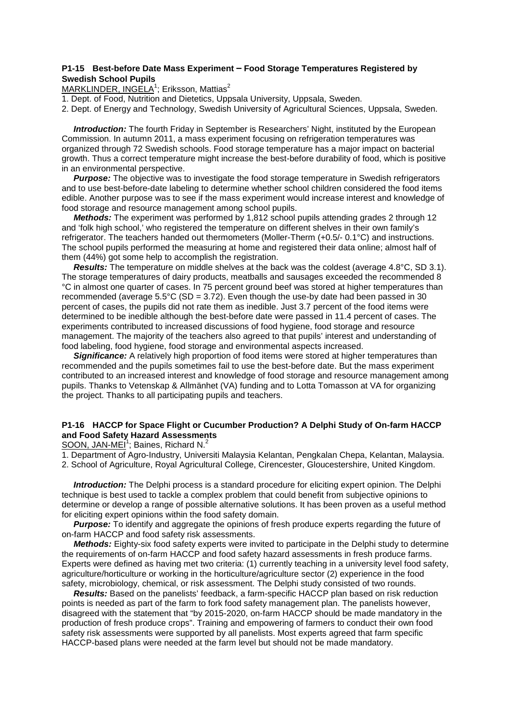#### **P1-15 Best-before Date Mass Experiment – Food Storage Temperatures Registered by Swedish School Pupils**

MARKLINDER, INGELA<sup>1</sup>; Eriksson, Mattias<sup>2</sup>

1. Dept. of Food, Nutrition and Dietetics, Uppsala University, Uppsala, Sweden.

2. Dept. of Energy and Technology, Swedish University of Agricultural Sciences, Uppsala, Sweden.

 *Introduction:* The fourth Friday in September is Researchers' Night, instituted by the European Commission. In autumn 2011, a mass experiment focusing on refrigeration temperatures was organized through 72 Swedish schools. Food storage temperature has a major impact on bacterial growth. Thus a correct temperature might increase the best-before durability of food, which is positive in an environmental perspective.

*Purpose:* The objective was to investigate the food storage temperature in Swedish refrigerators and to use best-before-date labeling to determine whether school children considered the food items edible. Another purpose was to see if the mass experiment would increase interest and knowledge of food storage and resource management among school pupils.

 *Methods:* The experiment was performed by 1,812 school pupils attending grades 2 through 12 and 'folk high school,' who registered the temperature on different shelves in their own family's refrigerator. The teachers handed out thermometers (Moller-Therm (+0.5/- 0.1°C) and instructions. The school pupils performed the measuring at home and registered their data online; almost half of them (44%) got some help to accomplish the registration.

 *Results:* The temperature on middle shelves at the back was the coldest (average 4.8°C, SD 3.1). The storage temperatures of dairy products, meatballs and sausages exceeded the recommended 8 °C in almost one quarter of cases. In 75 percent ground beef was stored at higher temperatures than recommended (average  $5.5^{\circ}$ C (SD = 3.72). Even though the use-by date had been passed in 30 percent of cases, the pupils did not rate them as inedible. Just 3.7 percent of the food items were determined to be inedible although the best-before date were passed in 11.4 percent of cases. The experiments contributed to increased discussions of food hygiene, food storage and resource management. The majority of the teachers also agreed to that pupils' interest and understanding of food labeling, food hygiene, food storage and environmental aspects increased.

*Significance:* A relatively high proportion of food items were stored at higher temperatures than recommended and the pupils sometimes fail to use the best-before date. But the mass experiment contributed to an increased interest and knowledge of food storage and resource management among pupils. Thanks to Vetenskap & Allmänhet (VA) funding and to Lotta Tomasson at VA for organizing the project. Thanks to all participating pupils and teachers.

## **P1-16 HACCP for Space Flight or Cucumber Production? A Delphi Study of On-farm HACCP and Food Safety Hazard Assessments**

SOON, JAN-MEI<sup>1</sup>; Baines, Richard N.<sup>2</sup>

1. Department of Agro-Industry, Universiti Malaysia Kelantan, Pengkalan Chepa, Kelantan, Malaysia.

2. School of Agriculture, Royal Agricultural College, Cirencester, Gloucestershire, United Kingdom.

 *Introduction:* The Delphi process is a standard procedure for eliciting expert opinion. The Delphi technique is best used to tackle a complex problem that could benefit from subjective opinions to determine or develop a range of possible alternative solutions. It has been proven as a useful method for eliciting expert opinions within the food safety domain.

 *Purpose:* To identify and aggregate the opinions of fresh produce experts regarding the future of on-farm HACCP and food safety risk assessments.

 *Methods:* Eighty-six food safety experts were invited to participate in the Delphi study to determine the requirements of on-farm HACCP and food safety hazard assessments in fresh produce farms. Experts were defined as having met two criteria: (1) currently teaching in a university level food safety, agriculture/horticulture or working in the horticulture/agriculture sector (2) experience in the food safety, microbiology, chemical, or risk assessment. The Delphi study consisted of two rounds.

 *Results:* Based on the panelists' feedback, a farm-specific HACCP plan based on risk reduction points is needed as part of the farm to fork food safety management plan. The panelists however, disagreed with the statement that "by 2015-2020, on-farm HACCP should be made mandatory in the production of fresh produce crops". Training and empowering of farmers to conduct their own food safety risk assessments were supported by all panelists. Most experts agreed that farm specific HACCP-based plans were needed at the farm level but should not be made mandatory.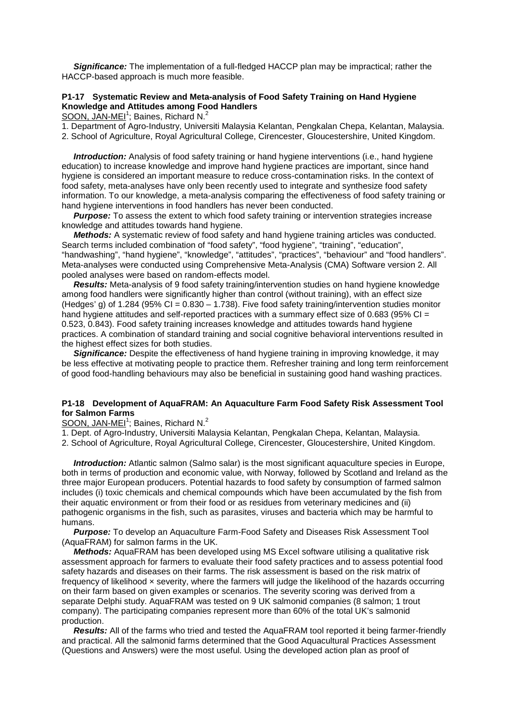*Significance:* The implementation of a full-fledged HACCP plan may be impractical; rather the HACCP-based approach is much more feasible.

## **P1-17 Systematic Review and Meta-analysis of Food Safety Training on Hand Hygiene Knowledge and Attitudes among Food Handlers**

SOON, JAN-MEI<sup>1</sup>; Baines, Richard N.<sup>2</sup>

1. Department of Agro-Industry, Universiti Malaysia Kelantan, Pengkalan Chepa, Kelantan, Malaysia.

2. School of Agriculture, Royal Agricultural College, Cirencester, Gloucestershire, United Kingdom.

*Introduction:* Analysis of food safety training or hand hygiene interventions (i.e., hand hygiene education) to increase knowledge and improve hand hygiene practices are important, since hand hygiene is considered an important measure to reduce cross-contamination risks. In the context of food safety, meta-analyses have only been recently used to integrate and synthesize food safety information. To our knowledge, a meta-analysis comparing the effectiveness of food safety training or hand hygiene interventions in food handlers has never been conducted.

*Purpose:* To assess the extent to which food safety training or intervention strategies increase knowledge and attitudes towards hand hygiene.

*Methods:* A systematic review of food safety and hand hygiene training articles was conducted. Search terms included combination of "food safety", "food hygiene", "training", "education", "handwashing", "hand hygiene", "knowledge", "attitudes", "practices", "behaviour" and "food handlers". Meta-analyses were conducted using Comprehensive Meta-Analysis (CMA) Software version 2. All pooled analyses were based on random-effects model.

 *Results:* Meta-analysis of 9 food safety training/intervention studies on hand hygiene knowledge among food handlers were significantly higher than control (without training), with an effect size (Hedges' g) of 1.284 (95% CI =  $0.830 - 1.738$ ). Five food safety training/intervention studies monitor hand hygiene attitudes and self-reported practices with a summary effect size of 0.683 (95% CI = 0.523, 0.843). Food safety training increases knowledge and attitudes towards hand hygiene practices. A combination of standard training and social cognitive behavioral interventions resulted in the highest effect sizes for both studies.

*Significance: Despite the effectiveness of hand hygiene training in improving knowledge, it may* be less effective at motivating people to practice them. Refresher training and long term reinforcement of good food-handling behaviours may also be beneficial in sustaining good hand washing practices.

#### **P1-18 Development of AquaFRAM: An Aquaculture Farm Food Safety Risk Assessment Tool for Salmon Farms**

## SOON, JAN-MEI<sup>1</sup>; Baines, Richard N.<sup>2</sup>

1. Dept. of Agro-Industry, Universiti Malaysia Kelantan, Pengkalan Chepa, Kelantan, Malaysia.

2. School of Agriculture, Royal Agricultural College, Cirencester, Gloucestershire, United Kingdom.

 *Introduction:* Atlantic salmon (Salmo salar) is the most significant aquaculture species in Europe, both in terms of production and economic value, with Norway, followed by Scotland and Ireland as the three major European producers. Potential hazards to food safety by consumption of farmed salmon includes (i) toxic chemicals and chemical compounds which have been accumulated by the fish from their aquatic environment or from their food or as residues from veterinary medicines and (ii) pathogenic organisms in the fish, such as parasites, viruses and bacteria which may be harmful to humans.

 *Purpose:* To develop an Aquaculture Farm-Food Safety and Diseases Risk Assessment Tool (AquaFRAM) for salmon farms in the UK.

 *Methods:* AquaFRAM has been developed using MS Excel software utilising a qualitative risk assessment approach for farmers to evaluate their food safety practices and to assess potential food safety hazards and diseases on their farms. The risk assessment is based on the risk matrix of frequency of likelihood × severity, where the farmers will judge the likelihood of the hazards occurring on their farm based on given examples or scenarios. The severity scoring was derived from a separate Delphi study. AquaFRAM was tested on 9 UK salmonid companies (8 salmon; 1 trout company). The participating companies represent more than 60% of the total UK's salmonid production.

 *Results:* All of the farms who tried and tested the AquaFRAM tool reported it being farmer-friendly and practical. All the salmonid farms determined that the Good Aquacultural Practices Assessment (Questions and Answers) were the most useful. Using the developed action plan as proof of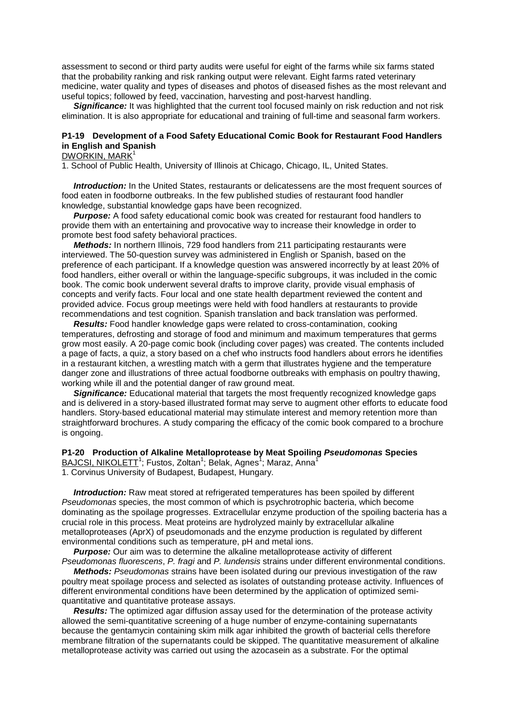assessment to second or third party audits were useful for eight of the farms while six farms stated that the probability ranking and risk ranking output were relevant. Eight farms rated veterinary medicine, water quality and types of diseases and photos of diseased fishes as the most relevant and useful topics; followed by feed, vaccination, harvesting and post-harvest handling.

*Significance:* It was highlighted that the current tool focused mainly on risk reduction and not risk elimination. It is also appropriate for educational and training of full-time and seasonal farm workers.

## **P1-19 Development of a Food Safety Educational Comic Book for Restaurant Food Handlers in English and Spanish**

DWORKIN, MARK<sup>1</sup>

1. School of Public Health, University of Illinois at Chicago, Chicago, IL, United States.

**Introduction:** In the United States, restaurants or delicatessens are the most frequent sources of food eaten in foodborne outbreaks. In the few published studies of restaurant food handler knowledge, substantial knowledge gaps have been recognized.

 *Purpose:* A food safety educational comic book was created for restaurant food handlers to provide them with an entertaining and provocative way to increase their knowledge in order to promote best food safety behavioral practices.

 *Methods:* In northern Illinois, 729 food handlers from 211 participating restaurants were interviewed. The 50-question survey was administered in English or Spanish, based on the preference of each participant. If a knowledge question was answered incorrectly by at least 20% of food handlers, either overall or within the language-specific subgroups, it was included in the comic book. The comic book underwent several drafts to improve clarity, provide visual emphasis of concepts and verify facts. Four local and one state health department reviewed the content and provided advice. Focus group meetings were held with food handlers at restaurants to provide recommendations and test cognition. Spanish translation and back translation was performed.

 *Results:* Food handler knowledge gaps were related to cross-contamination, cooking temperatures, defrosting and storage of food and minimum and maximum temperatures that germs grow most easily. A 20-page comic book (including cover pages) was created. The contents included a page of facts, a quiz, a story based on a chef who instructs food handlers about errors he identifies in a restaurant kitchen, a wrestling match with a germ that illustrates hygiene and the temperature danger zone and illustrations of three actual foodborne outbreaks with emphasis on poultry thawing, working while ill and the potential danger of raw ground meat.

**Significance:** Educational material that targets the most frequently recognized knowledge gaps and is delivered in a story-based illustrated format may serve to augment other efforts to educate food handlers. Story-based educational material may stimulate interest and memory retention more than straightforward brochures. A study comparing the efficacy of the comic book compared to a brochure is ongoing.

**P1-20 Production of Alkaline Metalloprotease by Meat Spoiling** *Pseudomonas* **Species**

<u>BAJCSI, NIKOLETT</u><sup>1</sup>; Fustos, Zoltan<sup>1</sup>; Belak, Agnes<sup>1</sup>; Maraz, Anna<sup>1</sup>

1. Corvinus University of Budapest, Budapest, Hungary.

 *Introduction:* Raw meat stored at refrigerated temperatures has been spoiled by different *Pseudomonas* species, the most common of which is psychrotrophic bacteria, which become dominating as the spoilage progresses. Extracellular enzyme production of the spoiling bacteria has a crucial role in this process. Meat proteins are hydrolyzed mainly by extracellular alkaline metalloproteases (AprX) of pseudomonads and the enzyme production is regulated by different environmental conditions such as temperature, pH and metal ions.

*Purpose:* Our aim was to determine the alkaline metalloprotease activity of different *Pseudomonas fluorescens*, *P. fragi* and *P. lundensis* strains under different environmental conditions.

 *Methods: Pseudomonas* strains have been isolated during our previous investigation of the raw poultry meat spoilage process and selected as isolates of outstanding protease activity. Influences of different environmental conditions have been determined by the application of optimized semiquantitative and quantitative protease assays.

 *Results:* The optimized agar diffusion assay used for the determination of the protease activity allowed the semi-quantitative screening of a huge number of enzyme-containing supernatants because the gentamycin containing skim milk agar inhibited the growth of bacterial cells therefore membrane filtration of the supernatants could be skipped. The quantitative measurement of alkaline metalloprotease activity was carried out using the azocasein as a substrate. For the optimal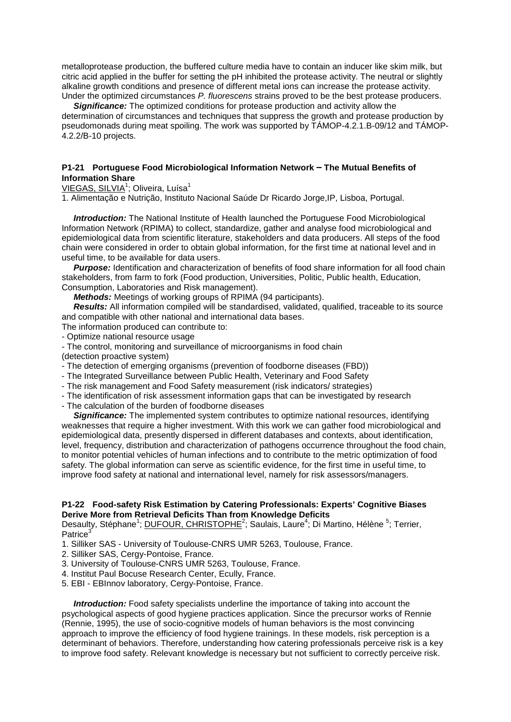metalloprotease production, the buffered culture media have to contain an inducer like skim milk, but citric acid applied in the buffer for setting the pH inhibited the protease activity. The neutral or slightly alkaline growth conditions and presence of different metal ions can increase the protease activity. Under the optimized circumstances *P. fluorescens* strains proved to be the best protease producers.

 *Significance:* The optimized conditions for protease production and activity allow the determination of circumstances and techniques that suppress the growth and protease production by pseudomonads during meat spoiling. The work was supported by TÁMOP-4.2.1.B-09/12 and TÁMOP-4.2.2/B-10 projects.

#### **P1-21 Portuguese Food Microbiological Information Network – The Mutual Benefits of Information Share**

VIEGAS, SILVIA<sup>1</sup>; Oliveira, Luísa<sup>1</sup>

1. Alimentação e Nutrição, Instituto Nacional Saúde Dr Ricardo Jorge,IP, Lisboa, Portugal.

 *Introduction:* The National Institute of Health launched the Portuguese Food Microbiological Information Network (RPIMA) to collect, standardize, gather and analyse food microbiological and epidemiological data from scientific literature, stakeholders and data producers. All steps of the food chain were considered in order to obtain global information, for the first time at national level and in useful time, to be available for data users.

**Purpose:** Identification and characterization of benefits of food share information for all food chain stakeholders, from farm to fork (Food production, Universities, Politic, Public health, Education, Consumption, Laboratories and Risk management).

 *Methods:* Meetings of working groups of RPIMA (94 participants).

 *Results:* All information compiled will be standardised, validated, qualified, traceable to its source and compatible with other national and international data bases.

The information produced can contribute to:

- Optimize national resource usage
- The control, monitoring and surveillance of microorganisms in food chain

(detection proactive system)

- The detection of emerging organisms (prevention of foodborne diseases (FBD))
- The Integrated Surveillance between Public Health, Veterinary and Food Safety
- The risk management and Food Safety measurement (risk indicators/ strategies)
- The identification of risk assessment information gaps that can be investigated by research
- The calculation of the burden of foodborne diseases

 *Significance:* The implemented system contributes to optimize national resources, identifying weaknesses that require a higher investment. With this work we can gather food microbiological and epidemiological data, presently dispersed in different databases and contexts, about identification, level, frequency, distribution and characterization of pathogens occurrence throughout the food chain, to monitor potential vehicles of human infections and to contribute to the metric optimization of food safety. The global information can serve as scientific evidence, for the first time in useful time, to improve food safety at national and international level, namely for risk assessors/managers.

#### **P1-22 Food-safety Risk Estimation by Catering Professionals: Experts' Cognitive Biases Derive More from Retrieval Deficits Than from Knowledge Deficits**

Desaulty, Stéphane<sup>1</sup>; **DUFOUR, CHRISTOPHE<sup>2</sup>; Saulais, Laure<sup>4</sup>; Di Martino, Hélène<sup>5</sup>; Terrier,** Patrice

- 1. Silliker SAS University of Toulouse-CNRS UMR 5263, Toulouse, France.
- 2. Silliker SAS, Cergy-Pontoise, France.
- 3. University of Toulouse-CNRS UMR 5263, Toulouse, France.
- 4. Institut Paul Bocuse Research Center, Ecully, France.
- 5. EBI EBInnov laboratory, Cergy-Pontoise, France.

 *Introduction:* Food safety specialists underline the importance of taking into account the psychological aspects of good hygiene practices application. Since the precursor works of Rennie (Rennie, 1995), the use of socio-cognitive models of human behaviors is the most convincing approach to improve the efficiency of food hygiene trainings. In these models, risk perception is a determinant of behaviors. Therefore, understanding how catering professionals perceive risk is a key to improve food safety. Relevant knowledge is necessary but not sufficient to correctly perceive risk.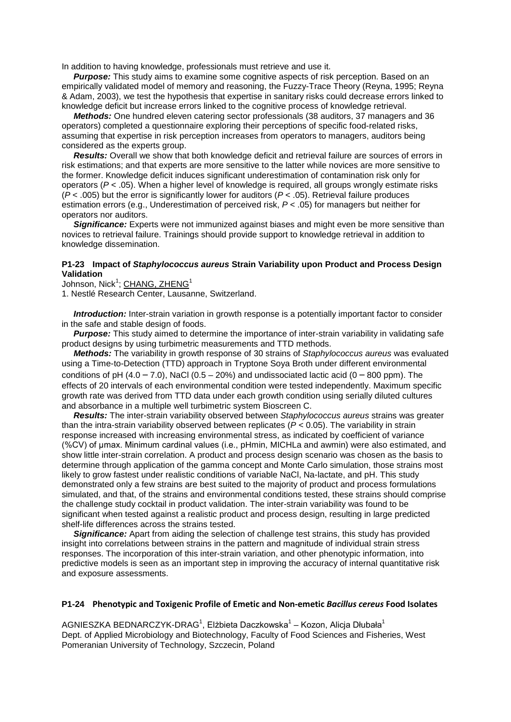In addition to having knowledge, professionals must retrieve and use it.

*Purpose:* This study aims to examine some cognitive aspects of risk perception. Based on an empirically validated model of memory and reasoning, the Fuzzy-Trace Theory (Reyna, 1995; Reyna & Adam, 2003), we test the hypothesis that expertise in sanitary risks could decrease errors linked to knowledge deficit but increase errors linked to the cognitive process of knowledge retrieval.

 *Methods:* One hundred eleven catering sector professionals (38 auditors, 37 managers and 36 operators) completed a questionnaire exploring their perceptions of specific food-related risks, assuming that expertise in risk perception increases from operators to managers, auditors being considered as the experts group.

 *Results:* Overall we show that both knowledge deficit and retrieval failure are sources of errors in risk estimations; and that experts are more sensitive to the latter while novices are more sensitive to the former. Knowledge deficit induces significant underestimation of contamination risk only for operators (*P* < .05). When a higher level of knowledge is required, all groups wrongly estimate risks (*P* < .005) but the error is significantly lower for auditors (*P* < .05). Retrieval failure produces estimation errors (e.g., Underestimation of perceived risk, *P* < .05) for managers but neither for operators nor auditors.

**Significance:** Experts were not immunized against biases and might even be more sensitive than novices to retrieval failure. Trainings should provide support to knowledge retrieval in addition to knowledge dissemination.

#### **P1-23 Impact of** *Staphylococcus aureus* **Strain Variability upon Product and Process Design Validation**

Johnson, Nick<sup>1</sup>; <u>CHANG, ZHENG</u><sup>1</sup>

1. Nestlé Research Center, Lausanne, Switzerland.

**Introduction:** Inter-strain variation in growth response is a potentially important factor to consider in the safe and stable design of foods.

 *Purpose:* This study aimed to determine the importance of inter-strain variability in validating safe product designs by using turbimetric measurements and TTD methods.

 *Methods:* The variability in growth response of 30 strains of *Staphylococcus aureus* was evaluated using a Time-to-Detection (TTD) approach in Tryptone Soya Broth under different environmental conditions of pH  $(4.0 - 7.0)$ , NaCl  $(0.5 - 20%)$  and undissociated lactic acid  $(0 - 800$  ppm). The effects of 20 intervals of each environmental condition were tested independently. Maximum specific growth rate was derived from TTD data under each growth condition using serially diluted cultures and absorbance in a multiple well turbimetric system Bioscreen C.

 *Results:* The inter-strain variability observed between *Staphylococcus aureus* strains was greater than the intra-strain variability observed between replicates ( $P < 0.05$ ). The variability in strain response increased with increasing environmental stress, as indicated by coefficient of variance (%CV) of μmax. Minimum cardinal values (i.e., pHmin, MICHLa and awmin) were also estimated, and show little inter-strain correlation. A product and process design scenario was chosen as the basis to determine through application of the gamma concept and Monte Carlo simulation, those strains most likely to grow fastest under realistic conditions of variable NaCl, Na-lactate, and pH. This study demonstrated only a few strains are best suited to the majority of product and process formulations simulated, and that, of the strains and environmental conditions tested, these strains should comprise the challenge study cocktail in product validation. The inter-strain variability was found to be significant when tested against a realistic product and process design, resulting in large predicted shelf-life differences across the strains tested.

 *Significance:* Apart from aiding the selection of challenge test strains, this study has provided insight into correlations between strains in the pattern and magnitude of individual strain stress responses. The incorporation of this inter-strain variation, and other phenotypic information, into predictive models is seen as an important step in improving the accuracy of internal quantitative risk and exposure assessments.

## **P1-24 Phenotypic and Toxigenic Profile of Emetic and Non-emetic** *Bacillus cereus* **Food Isolates**

AGNIESZKA BEDNARCZYK-DRAG<sup>1</sup>, Elżbieta Daczkowska<sup>1</sup> – Kozon, Alicja Dłubała<sup>1</sup> Dept. of Applied Microbiology and Biotechnology, Faculty of Food Sciences and Fisheries, West Pomeranian University of Technology, Szczecin, Poland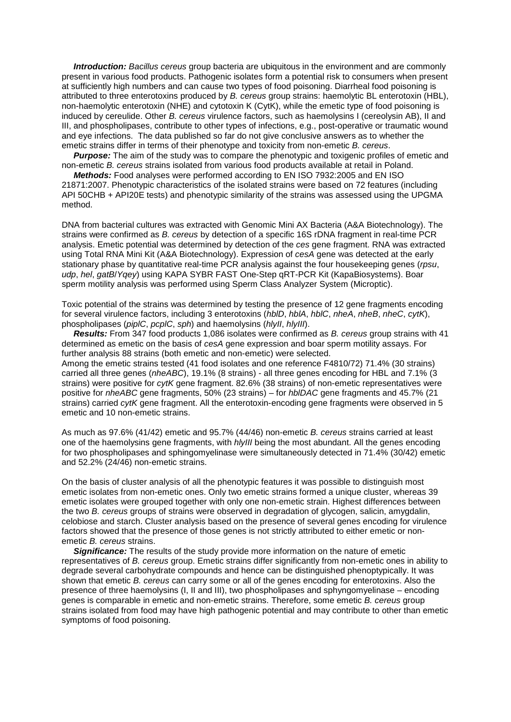*Introduction: Bacillus cereus* group bacteria are ubiquitous in the environment and are commonly present in various food products. Pathogenic isolates form a potential risk to consumers when present at sufficiently high numbers and can cause two types of food poisoning. Diarrheal food poisoning is attributed to three enterotoxins produced by *B. cereus* group strains: haemolytic BL enterotoxin (HBL), non-haemolytic enterotoxin (NHE) and cytotoxin K (CytK), while the emetic type of food poisoning is induced by cereulide. Other *B. cereus* virulence factors, such as haemolysins I (cereolysin AB), II and III, and phospholipases, contribute to other types of infections, e.g., post-operative or traumatic wound and eye infections. The data published so far do not give conclusive answers as to whether the emetic strains differ in terms of their phenotype and toxicity from non-emetic *B. cereus*.

*Purpose:* The aim of the study was to compare the phenotypic and toxigenic profiles of emetic and non-emetic *B. cereus* strains isolated from various food products available at retail in Poland.

 *Methods:* Food analyses were performed according to EN ISO 7932:2005 and EN ISO 21871:2007. Phenotypic characteristics of the isolated strains were based on 72 features (including API 50CHB + API20E tests) and phenotypic similarity of the strains was assessed using the UPGMA method.

DNA from bacterial cultures was extracted with Genomic Mini AX Bacteria (A&A Biotechnology). The strains were confirmed as *B. cereus* by detection of a specific 16S rDNA fragment in real-time PCR analysis. Emetic potential was determined by detection of the *ces* gene fragment. RNA was extracted using Total RNA Mini Kit (A&A Biotechnology). Expression of *cesA* gene was detected at the early stationary phase by quantitative real-time PCR analysis against the four housekeeping genes (*rpsu*, *udp*, *hel*, *gatB*/*Yqey*) using KAPA SYBR FAST One-Step qRT-PCR Kit (KapaBiosystems). Boar sperm motility analysis was performed using Sperm Class Analyzer System (Microptic).

Toxic potential of the strains was determined by testing the presence of 12 gene fragments encoding for several virulence factors, including 3 enterotoxins (*hblD*, *hblA*, *hblC*, *nheA*, *nheB*, *nheC*, *cytK*), phospholipases (*piplC*, *pcplC*, *sph*) and haemolysins (*hlyII*, *hlyIII*).

 *Results:* From 347 food products 1,086 isolates were confirmed as *B. cereus* group strains with 41 determined as emetic on the basis of *cesA* gene expression and boar sperm motility assays. For further analysis 88 strains (both emetic and non-emetic) were selected.

Among the emetic strains tested (41 food isolates and one reference F4810/72) 71.4% (30 strains) carried all three genes (*nheABC*), 19.1% (8 strains) - all three genes encoding for HBL and 7.1% (3 strains) were positive for *cytK* gene fragment. 82.6% (38 strains) of non-emetic representatives were positive for *nheABC* gene fragments, 50% (23 strains) – for *hblDAC* gene fragments and 45.7% (21 strains) carried *cytK* gene fragment. All the enterotoxin-encoding gene fragments were observed in 5 emetic and 10 non-emetic strains.

As much as 97.6% (41/42) emetic and 95.7% (44/46) non-emetic *B. cereus* strains carried at least one of the haemolysins gene fragments, with *hlyIII* being the most abundant. All the genes encoding for two phospholipases and sphingomyelinase were simultaneously detected in 71.4% (30/42) emetic and 52.2% (24/46) non-emetic strains.

On the basis of cluster analysis of all the phenotypic features it was possible to distinguish most emetic isolates from non-emetic ones. Only two emetic strains formed a unique cluster, whereas 39 emetic isolates were grouped together with only one non-emetic strain. Highest differences between the two *B. cereus* groups of strains were observed in degradation of glycogen, salicin, amygdalin, celobiose and starch. Cluster analysis based on the presence of several genes encoding for virulence factors showed that the presence of those genes is not strictly attributed to either emetic or nonemetic *B. cereus* strains.

 *Significance:* The results of the study provide more information on the nature of emetic representatives of *B. cereus* group. Emetic strains differ significantly from non-emetic ones in ability to degrade several carbohydrate compounds and hence can be distinguished phenoptypically. It was shown that emetic *B. cereus* can carry some or all of the genes encoding for enterotoxins. Also the presence of three haemolysins (I, II and III), two phospholipases and sphyngomyelinase – encoding genes is comparable in emetic and non-emetic strains. Therefore, some emetic *B. cereus* group strains isolated from food may have high pathogenic potential and may contribute to other than emetic symptoms of food poisoning.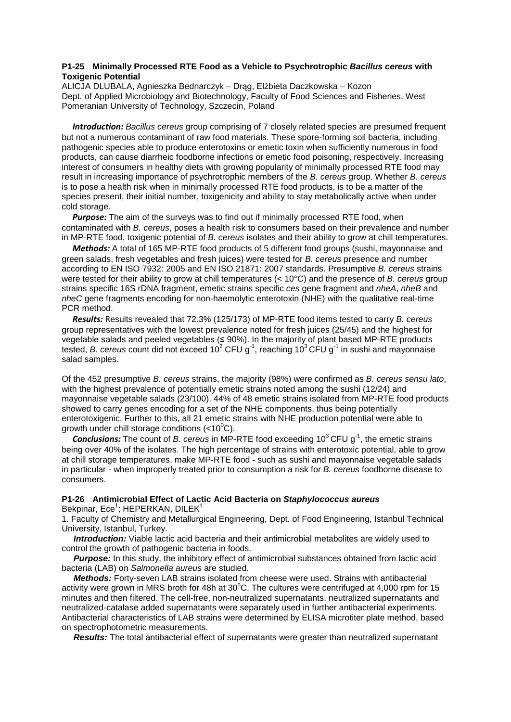#### **P1-25 Minimally Processed RTE Food as a Vehicle to Psychrotrophic** *Bacillus cereus* **with Toxigenic Potential**

ALICJA DLUBALA, Agnieszka Bednarczyk – Drąg, Elżbieta Daczkowska – Kozon Dept. of Applied Microbiology and Biotechnology, Faculty of Food Sciences and Fisheries, West Pomeranian University of Technology, Szczecin, Poland

 *Introduction: Bacillus cereus* group comprising of 7 closely related species are presumed frequent but not a numerous contaminant of raw food materials. These spore-forming soil bacteria, including pathogenic species able to produce enterotoxins or emetic toxin when sufficiently numerous in food products, can cause diarrheic foodborne infections or emetic food poisoning, respectively. Increasing interest of consumers in healthy diets with growing popularity of minimally processed RTE food may result in increasing importance of psychrotrophic members of the *B. cereus* group. Whether *B. cereus* is to pose a health risk when in minimally processed RTE food products, is to be a matter of the species present, their initial number, toxigenicity and ability to stay metabolically active when under cold storage.

*Purpose:* The aim of the surveys was to find out if minimally processed RTE food, when contaminated with *B. cereus*, poses a health risk to consumers based on their prevalence and number in MP-RTE food, toxigenic potential of *B. cereus* isolates and their ability to grow at chill temperatures.

 *Methods:* A total of 165 MP-RTE food products of 5 different food groups (sushi, mayonnaise and green salads, fresh vegetables and fresh juices) were tested for *B. cereus* presence and number according to EN ISO 7932: 2005 and EN ISO 21871: 2007 standards. Presumptive *B. cereus* strains were tested for their ability to grow at chill temperatures (< 10°C) and the presence of *B. cereus* group strains specific 16S rDNA fragment, emetic strains specific *ces* gene fragment and *nheA*, *nheB* and *nheC* gene fragments encoding for non-haemolytic enterotoxin (NHE) with the qualitative real-time PCR method.

 *Results:* Results revealed that 72.3% (125/173) of MP-RTE food items tested to carry *B. cereus* group representatives with the lowest prevalence noted for fresh juices (25/45) and the highest for vegetable salads and peeled vegetables (≤ 90%). In the majority of plant based MP-RTE products tested, *B. cereus* count did not exceed 10<sup>2</sup> CFU g<sup>-1</sup>, reaching 10<sup>3</sup> CFU g<sup>-1</sup> in sushi and mayonnaise salad samples.

Of the 452 presumptive *B. cereus* strains, the majority (98%) were confirmed as *B. cereus sensu lato*, with the highest prevalence of potentially emetic strains noted among the sushi (12/24) and mayonnaise vegetable salads (23/100). 44% of 48 emetic strains isolated from MP-RTE food products showed to carry genes encoding for a set of the NHE components, thus being potentially enterotoxigenic. Further to this, all 21 emetic strains with NHE production potential were able to growth under chill storage conditions (<10 $^0$ C).

**Conclusions:** The count of *B. cereus* in MP-RTE food exceeding 10<sup>3</sup> CFU g<sup>-1</sup>, the emetic strains being over 40% of the isolates. The high percentage of strains with enterotoxic potential, able to grow at chill storage temperatures, make MP-RTE food - such as sushi and mayonnaise vegetable salads in particular - when improperly treated prior to consumption a risk for *B. cereus* foodborne disease to consumers.

#### **P1-26 Antimicrobial Effect of Lactic Acid Bacteria on** *Staphylococcus aureus*

Bekpinar, Ece<sup>1</sup>; HEPERKAN, DILEK<sup>1</sup>

1. Faculty of Chemistry and Metallurgical Engineering, Dept. of Food Engineering, Istanbul Technical University, Istanbul, Turkey.

 *Introduction:* Viable lactic acid bacteria and their antimicrobial metabolites are widely used to control the growth of pathogenic bacteria in foods.

**Purpose:** In this study, the inhibitory effect of antimicrobial substances obtained from lactic acid bacteria (LAB) on *Salmonella aureus* are studied.

 *Methods:* Forty-seven LAB strains isolated from cheese were used. Strains with antibacterial activity were grown in MRS broth for 48h at 30°C. The cultures were centrifuged at 4,000 rpm for 15 minutes and then filtered. The cell-free, non-neutralized supernatants, neutralized supernatants and neutralized-catalase added supernatants were separately used in further antibacterial experiments. Antibacterial characteristics of LAB strains were determined by ELISA microtiter plate method, based on spectrophotometric measurements.

 *Results:* The total antibacterial effect of supernatants were greater than neutralized supernatant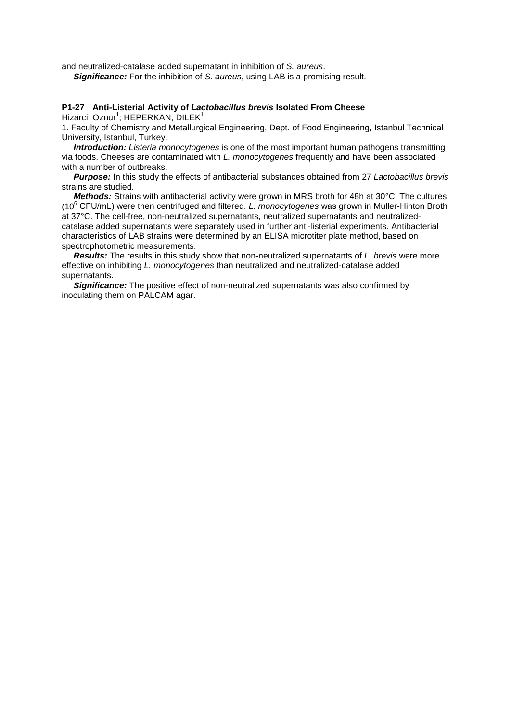and neutralized-catalase added supernatant in inhibition of *S. aureus*.

 *Significance:* For the inhibition of *S. aureus*, using LAB is a promising result.

# **P1-27 Anti-Listerial Activity of** *Lactobacillus brevis* **Isolated From Cheese**

Hizarci, Oznur<sup>1</sup>; HEPERKAN, DILEK<sup>1</sup>

1. Faculty of Chemistry and Metallurgical Engineering, Dept. of Food Engineering, Istanbul Technical University, Istanbul, Turkey.

 *Introduction: Listeria monocytogenes* is one of the most important human pathogens transmitting via foods. Cheeses are contaminated with *L. monocytogenes* frequently and have been associated with a number of outbreaks.

 *Purpose:* In this study the effects of antibacterial substances obtained from 27 *Lactobacillus brevis* strains are studied.

 *Methods:* Strains with antibacterial activity were grown in MRS broth for 48h at 30°C. The cultures (106 CFU/mL) were then centrifuged and filtered. *L. monocytogenes* was grown in Muller-Hinton Broth at 37°C. The cell-free, non-neutralized supernatants, neutralized supernatants and neutralizedcatalase added supernatants were separately used in further anti-listerial experiments. Antibacterial characteristics of LAB strains were determined by an ELISA microtiter plate method, based on spectrophotometric measurements.

 *Results:* The results in this study show that non-neutralized supernatants of *L. brevis* were more effective on inhibiting *L. monocytogenes* than neutralized and neutralized-catalase added supernatants.

 *Significance:* The positive effect of non-neutralized supernatants was also confirmed by inoculating them on PALCAM agar.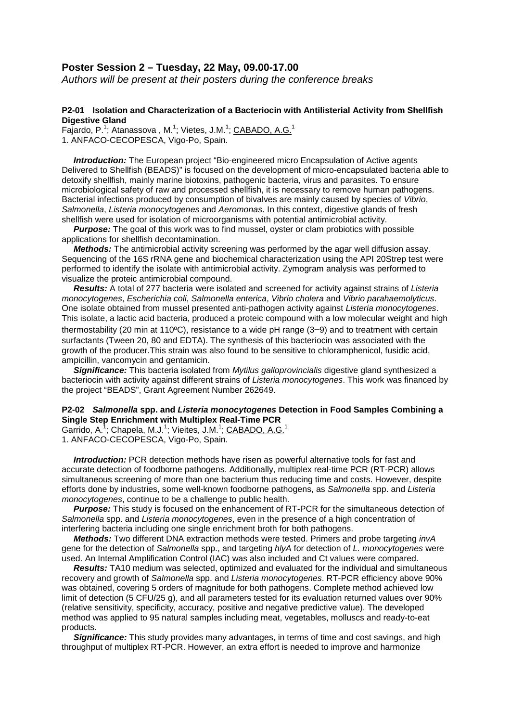## **Poster Session 2 – Tuesday, 22 May, 09.00-17.00**

*Authors will be present at their posters during the conference breaks*

#### **P2-01 Isolation and Characterization of a Bacteriocin with Antilisterial Activity from Shellfish Digestive Gland**

Fajardo, P.<sup>1</sup>; Atanassova, M.<sup>1</sup>; Vietes, J.M.<sup>1</sup>; CABADO, A.G.<sup>1</sup> 1. ANFACO-CECOPESCA, Vigo-Po, Spain.

 *Introduction:* The European project "Bio-engineered micro Encapsulation of Active agents Delivered to Shellfish (BEADS)" is focused on the development of micro-encapsulated bacteria able to detoxify shellfish, mainly marine biotoxins, pathogenic bacteria, virus and parasites. To ensure microbiological safety of raw and processed shellfish, it is necessary to remove human pathogens. Bacterial infections produced by consumption of bivalves are mainly caused by species of *Vibrio*, *Salmonella*, *Listeria monocytogenes* and *Aeromonas*. In this context, digestive glands of fresh shellfish were used for isolation of microorganisms with potential antimicrobial activity.

**Purpose:** The goal of this work was to find mussel, oyster or clam probiotics with possible applications for shellfish decontamination.

 *Methods:* The antimicrobial activity screening was performed by the agar well diffusion assay. Sequencing of the 16S rRNA gene and biochemical characterization using the API 20Strep test were performed to identify the isolate with antimicrobial activity. Zymogram analysis was performed to visualize the proteic antimicrobial compound.

 *Results:* A total of 277 bacteria were isolated and screened for activity against strains of *Listeria monocytogenes*, *Escherichia coli*, *Salmonella enterica*, *Vibrio cholera* and *Vibrio parahaemolyticus*. One isolate obtained from mussel presented anti-pathogen activity against *Listeria monocytogenes*. This isolate, a lactic acid bacteria, produced a proteic compound with a low molecular weight and high thermostability (20 min at 110ºC), resistance to a wide pH range (3–9) and to treatment with certain surfactants (Tween 20, 80 and EDTA). The synthesis of this bacteriocin was associated with the growth of the producer.This strain was also found to be sensitive to chloramphenicol, fusidic acid, ampicillin, vancomycin and gentamicin.

 *Significance:* This bacteria isolated from *Mytilus galloprovincialis* digestive gland synthesized a bacteriocin with activity against different strains of *Listeria monocytogenes*. This work was financed by the project "BEADS", Grant Agreement Number 262649.

#### **P2-02** *Salmonella* **spp. and** *Listeria monocytogenes* **Detection in Food Samples Combining a Single Step Enrichment with Multiplex Real-Time PCR**

Garrido, A.<sup>1</sup>; Chapela, M.J.<sup>1</sup>; Vieites, J.M.<sup>1</sup>; CABADO, A.G.<sup>1</sup> 1. ANFACO-CECOPESCA, Vigo-Po, Spain.

*Introduction:* PCR detection methods have risen as powerful alternative tools for fast and accurate detection of foodborne pathogens. Additionally, multiplex real-time PCR (RT-PCR) allows simultaneous screening of more than one bacterium thus reducing time and costs. However, despite efforts done by industries, some well-known foodborne pathogens, as *Salmonella* spp. and *Listeria monocytogenes*, continue to be a challenge to public health.

**Purpose:** This study is focused on the enhancement of RT-PCR for the simultaneous detection of *Salmonella* spp. and *Listeria monocytogenes*, even in the presence of a high concentration of interfering bacteria including one single enrichment broth for both pathogens.

 *Methods:* Two different DNA extraction methods were tested. Primers and probe targeting *invA* gene for the detection of *Salmonella* spp., and targeting *hlyA* for detection of *L. monocytogenes* were used. An Internal Amplification Control (IAC) was also included and Ct values were compared.

 *Results:* TA10 medium was selected, optimized and evaluated for the individual and simultaneous recovery and growth of *Salmonella* spp. and *Listeria monocytogenes*. RT-PCR efficiency above 90% was obtained, covering 5 orders of magnitude for both pathogens. Complete method achieved low limit of detection (5 CFU/25 g), and all parameters tested for its evaluation returned values over 90% (relative sensitivity, specificity, accuracy, positive and negative predictive value). The developed method was applied to 95 natural samples including meat, vegetables, molluscs and ready-to-eat products.

 *Significance:* This study provides many advantages, in terms of time and cost savings, and high throughput of multiplex RT-PCR. However, an extra effort is needed to improve and harmonize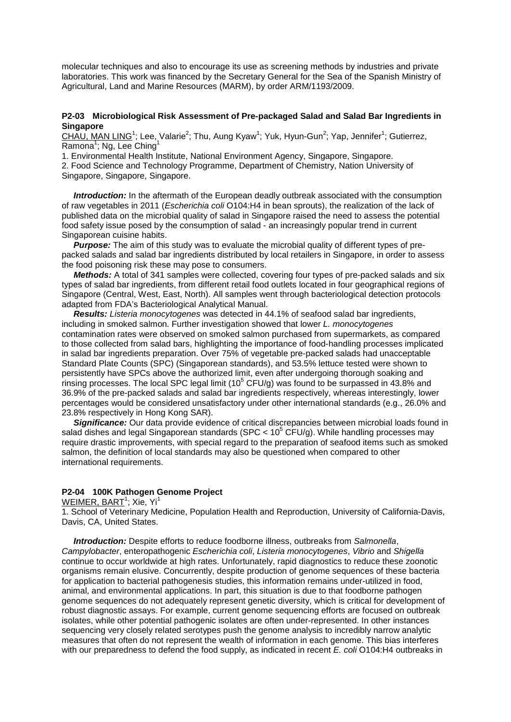molecular techniques and also to encourage its use as screening methods by industries and private laboratories. This work was financed by the Secretary General for the Sea of the Spanish Ministry of Agricultural, Land and Marine Resources (MARM), by order ARM/1193/2009.

#### **P2-03 Microbiological Risk Assessment of Pre-packaged Salad and Salad Bar Ingredients in Singapore**

CHAU, MAN LING<sup>1</sup>; Lee, Valarie<sup>2</sup>; Thu, Aung Kyaw<sup>1</sup>; Yuk, Hyun-Gun<sup>2</sup>; Yap, Jennifer<sup>1</sup>; Gutierrez, Ramona<sup>1</sup>; Ng, Lee Ching<sup>1</sup>

1. Environmental Health Institute, National Environment Agency, Singapore, Singapore. 2. Food Science and Technology Programme, Department of Chemistry, Nation University of Singapore, Singapore, Singapore.

*Introduction:* In the aftermath of the European deadly outbreak associated with the consumption of raw vegetables in 2011 (*Escherichia coli* O104:H4 in bean sprouts), the realization of the lack of published data on the microbial quality of salad in Singapore raised the need to assess the potential food safety issue posed by the consumption of salad - an increasingly popular trend in current Singaporean cuisine habits.

 *Purpose:* The aim of this study was to evaluate the microbial quality of different types of prepacked salads and salad bar ingredients distributed by local retailers in Singapore, in order to assess the food poisoning risk these may pose to consumers.

 *Methods:* A total of 341 samples were collected, covering four types of pre-packed salads and six types of salad bar ingredients, from different retail food outlets located in four geographical regions of Singapore (Central, West, East, North). All samples went through bacteriological detection protocols adapted from FDA's Bacteriological Analytical Manual.

 *Results: Listeria monocytogenes* was detected in 44.1% of seafood salad bar ingredients, including in smoked salmon. Further investigation showed that lower *L. monocytogenes* contamination rates were observed on smoked salmon purchased from supermarkets, as compared to those collected from salad bars, highlighting the importance of food-handling processes implicated in salad bar ingredients preparation. Over 75% of vegetable pre-packed salads had unacceptable Standard Plate Counts (SPC) (Singaporean standards), and 53.5% lettuce tested were shown to persistently have SPCs above the authorized limit, even after undergoing thorough soaking and rinsing processes. The local SPC legal limit (10<sup>5</sup> CFU/g) was found to be surpassed in 43.8% and 36.9% of the pre-packed salads and salad bar ingredients respectively, whereas interestingly, lower percentages would be considered unsatisfactory under other international standards (e.g., 26.0% and 23.8% respectively in Hong Kong SAR).

 *Significance:* Our data provide evidence of critical discrepancies between microbial loads found in salad dishes and legal Singaporean standards (SPC <  $10^5$  CFU/g). While handling processes may require drastic improvements, with special regard to the preparation of seafood items such as smoked salmon, the definition of local standards may also be questioned when compared to other international requirements.

## **P2-04 100K Pathogen Genome Project**

<u>WEIMER, BART</u><sup>1</sup>; Xie, Yi<sup>1</sup>

1. School of Veterinary Medicine, Population Health and Reproduction, University of California-Davis, Davis, CA, United States.

 *Introduction:* Despite efforts to reduce foodborne illness, outbreaks from *Salmonella*, *Campylobacter*, enteropathogenic *Escherichia coli*, *Listeria monocytogenes*, *Vibrio* and *Shigella* continue to occur worldwide at high rates. Unfortunately, rapid diagnostics to reduce these zoonotic organisms remain elusive. Concurrently, despite production of genome sequences of these bacteria for application to bacterial pathogenesis studies, this information remains under-utilized in food, animal, and environmental applications. In part, this situation is due to that foodborne pathogen genome sequences do not adequately represent genetic diversity, which is critical for development of robust diagnostic assays. For example, current genome sequencing efforts are focused on outbreak isolates, while other potential pathogenic isolates are often under-represented. In other instances sequencing very closely related serotypes push the genome analysis to incredibly narrow analytic measures that often do not represent the wealth of information in each genome. This bias interferes with our preparedness to defend the food supply, as indicated in recent *E. coli* O104:H4 outbreaks in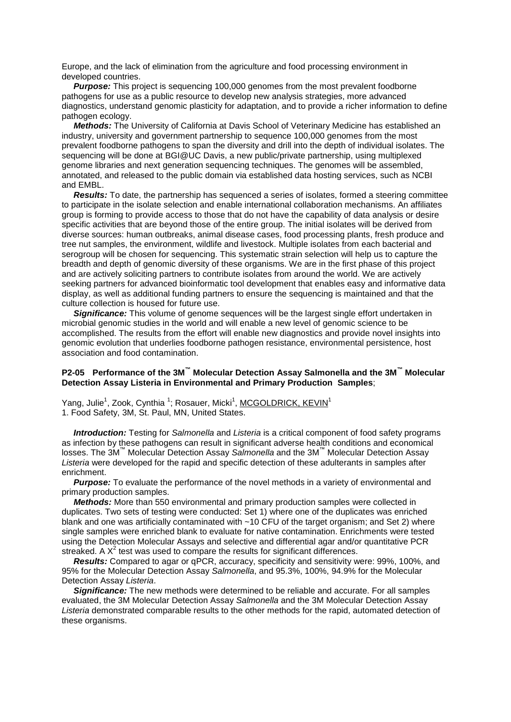Europe, and the lack of elimination from the agriculture and food processing environment in developed countries.

 *Purpose:* This project is sequencing 100,000 genomes from the most prevalent foodborne pathogens for use as a public resource to develop new analysis strategies, more advanced diagnostics, understand genomic plasticity for adaptation, and to provide a richer information to define pathogen ecology.

 *Methods:* The University of California at Davis School of Veterinary Medicine has established an industry, university and government partnership to sequence 100,000 genomes from the most prevalent foodborne pathogens to span the diversity and drill into the depth of individual isolates. The sequencing will be done at BGI@UC Davis, a new public/private partnership, using multiplexed genome libraries and next generation sequencing techniques. The genomes will be assembled, annotated, and released to the public domain via established data hosting services, such as NCBI and EMBL.

*Results:* To date, the partnership has sequenced a series of isolates, formed a steering committee to participate in the isolate selection and enable international collaboration mechanisms. An affiliates group is forming to provide access to those that do not have the capability of data analysis or desire specific activities that are beyond those of the entire group. The initial isolates will be derived from diverse sources: human outbreaks, animal disease cases, food processing plants, fresh produce and tree nut samples, the environment, wildlife and livestock. Multiple isolates from each bacterial and serogroup will be chosen for sequencing. This systematic strain selection will help us to capture the breadth and depth of genomic diversity of these organisms. We are in the first phase of this project and are actively soliciting partners to contribute isolates from around the world. We are actively seeking partners for advanced bioinformatic tool development that enables easy and informative data display, as well as additional funding partners to ensure the sequencing is maintained and that the culture collection is housed for future use.

**Significance:** This volume of genome sequences will be the largest single effort undertaken in microbial genomic studies in the world and will enable a new level of genomic science to be accomplished. The results from the effort will enable new diagnostics and provide novel insights into genomic evolution that underlies foodborne pathogen resistance, environmental persistence, host association and food contamination.

## **P2-05 Performance of the 3M™ Molecular Detection Assay Salmonella and the 3M™ Molecular Detection Assay Listeria in Environmental and Primary Production Samples**;

Yang, Julie<sup>1</sup>, Zook, Cynthia<sup>1</sup>; Rosauer, Micki<sup>1</sup>, MCGOLDRICK, KEVIN<sup>1</sup> 1. Food Safety, 3M, St. Paul, MN, United States.

 *Introduction:* Testing for *Salmonella* and *Listeria* is a critical component of food safety programs as infection by these pathogens can result in significant adverse health conditions and economical losses. The 3M™ Molecular Detection Assay *Salmonella* and the 3M™ Molecular Detection Assay *Listeria* were developed for the rapid and specific detection of these adulterants in samples after enrichment.

**Purpose:** To evaluate the performance of the novel methods in a variety of environmental and primary production samples.

 *Methods:* More than 550 environmental and primary production samples were collected in duplicates. Two sets of testing were conducted: Set 1) where one of the duplicates was enriched blank and one was artificially contaminated with ~10 CFU of the target organism; and Set 2) where single samples were enriched blank to evaluate for native contamination. Enrichments were tested using the Detection Molecular Assays and selective and differential agar and/or quantitative PCR streaked. A  $X^2$  test was used to compare the results for significant differences.

 *Results:* Compared to agar or qPCR, accuracy, specificity and sensitivity were: 99%, 100%, and 95% for the Molecular Detection Assay *Salmonella*, and 95.3%, 100%, 94.9% for the Molecular Detection Assay *Listeria*.

 *Significance:* The new methods were determined to be reliable and accurate. For all samples evaluated, the 3M Molecular Detection Assay *Salmonella* and the 3M Molecular Detection Assay *Listeria* demonstrated comparable results to the other methods for the rapid, automated detection of these organisms.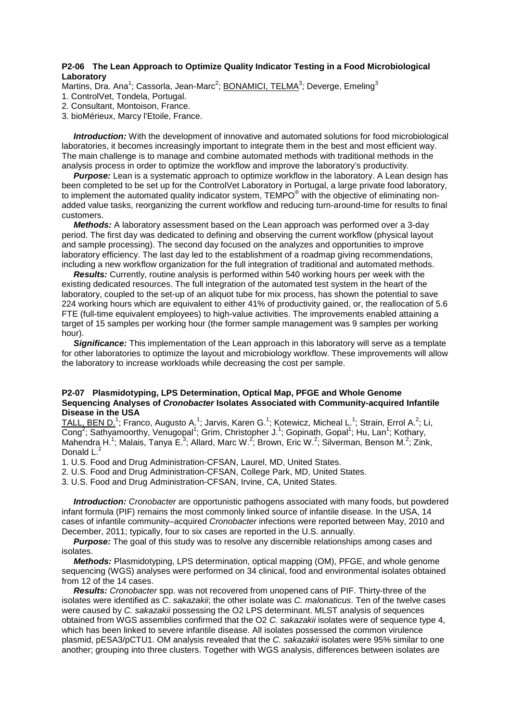#### **P2-06 The Lean Approach to Optimize Quality Indicator Testing in a Food Microbiological Laboratory**

Martins, Dra. Ana<sup>1</sup>; Cassorla, Jean-Marc<sup>2</sup>; **BONAMICI, TELMA<sup>3</sup>; Deverge, Emeling**<sup>3</sup>

- 1. ControlVet, Tondela, Portugal.
- 2. Consultant, Montoison, France.
- 3. bioMérieux, Marcy l'Etoile, France.

 *Introduction:* With the development of innovative and automated solutions for food microbiological laboratories, it becomes increasingly important to integrate them in the best and most efficient way. The main challenge is to manage and combine automated methods with traditional methods in the analysis process in order to optimize the workflow and improve the laboratory's productivity.

*Purpose:* Lean is a systematic approach to optimize workflow in the laboratory. A Lean design has been completed to be set up for the ControlVet Laboratory in Portugal, a large private food laboratory, to implement the automated quality indicator system, TEMPO<sup>®</sup> with the objective of eliminating nonadded value tasks, reorganizing the current workflow and reducing turn-around-time for results to final customers.

 *Methods:* A laboratory assessment based on the Lean approach was performed over a 3-day period. The first day was dedicated to defining and observing the current workflow (physical layout and sample processing). The second day focused on the analyzes and opportunities to improve laboratory efficiency. The last day led to the establishment of a roadmap giving recommendations, including a new workflow organization for the full integration of traditional and automated methods.

 *Results:* Currently, routine analysis is performed within 540 working hours per week with the existing dedicated resources. The full integration of the automated test system in the heart of the laboratory, coupled to the set-up of an aliquot tube for mix process, has shown the potential to save 224 working hours which are equivalent to either 41% of productivity gained, or, the reallocation of 5.6 FTE (full-time equivalent employees) to high-value activities. The improvements enabled attaining a target of 15 samples per working hour (the former sample management was 9 samples per working hour).

 *Significance:* This implementation of the Lean approach in this laboratory will serve as a template for other laboratories to optimize the layout and microbiology workflow. These improvements will allow the laboratory to increase workloads while decreasing the cost per sample.

#### **P2-07 Plasmidotyping, LPS Determination, Optical Map, PFGE and Whole Genome Sequencing Analyses of** *Cronobacter* **Isolates Associated with Community-acquired Infantile Disease in the USA**

TALL, BEN D.<sup>1</sup>; Franco, Augusto A.<sup>1</sup>; Jarvis, Karen G.<sup>1</sup>; Kotewicz, Micheal L.<sup>1</sup>; Strain, Errol A.<sup>2</sup>; Li, Cong<sup>2</sup>; Sathyamoorthy, Venugopal<sup>1</sup>; Grim, Christopher J.<sup>1</sup>; Gopinath, Gopal<sup>1</sup>; Hu, Lan<sup>1</sup>; Kothary, Mahendra H.<sup>1</sup>; Malais, Tanya E.<sup>3</sup>; Allard, Marc W.<sup>2</sup>; Brown, Eric W.<sup>2</sup>; Silverman, Benson M.<sup>2</sup>; Zink, Donald L.<sup>2</sup>

1. U.S. Food and Drug Administration-CFSAN, Laurel, MD, United States.

2. U.S. Food and Drug Administration-CFSAN, College Park, MD, United States.

3. U.S. Food and Drug Administration-CFSAN, Irvine, CA, United States.

 *Introduction: Cronobacter* are opportunistic pathogens associated with many foods, but powdered infant formula (PIF) remains the most commonly linked source of infantile disease. In the USA, 14 cases of infantile community–acquired *Cronobacter* infections were reported between May, 2010 and December, 2011; typically, four to six cases are reported in the U.S. annually.

*Purpose:* The goal of this study was to resolve any discernible relationships among cases and isolates.

 *Methods:* Plasmidotyping, LPS determination, optical mapping (OM), PFGE, and whole genome sequencing (WGS) analyses were performed on 34 clinical, food and environmental isolates obtained from 12 of the 14 cases.

 *Results: Cronobacter* spp. was not recovered from unopened cans of PIF. Thirty-three of the isolates were identified as *C. sakazakii*; the other isolate was *C. malonaticus*. Ten of the twelve cases were caused by *C. sakazakii* possessing the O2 LPS determinant. MLST analysis of sequences obtained from WGS assemblies confirmed that the O2 *C. sakazakii* isolates were of sequence type 4, which has been linked to severe infantile disease. All isolates possessed the common virulence plasmid, pESA3/pCTU1. OM analysis revealed that the *C. sakazakii* isolates were 95% similar to one another; grouping into three clusters. Together with WGS analysis, differences between isolates are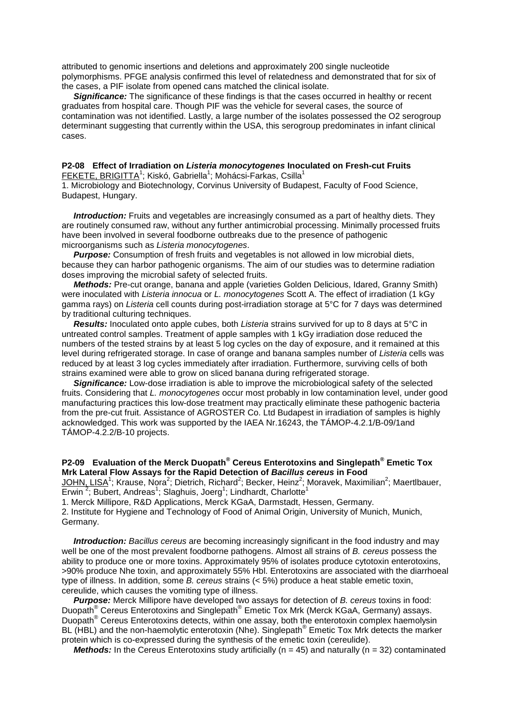attributed to genomic insertions and deletions and approximately 200 single nucleotide polymorphisms. PFGE analysis confirmed this level of relatedness and demonstrated that for six of the cases, a PIF isolate from opened cans matched the clinical isolate.

*Significance:* The significance of these findings is that the cases occurred in healthy or recent graduates from hospital care. Though PIF was the vehicle for several cases, the source of contamination was not identified. Lastly, a large number of the isolates possessed the O2 serogroup determinant suggesting that currently within the USA, this serogroup predominates in infant clinical cases.

#### **P2-08 Effect of Irradiation on** *Listeria monocytogenes* **Inoculated on Fresh-cut Fruits** <u>FEKETE, BRIGITTA</u><sup>1</sup>; Kiskó, Gabriella<sup>1</sup>; Mohácsi-Farkas, Csilla<sup>1</sup>

1. Microbiology and Biotechnology, Corvinus University of Budapest, Faculty of Food Science, Budapest, Hungary.

*Introduction:* Fruits and vegetables are increasingly consumed as a part of healthy diets. They are routinely consumed raw, without any further antimicrobial processing. Minimally processed fruits have been involved in several foodborne outbreaks due to the presence of pathogenic microorganisms such as *Listeria monocytogenes*.

 *Purpose:* Consumption of fresh fruits and vegetables is not allowed in low microbial diets, because they can harbor pathogenic organisms. The aim of our studies was to determine radiation doses improving the microbial safety of selected fruits.

 *Methods:* Pre-cut orange, banana and apple (varieties Golden Delicious, Idared, Granny Smith) were inoculated with *Listeria innocua* or *L. monocytogenes* Scott A. The effect of irradiation (1 kGy gamma rays) on *Listeria* cell counts during post-irradiation storage at 5°C for 7 days was determined by traditional culturing techniques.

 *Results:* Inoculated onto apple cubes, both *Listeria* strains survived for up to 8 days at 5°C in untreated control samples. Treatment of apple samples with 1 kGy irradiation dose reduced the numbers of the tested strains by at least 5 log cycles on the day of exposure, and it remained at this level during refrigerated storage. In case of orange and banana samples number of *Listeria* cells was reduced by at least 3 log cycles immediately after irradiation. Furthermore, surviving cells of both strains examined were able to grow on sliced banana during refrigerated storage.

**Significance:** Low-dose irradiation is able to improve the microbiological safety of the selected fruits. Considering that *L. monocytogenes* occur most probably in low contamination level, under good manufacturing practices this low-dose treatment may practically eliminate these pathogenic bacteria from the pre-cut fruit. Assistance of AGROSTER Co. Ltd Budapest in irradiation of samples is highly acknowledged. This work was supported by the IAEA Nr.16243, the TÁMOP-4.2.1/B-09/1and TÁMOP-4.2.2/B-10 projects.

## **P2-09 Evaluation of the Merck Duopath® Cereus Enterotoxins and Singlepath® Emetic Tox Mrk Lateral Flow Assays for the Rapid Detection of** *Bacillus cereus* **in Food**

JOHN, LISA<sup>1</sup>; Krause, Nora<sup>2</sup>; Dietrich, Richard<sup>2</sup>; Becker, Heinz<sup>2</sup>; Moravek, Maximilian<sup>2</sup>; Maertlbauer, Erwin<sup>2</sup>; Bubert, Andreas<sup>1</sup>; Slaghuis, Joerg<sup>1</sup>; Lindhardt, Charlotte<sup>1</sup>

1. Merck Millipore, R&D Applications, Merck KGaA, Darmstadt, Hessen, Germany.

2. Institute for Hygiene and Technology of Food of Animal Origin, University of Munich, Munich, Germany.

 *Introduction: Bacillus cereus* are becoming increasingly significant in the food industry and may well be one of the most prevalent foodborne pathogens. Almost all strains of *B. cereus* possess the ability to produce one or more toxins. Approximately 95% of isolates produce cytotoxin enterotoxins, >90% produce Nhe toxin, and approximately 55% Hbl. Enterotoxins are associated with the diarrhoeal type of illness. In addition, some *B. cereus* strains (< 5%) produce a heat stable emetic toxin, cereulide, which causes the vomiting type of illness.

 *Purpose:* Merck Millipore have developed two assays for detection of *B. cereus* toxins in food: Duopath® Cereus Enterotoxins and Singlepath® Emetic Tox Mrk (Merck KGaA, Germany) assays. Duopath<sup>®</sup> Cereus Enterotoxins detects, within one assay, both the enterotoxin complex haemolysin BL (HBL) and the non-haemolytic enterotoxin (Nhe). Singlepath<sup>®</sup> Emetic Tox Mrk detects the marker protein which is co-expressed during the synthesis of the emetic toxin (cereulide).

*Methods:* In the Cereus Enterotoxins study artificially ( $n = 45$ ) and naturally ( $n = 32$ ) contaminated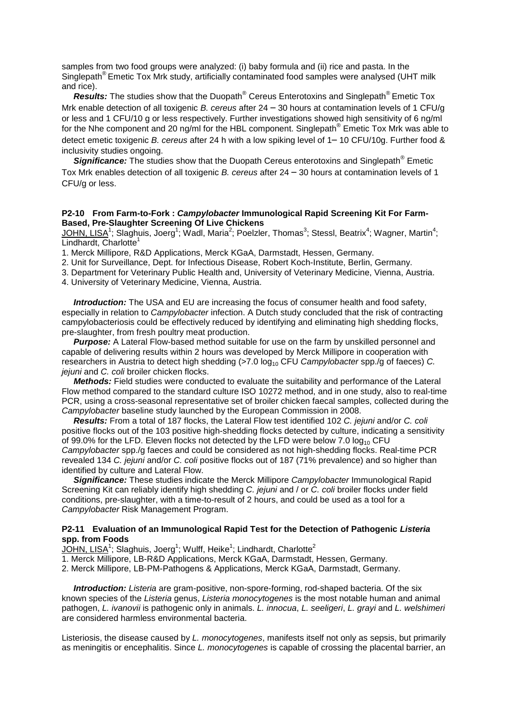samples from two food groups were analyzed: (i) baby formula and (ii) rice and pasta. In the Singlepath® Emetic Tox Mrk study, artificially contaminated food samples were analysed (UHT milk and rice).

 *Results:* The studies show that the Duopath® Cereus Enterotoxins and Singlepath® Emetic Tox Mrk enable detection of all toxigenic *B. cereus* after 24 – 30 hours at contamination levels of 1 CFU/g or less and 1 CFU/10 g or less respectively. Further investigations showed high sensitivity of 6 ng/ml for the Nhe component and 20 ng/ml for the HBL component. Singlepath® Emetic Tox Mrk was able to detect emetic toxigenic *B. cereus* after 24 h with a low spiking level of 1– 10 CFU/10g. Further food & inclusivity studies ongoing.

**Significance:** The studies show that the Duopath Cereus enterotoxins and Singlepath<sup>®</sup> Emetic Tox Mrk enables detection of all toxigenic *B. cereus* after 24 – 30 hours at contamination levels of 1 CFU/g or less.

#### **P2-10 From Farm-to-Fork :** *Campylobacter* **Immunological Rapid Screening Kit For Farm-Based, Pre-Slaughter Screening Of Live Chickens**

 $JOHN$ , LISA<sup>1</sup>; Slaghuis, Joerg<sup>1</sup>; Wadl, Maria<sup>2</sup>; Poelzler, Thomas<sup>3</sup>; Stessl, Beatrix<sup>4</sup>; Wagner, Martin<sup>4</sup>; Lindhardt, Charlotte<sup>1</sup>

1. Merck Millipore, R&D Applications, Merck KGaA, Darmstadt, Hessen, Germany.

2. Unit for Surveillance, Dept. for Infectious Disease, Robert Koch-Institute, Berlin, Germany.

3. Department for Veterinary Public Health and, University of Veterinary Medicine, Vienna, Austria.

4. University of Veterinary Medicine, Vienna, Austria.

*Introduction:* The USA and EU are increasing the focus of consumer health and food safety, especially in relation to *Campylobacter* infection. A Dutch study concluded that the risk of contracting campylobacteriosis could be effectively reduced by identifying and eliminating high shedding flocks, pre-slaughter, from fresh poultry meat production.

 *Purpose:* A Lateral Flow-based method suitable for use on the farm by unskilled personnel and capable of delivering results within 2 hours was developed by Merck Millipore in cooperation with researchers in Austria to detect high shedding (>7.0 log<sub>10</sub> CFU *Campylobacter* spp./g of faeces) *C. jejuni* and *C. coli* broiler chicken flocks.

 *Methods:* Field studies were conducted to evaluate the suitability and performance of the Lateral Flow method compared to the standard culture ISO 10272 method, and in one study, also to real-time PCR, using a cross-seasonal representative set of broiler chicken faecal samples, collected during the *Campylobacter* baseline study launched by the European Commission in 2008.

 *Results:* From a total of 187 flocks, the Lateral Flow test identified 102 *C. jejuni* and/or *C. coli* positive flocks out of the 103 positive high-shedding flocks detected by culture, indicating a sensitivity of 99.0% for the LFD. Eleven flocks not detected by the LFD were below 7.0  $log_{10}$  CFU *Campylobacter* spp./g faeces and could be considered as not high-shedding flocks. Real-time PCR revealed 134 *C. jejuni* and/or *C. coli* positive flocks out of 187 (71% prevalence) and so higher than identified by culture and Lateral Flow.

 *Significance:* These studies indicate the Merck Millipore *Campylobacter* Immunological Rapid Screening Kit can reliably identify high shedding *C. jejuni* and / or *C. coli* broiler flocks under field conditions, pre-slaughter, with a time-to-result of 2 hours, and could be used as a tool for a *Campylobacter* Risk Management Program.

#### **P2-11 Evaluation of an Immunological Rapid Test for the Detection of Pathogenic** *Listeria* **spp. from Foods**

 $\overline{\text{JOHN}}, \overline{\text{LISA}}^1;$  Slaghuis, Joerg $^1;$  Wulff, Heike $^1;$  Lindhardt, Charlotte $^2$ 

1. Merck Millipore, LB-R&D Applications, Merck KGaA, Darmstadt, Hessen, Germany.

2. Merck Millipore, LB-PM-Pathogens & Applications, Merck KGaA, Darmstadt, Germany.

 *Introduction: Listeria* are gram-positive, non-spore-forming, rod-shaped bacteria. Of the six known species of the *Listeria* genus, *Listeria monocytogenes* is the most notable human and animal pathogen, *L. ivanovii* is pathogenic only in animals. *L. innocua*, *L. seeligeri*, *L. grayi* and *L. welshimeri* are considered harmless environmental bacteria.

Listeriosis, the disease caused by *L. monocytogenes*, manifests itself not only as sepsis, but primarily as meningitis or encephalitis. Since *L. monocytogenes* is capable of crossing the placental barrier, an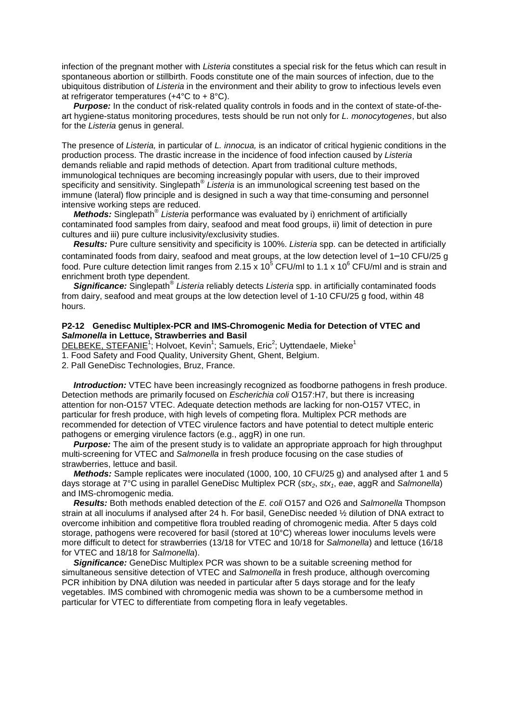infection of the pregnant mother with *Listeria* constitutes a special risk for the fetus which can result in spontaneous abortion or stillbirth. Foods constitute one of the main sources of infection, due to the ubiquitous distribution of *Listeria* in the environment and their ability to grow to infectious levels even at refrigerator temperatures  $(+4^{\circ}C)$  to  $+8^{\circ}C$ ).

*Purpose:* In the conduct of risk-related quality controls in foods and in the context of state-of-theart hygiene-status monitoring procedures, tests should be run not only for *L. monocytogenes*, but also for the *Listeria* genus in general.

The presence of *Listeria,* in particular of *L. innocua,* is an indicator of critical hygienic conditions in the production process. The drastic increase in the incidence of food infection caused by *Listeria* demands reliable and rapid methods of detection. Apart from traditional culture methods, immunological techniques are becoming increasingly popular with users, due to their improved specificity and sensitivity. Singlepath® *Listeria* is an immunological screening test based on the immune (lateral) flow principle and is designed in such a way that time-consuming and personnel intensive working steps are reduced.

 *Methods:* Singlepath® *Listeria* performance was evaluated by i) enrichment of artificially contaminated food samples from dairy, seafood and meat food groups, ii) limit of detection in pure cultures and iii) pure culture inclusivity/exclusivity studies.

 *Results:* Pure culture sensitivity and specificity is 100%. *Listeria* spp. can be detected in artificially contaminated foods from dairy, seafood and meat groups, at the low detection level of 1–10 CFU/25 g food. Pure culture detection limit ranges from 2.15 x 10<sup>5</sup> CFU/ml to 1.1 x 10<sup>6</sup> CFU/ml and is strain and enrichment broth type dependent.

 *Significance:* Singlepath® *Listeria* reliably detects *Listeria* spp. in artificially contaminated foods from dairy, seafood and meat groups at the low detection level of 1-10 CFU/25 g food, within 48 hours.

#### **P2-12 Genedisc Multiplex-PCR and IMS-Chromogenic Media for Detection of VTEC and**  *Salmonella* **in Lettuce, Strawberries and Basil**

DELBEKE, STEFANIE<sup>1</sup>; Holvoet, Kevin<sup>1</sup>; Samuels, Eric<sup>2</sup>; Uyttendaele, Mieke<sup>1</sup>

1. Food Safety and Food Quality, University Ghent, Ghent, Belgium.

2. Pall GeneDisc Technologies, Bruz, France.

*Introduction:* VTEC have been increasingly recognized as foodborne pathogens in fresh produce. Detection methods are primarily focused on *Escherichia coli* O157:H7, but there is increasing attention for non-O157 VTEC. Adequate detection methods are lacking for non-O157 VTEC, in particular for fresh produce, with high levels of competing flora. Multiplex PCR methods are recommended for detection of VTEC virulence factors and have potential to detect multiple enteric pathogens or emerging virulence factors (e.g., aggR) in one run.

**Purpose:** The aim of the present study is to validate an appropriate approach for high throughput multi-screening for VTEC and *Salmonella* in fresh produce focusing on the case studies of strawberries, lettuce and basil.

 *Methods:* Sample replicates were inoculated (1000, 100, 10 CFU/25 g) and analysed after 1 and 5 days storage at 7°C using in parallel GeneDisc Multiplex PCR (*stx<sub>2</sub>*, *stx<sub>1</sub>*, *eae*, aggR and *Salmonella*) and IMS-chromogenic media.

 *Results:* Both methods enabled detection of the *E. coli* O157 and O26 and *Salmonella* Thompson strain at all inoculums if analysed after 24 h. For basil, GeneDisc needed ½ dilution of DNA extract to overcome inhibition and competitive flora troubled reading of chromogenic media. After 5 days cold storage, pathogens were recovered for basil (stored at 10°C) whereas lower inoculums levels were more difficult to detect for strawberries (13/18 for VTEC and 10/18 for *Salmonella*) and lettuce (16/18 for VTEC and 18/18 for *Salmonella*).

 *Significance:* GeneDisc Multiplex PCR was shown to be a suitable screening method for simultaneous sensitive detection of VTEC and *Salmonella* in fresh produce, although overcoming PCR inhibition by DNA dilution was needed in particular after 5 days storage and for the leafy vegetables. IMS combined with chromogenic media was shown to be a cumbersome method in particular for VTEC to differentiate from competing flora in leafy vegetables.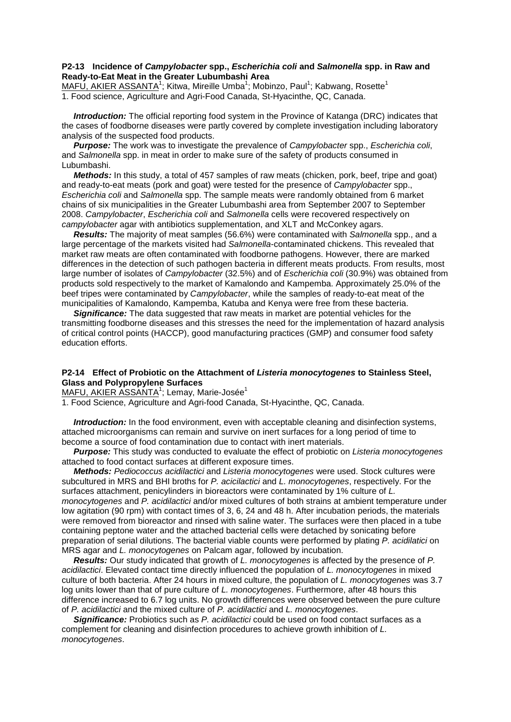#### **P2-13 Incidence of** *Campylobacter* **spp.,** *Escherichia coli* **and** *Salmonella* **spp. in Raw and Ready-to-Eat Meat in the Greater Lubumbashi Area**

MAFU, AKIER ASSANTA<sup>1</sup>; Kitwa, Mireille Umba<sup>1</sup>; Mobinzo, Paul<sup>1</sup>; Kabwang, Rosette<sup>1</sup> 1. Food science, Agriculture and Agri-Food Canada, St-Hyacinthe, QC, Canada.

 *Introduction:* The official reporting food system in the Province of Katanga (DRC) indicates that the cases of foodborne diseases were partly covered by complete investigation including laboratory analysis of the suspected food products.

 *Purpose:* The work was to investigate the prevalence of *Campylobacter* spp., *Escherichia coli*, and *Salmonella* spp. in meat in order to make sure of the safety of products consumed in Lubumbashi.

 *Methods:* In this study, a total of 457 samples of raw meats (chicken, pork, beef, tripe and goat) and ready-to-eat meats (pork and goat) were tested for the presence of *Campylobacter* spp., *Escherichia coli* and *Salmonella* spp. The sample meats were randomly obtained from 6 market chains of six municipalities in the Greater Lubumbashi area from September 2007 to September 2008. *Campylobacter*, *Escherichia coli* and *Salmonella* cells were recovered respectively on *campylobacter* agar with antibiotics supplementation, and XLT and McConkey agars.

 *Results:* The majority of meat samples (56.6%) were contaminated with *Salmonella* spp., and a large percentage of the markets visited had *Salmonella*-contaminated chickens. This revealed that market raw meats are often contaminated with foodborne pathogens. However, there are marked differences in the detection of such pathogen bacteria in different meats products. From results, most large number of isolates of *Campylobacter* (32.5%) and of *Escherichia coli* (30.9%) was obtained from products sold respectively to the market of Kamalondo and Kampemba. Approximately 25.0% of the beef tripes were contaminated by *Campylobacter*, while the samples of ready-to-eat meat of the municipalities of Kamalondo, Kampemba, Katuba and Kenya were free from these bacteria.

 *Significance:* The data suggested that raw meats in market are potential vehicles for the transmitting foodborne diseases and this stresses the need for the implementation of hazard analysis of critical control points (HACCP), good manufacturing practices (GMP) and consumer food safety education efforts.

#### **P2-14 Effect of Probiotic on the Attachment of** *Listeria monocytogenes* **to Stainless Steel, Glass and Polypropylene Surfaces**

MAFU, AKIER ASSANTA<sup>1</sup>; Lemay, Marie-Josée<sup>1</sup>

1. Food Science, Agriculture and Agri-food Canada, St-Hyacinthe, QC, Canada.

*Introduction:* In the food environment, even with acceptable cleaning and disinfection systems, attached microorganisms can remain and survive on inert surfaces for a long period of time to become a source of food contamination due to contact with inert materials.

 *Purpose:* This study was conducted to evaluate the effect of probiotic on *Listeria monocytogenes* attached to food contact surfaces at different exposure times.

 *Methods: Pediococcus acidilactici* and *Listeria monocytogenes* were used. Stock cultures were subcultured in MRS and BHI broths for *P. acicilactici* and *L. monocytogenes*, respectively. For the surfaces attachment, penicylinders in bioreactors were contaminated by 1% culture of *L. monocytogenes* and *P. acidilactici* and/or mixed cultures of both strains at ambient temperature under low agitation (90 rpm) with contact times of 3, 6, 24 and 48 h. After incubation periods, the materials were removed from bioreactor and rinsed with saline water. The surfaces were then placed in a tube containing peptone water and the attached bacterial cells were detached by sonicating before preparation of serial dilutions. The bacterial viable counts were performed by plating *P. acidilatici* on MRS agar and *L. monocytogenes* on Palcam agar, followed by incubation.

 *Results:* Our study indicated that growth of *L. monocytogenes* is affected by the presence of *P. acidilactici*. Elevated contact time directly influenced the population of *L. monocytogenes* in mixed culture of both bacteria. After 24 hours in mixed culture, the population of *L. monocytogenes* was 3.7 log units lower than that of pure culture of *L. monocytogenes*. Furthermore, after 48 hours this difference increased to 6.7 log units. No growth differences were observed between the pure culture of *P. acidilactici* and the mixed culture of *P. acidilactici* and *L. monocytogenes*.

 *Significance:* Probiotics such as *P. acidilactici* could be used on food contact surfaces as a complement for cleaning and disinfection procedures to achieve growth inhibition of *L. monocytogenes*.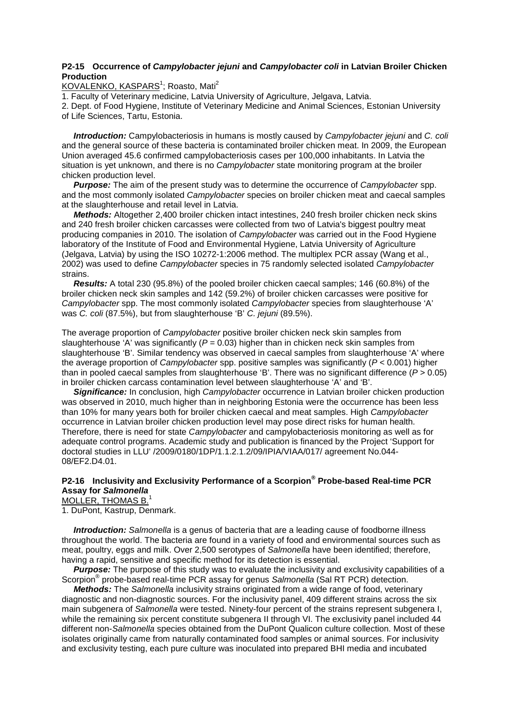#### **P2-15 Occurrence of** *Campylobacter jejuni* **and** *Campylobacter coli* **in Latvian Broiler Chicken Production**

KOVALENKO, KASPARS<sup>1</sup>; Roasto, Mati<sup>2</sup>

1. Faculty of Veterinary medicine, Latvia University of Agriculture, Jelgava, Latvia.

2. Dept. of Food Hygiene, Institute of Veterinary Medicine and Animal Sciences, Estonian University of Life Sciences, Tartu, Estonia.

 *Introduction:* Campylobacteriosis in humans is mostly caused by *Campylobacter jejuni* and *C. coli* and the general source of these bacteria is contaminated broiler chicken meat. In 2009, the European Union averaged 45.6 confirmed campylobacteriosis cases per 100,000 inhabitants. In Latvia the situation is yet unknown, and there is no *Campylobacter* state monitoring program at the broiler chicken production level.

 *Purpose:* The aim of the present study was to determine the occurrence of *Campylobacter* spp. and the most commonly isolated *Campylobacter* species on broiler chicken meat and caecal samples at the slaughterhouse and retail level in Latvia.

 *Methods:* Altogether 2,400 broiler chicken intact intestines, 240 fresh broiler chicken neck skins and 240 fresh broiler chicken carcasses were collected from two of Latvia's biggest poultry meat producing companies in 2010. The isolation of *Campylobacter* was carried out in the Food Hygiene laboratory of the Institute of Food and Environmental Hygiene, Latvia University of Agriculture (Jelgava, Latvia) by using the ISO 10272-1:2006 method. The multiplex PCR assay (Wang et al., 2002) was used to define *Campylobacter* species in 75 randomly selected isolated *Campylobacter* strains.

 *Results:* A total 230 (95.8%) of the pooled broiler chicken caecal samples; 146 (60.8%) of the broiler chicken neck skin samples and 142 (59.2%) of broiler chicken carcasses were positive for *Campylobacter* spp. The most commonly isolated *Campylobacter* species from slaughterhouse 'A' was *C. coli* (87.5%), but from slaughterhouse 'B' *C. jejuni* (89.5%).

The average proportion of *Campylobacter* positive broiler chicken neck skin samples from slaughterhouse 'A' was significantly ( $P = 0.03$ ) higher than in chicken neck skin samples from slaughterhouse 'B'. Similar tendency was observed in caecal samples from slaughterhouse 'A' where the average proportion of *Campylobacter* spp. positive samples was significantly (*P* < 0.001) higher than in pooled caecal samples from slaughterhouse 'B'. There was no significant difference (*P* > 0.05) in broiler chicken carcass contamination level between slaughterhouse 'A' and 'B'.

 *Significance:* In conclusion, high *Campylobacter* occurrence in Latvian broiler chicken production was observed in 2010, much higher than in neighboring Estonia were the occurrence has been less than 10% for many years both for broiler chicken caecal and meat samples. High *Campylobacter* occurrence in Latvian broiler chicken production level may pose direct risks for human health. Therefore, there is need for state *Campylobacter* and campylobacteriosis monitoring as well as for adequate control programs. Academic study and publication is financed by the Project 'Support for doctoral studies in LLU' /2009/0180/1DP/1.1.2.1.2/09/IPIA/VIAA/017/ agreement No.044- 08/EF2.D4.01.

## **P2-16 Inclusivity and Exclusivity Performance of a Scorpion® Probe-based Real-time PCR Assay for** *Salmonella*

MOLLER, THOMAS B.

1. DuPont, Kastrup, Denmark.

 *Introduction: Salmonella* is a genus of bacteria that are a leading cause of foodborne illness throughout the world. The bacteria are found in a variety of food and environmental sources such as meat, poultry, eggs and milk. Over 2,500 serotypes of *Salmonella* have been identified; therefore, having a rapid, sensitive and specific method for its detection is essential.

*Purpose:* The purpose of this study was to evaluate the inclusivity and exclusivity capabilities of a Scorpion® probe-based real-time PCR assay for genus *Salmonella* (Sal RT PCR) detection.

 *Methods:* The *Salmonella* inclusivity strains originated from a wide range of food, veterinary diagnostic and non-diagnostic sources. For the inclusivity panel, 409 different strains across the six main subgenera of *Salmonella* were tested. Ninety-four percent of the strains represent subgenera I, while the remaining six percent constitute subgenera II through VI. The exclusivity panel included 44 different non-*Salmonella* species obtained from the DuPont Qualicon culture collection. Most of these isolates originally came from naturally contaminated food samples or animal sources. For inclusivity and exclusivity testing, each pure culture was inoculated into prepared BHI media and incubated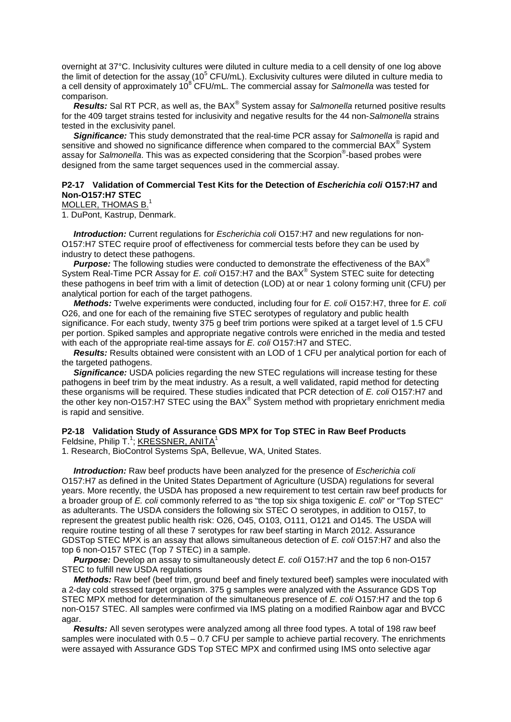overnight at 37°C. Inclusivity cultures were diluted in culture media to a cell density of one log above the limit of detection for the assay (10<sup>5</sup> CFU/mL). Exclusivity cultures were diluted in culture media to a cell density of approximately 10<sup>8</sup> CFU/mL. The commercial assay for *Salmonella* was tested for comparison.

 *Results:* Sal RT PCR, as well as, the BAX® System assay for *Salmonella* returned positive results for the 409 target strains tested for inclusivity and negative results for the 44 non-*Salmonella* strains tested in the exclusivity panel.

 *Significance:* This study demonstrated that the real-time PCR assay for *Salmonella* is rapid and sensitive and showed no significance difference when compared to the commercial BAX<sup>®</sup> System assay for *Salmonella*. This was as expected considering that the Scorpion® -based probes were designed from the same target sequences used in the commercial assay.

#### **P2-17 Validation of Commercial Test Kits for the Detection of** *Escherichia coli* **O157:H7 and Non-O157:H7 STEC**

MOLLER, THOMAS B.<sup>1</sup>

1. DuPont, Kastrup, Denmark.

 *Introduction:* Current regulations for *Escherichia coli* O157:H7 and new regulations for non-O157:H7 STEC require proof of effectiveness for commercial tests before they can be used by industry to detect these pathogens.

 *Purpose:* The following studies were conducted to demonstrate the effectiveness of the BAX® System Real-Time PCR Assay for *E. coli* O157:H7 and the BAX® System STEC suite for detecting these pathogens in beef trim with a limit of detection (LOD) at or near 1 colony forming unit (CFU) per analytical portion for each of the target pathogens.

 *Methods:* Twelve experiments were conducted, including four for *E. coli* O157:H7, three for *E. coli* O26, and one for each of the remaining five STEC serotypes of regulatory and public health significance. For each study, twenty 375 g beef trim portions were spiked at a target level of 1.5 CFU per portion. Spiked samples and appropriate negative controls were enriched in the media and tested with each of the appropriate real-time assays for *E. coli* O157:H7 and STEC.

 *Results:* Results obtained were consistent with an LOD of 1 CFU per analytical portion for each of the targeted pathogens.

**Significance:** USDA policies regarding the new STEC regulations will increase testing for these pathogens in beef trim by the meat industry. As a result, a well validated, rapid method for detecting these organisms will be required. These studies indicated that PCR detection of *E. coli* O157:H7 and the other key non-O157:H7 STEC using the BAX<sup>®</sup> System method with proprietary enrichment media is rapid and sensitive.

#### **P2-18 Validation Study of Assurance GDS MPX for Top STEC in Raw Beef Products** Feldsine, Philip T.<sup>1</sup>; KRESSNER, ANITA<sup>1</sup>

1. Research, BioControl Systems SpA, Bellevue, WA, United States.

 *Introduction:* Raw beef products have been analyzed for the presence of *Escherichia coli* O157:H7 as defined in the United States Department of Agriculture (USDA) regulations for several years. More recently, the USDA has proposed a new requirement to test certain raw beef products for a broader group of *E. coli* commonly referred to as "the top six shiga toxigenic *E. coli*" or "Top STEC" as adulterants. The USDA considers the following six STEC O serotypes, in addition to O157, to represent the greatest public health risk: O26, O45, O103, O111, O121 and O145. The USDA will require routine testing of all these 7 serotypes for raw beef starting in March 2012. Assurance GDSTop STEC MPX is an assay that allows simultaneous detection of *E. coli* O157:H7 and also the top 6 non-O157 STEC (Top 7 STEC) in a sample.

 *Purpose:* Develop an assay to simultaneously detect *E. coli* O157:H7 and the top 6 non-O157 STEC to fulfill new USDA regulations

 *Methods:* Raw beef (beef trim, ground beef and finely textured beef) samples were inoculated with a 2-day cold stressed target organism. 375 g samples were analyzed with the Assurance GDS Top STEC MPX method for determination of the simultaneous presence of *E. coli* O157:H7 and the top 6 non-O157 STEC. All samples were confirmed via IMS plating on a modified Rainbow agar and BVCC agar.

 *Results:* All seven serotypes were analyzed among all three food types. A total of 198 raw beef samples were inoculated with  $0.5 - 0.7$  CFU per sample to achieve partial recovery. The enrichments were assayed with Assurance GDS Top STEC MPX and confirmed using IMS onto selective agar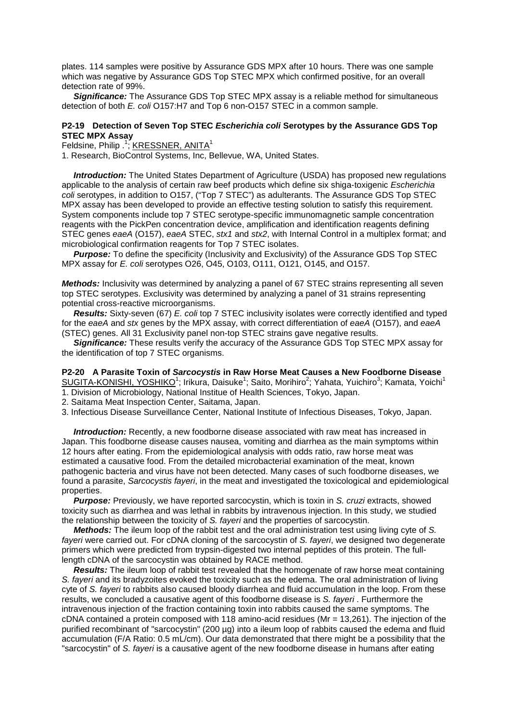plates. 114 samples were positive by Assurance GDS MPX after 10 hours. There was one sample which was negative by Assurance GDS Top STEC MPX which confirmed positive, for an overall detection rate of 99%.

 *Significance:* The Assurance GDS Top STEC MPX assay is a reliable method for simultaneous detection of both *E. coli* O157:H7 and Top 6 non-O157 STEC in a common sample.

#### **P2-19 Detection of Seven Top STEC** *Escherichia coli* **Serotypes by the Assurance GDS Top STEC MPX Assay**

Feldsine, Philip .<sup>1</sup>; KRESSNER, ANITA<sup>1</sup>

1. Research, BioControl Systems, Inc, Bellevue, WA, United States.

*Introduction:* The United States Department of Agriculture (USDA) has proposed new regulations applicable to the analysis of certain raw beef products which define six shiga-toxigenic *Escherichia coli* serotypes, in addition to O157, ("Top 7 STEC") as adulterants. The Assurance GDS Top STEC MPX assay has been developed to provide an effective testing solution to satisfy this requirement. System components include top 7 STEC serotype-specific immunomagnetic sample concentration reagents with the PickPen concentration device, amplification and identification reagents defining STEC genes *eaeA* (O157), *eaeA* STEC, *stx1* and *stx2*, with Internal Control in a multiplex format; and microbiological confirmation reagents for Top 7 STEC isolates.

*Purpose:* To define the specificity (Inclusivity and Exclusivity) of the Assurance GDS Top STEC MPX assay for *E. coli* serotypes O26, O45, O103, O111, O121, O145, and O157.

*Methods:* Inclusivity was determined by analyzing a panel of 67 STEC strains representing all seven top STEC serotypes. Exclusivity was determined by analyzing a panel of 31 strains representing potential cross-reactive microorganisms.

 *Results:* Sixty-seven (67) *E. coli* top 7 STEC inclusivity isolates were correctly identified and typed for the *eaeA* and *stx* genes by the MPX assay, with correct differentiation of *eaeA* (O157), and *eaeA* (STEC) genes. All 31 Exclusivity panel non-top STEC strains gave negative results.

 *Significance:* These results verify the accuracy of the Assurance GDS Top STEC MPX assay for the identification of top 7 STEC organisms.

#### **P2-20 A Parasite Toxin of** *Sarcocystis* **in Raw Horse Meat Causes a New Foodborne Disease**  SUGITA-KONISHI, YOSHIKO<sup>1</sup>; Irikura, Daisuke<sup>1</sup>; Saito, Morihiro<sup>2</sup>; Yahata, Yuichiro<sup>3</sup>; Kamata, Yoichi<sup>1</sup>

1. Division of Microbiology, National Institue of Health Sciences, Tokyo, Japan.

2. Saitama Meat Inspection Center, Saitama, Japan.

3. Infectious Disease Surveillance Center, National Institute of Infectious Diseases, Tokyo, Japan.

 *Introduction:* Recently, a new foodborne disease associated with raw meat has increased in Japan. This foodborne disease causes nausea, vomiting and diarrhea as the main symptoms within 12 hours after eating. From the epidemiological analysis with odds ratio, raw horse meat was estimated a causative food. From the detailed microbacterial examination of the meat, known pathogenic bacteria and virus have not been detected. Many cases of such foodborne diseases, we found a parasite, *Sarcocystis fayeri*, in the meat and investigated the toxicological and epidemiological properties.

**Purpose:** Previously, we have reported sarcocystin, which is toxin in *S. cruzi* extracts, showed toxicity such as diarrhea and was lethal in rabbits by intravenous injection. In this study, we studied the relationship between the toxicity of *S. fayeri* and the properties of sarcocystin.

 *Methods:* The ileum loop of the rabbit test and the oral administration test using living cyte of *S. fayeri* were carried out. For cDNA cloning of the sarcocystin of *S. fayeri*, we designed two degenerate primers which were predicted from trypsin-digested two internal peptides of this protein. The fulllength cDNA of the sarcocystin was obtained by RACE method.

 *Results:* The ileum loop of rabbit test revealed that the homogenate of raw horse meat containing *S. fayeri* and its bradyzoites evoked the toxicity such as the edema. The oral administration of living cyte of *S. fayeri* to rabbits also caused bloody diarrhea and fluid accumulation in the loop. From these results, we concluded a causative agent of this foodborne disease is *S. fayeri* . Furthermore the intravenous injection of the fraction containing toxin into rabbits caused the same symptoms. The cDNA contained a protein composed with 118 amino-acid residues (Mr = 13,261). The injection of the purified recombinant of "sarcocystin" (200 µg) into a ileum loop of rabbits caused the edema and fluid accumulation (F/A Ratio: 0.5 mL/cm). Our data demonstrated that there might be a possibility that the "sarcocystin" of *S. fayeri* is a causative agent of the new foodborne disease in humans after eating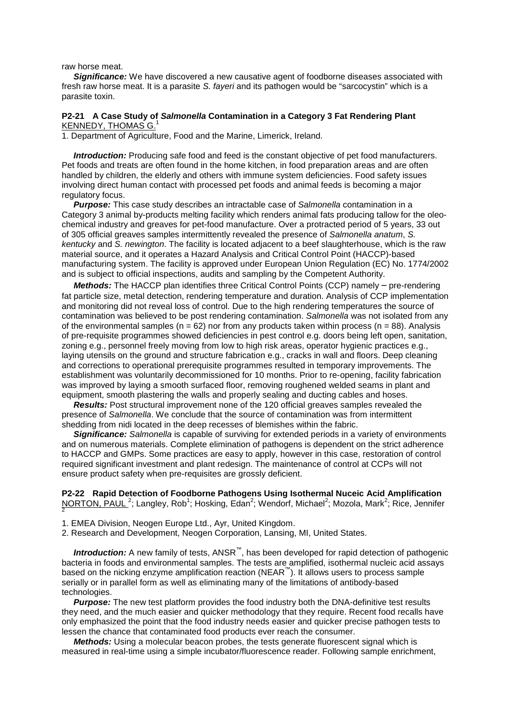raw horse meat.

2

**Significance:** We have discovered a new causative agent of foodborne diseases associated with fresh raw horse meat. It is a parasite *S. fayeri* and its pathogen would be "sarcocystin" which is a parasite toxin.

#### **P2-21 A Case Study of** *Salmonella* **Contamination in a Category 3 Fat Rendering Plant** KENNEDY, THOMAS G.1

1. Department of Agriculture, Food and the Marine, Limerick, Ireland.

*Introduction:* Producing safe food and feed is the constant objective of pet food manufacturers. Pet foods and treats are often found in the home kitchen, in food preparation areas and are often handled by children, the elderly and others with immune system deficiencies. Food safety issues involving direct human contact with processed pet foods and animal feeds is becoming a major regulatory focus.

 *Purpose:* This case study describes an intractable case of *Salmonella* contamination in a Category 3 animal by-products melting facility which renders animal fats producing tallow for the oleochemical industry and greaves for pet-food manufacture. Over a protracted period of 5 years, 33 out of 305 official greaves samples intermittently revealed the presence of *Salmonella anatum*, *S. kentucky* and *S. newington*. The facility is located adjacent to a beef slaughterhouse, which is the raw material source, and it operates a Hazard Analysis and Critical Control Point (HACCP)-based manufacturing system. The facility is approved under European Union Regulation (EC) No. 1774/2002 and is subject to official inspections, audits and sampling by the Competent Authority.

*Methods:* The HACCP plan identifies three Critical Control Points (CCP) namely - pre-rendering fat particle size, metal detection, rendering temperature and duration. Analysis of CCP implementation and monitoring did not reveal loss of control. Due to the high rendering temperatures the source of contamination was believed to be post rendering contamination. *Salmonella* was not isolated from any of the environmental samples ( $n = 62$ ) nor from any products taken within process ( $n = 88$ ). Analysis of pre-requisite programmes showed deficiencies in pest control e.g. doors being left open, sanitation, zoning e.g., personnel freely moving from low to high risk areas, operator hygienic practices e.g., laying utensils on the ground and structure fabrication e.g., cracks in wall and floors. Deep cleaning and corrections to operational prerequisite programmes resulted in temporary improvements. The establishment was voluntarily decommissioned for 10 months. Prior to re-opening, facility fabrication was improved by laying a smooth surfaced floor, removing roughened welded seams in plant and equipment, smooth plastering the walls and properly sealing and ducting cables and hoses.

 *Results:* Post structural improvement none of the 120 official greaves samples revealed the presence of *Salmonella*. We conclude that the source of contamination was from intermittent shedding from nidi located in the deep recesses of blemishes within the fabric.

 *Significance: Salmonella* is capable of surviving for extended periods in a variety of environments and on numerous materials. Complete elimination of pathogens is dependent on the strict adherence to HACCP and GMPs. Some practices are easy to apply, however in this case, restoration of control required significant investment and plant redesign. The maintenance of control at CCPs will not ensure product safety when pre-requisites are grossly deficient.

## **P2-22 Rapid Detection of Foodborne Pathogens Using Isothermal Nuceic Acid Amplification** NORTON, PAUL<sup>2</sup>; Langley, Rob<sup>1</sup>; Hosking, Edan<sup>2</sup>; Wendorf, Michael<sup>2</sup>; Mozola, Mark<sup>2</sup>; Rice, Jennifer

- 1. EMEA Division, Neogen Europe Ltd., Ayr, United Kingdom.
- 2. Research and Development, Neogen Corporation, Lansing, MI, United States.

*Introduction:* A new family of tests, ANSR<sup>™</sup>, has been developed for rapid detection of pathogenic bacteria in foods and environmental samples. The tests are amplified, isothermal nucleic acid assays based on the nicking enzyme amplification reaction (NEAR™). It allows users to process sample serially or in parallel form as well as eliminating many of the limitations of antibody-based technologies.

 *Purpose:* The new test platform provides the food industry both the DNA-definitive test results they need, and the much easier and quicker methodology that they require. Recent food recalls have only emphasized the point that the food industry needs easier and quicker precise pathogen tests to lessen the chance that contaminated food products ever reach the consumer.

 *Methods:* Using a molecular beacon probes, the tests generate fluorescent signal which is measured in real-time using a simple incubator/fluorescence reader. Following sample enrichment,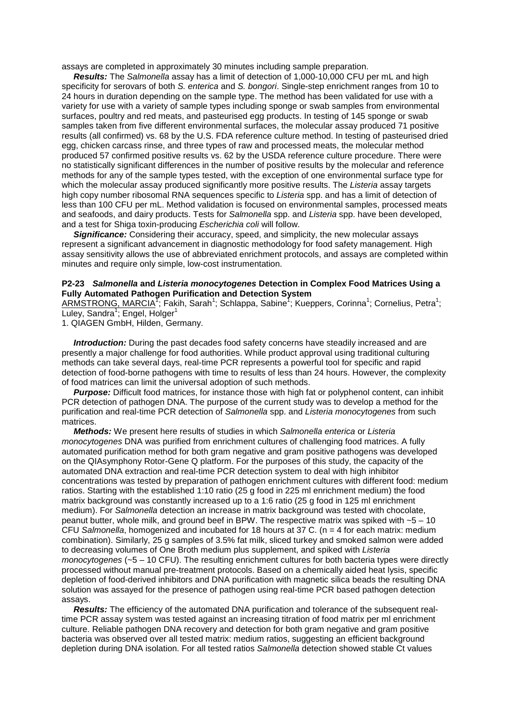assays are completed in approximately 30 minutes including sample preparation.

 *Results:* The *Salmonella* assay has a limit of detection of 1,000-10,000 CFU per mL and high specificity for serovars of both *S. enterica* and *S. bongori*. Single-step enrichment ranges from 10 to 24 hours in duration depending on the sample type. The method has been validated for use with a variety for use with a variety of sample types including sponge or swab samples from environmental surfaces, poultry and red meats, and pasteurised egg products. In testing of 145 sponge or swab samples taken from five different environmental surfaces, the molecular assay produced 71 positive results (all confirmed) vs. 68 by the U.S. FDA reference culture method. In testing of pasteurised dried egg, chicken carcass rinse, and three types of raw and processed meats, the molecular method produced 57 confirmed positive results vs. 62 by the USDA reference culture procedure. There were no statistically significant differences in the number of positive results by the molecular and reference methods for any of the sample types tested, with the exception of one environmental surface type for which the molecular assay produced significantly more positive results. The *Listeria* assay targets high copy number ribosomal RNA sequences specific to *Listeria* spp. and has a limit of detection of less than 100 CFU per mL. Method validation is focused on environmental samples, processed meats and seafoods, and dairy products. Tests for *Salmonella* spp. and *Listeria* spp. have been developed, and a test for Shiga toxin-producing *Escherichia coli* will follow.

 *Significance:* Considering their accuracy, speed, and simplicity, the new molecular assays represent a significant advancement in diagnostic methodology for food safety management. High assay sensitivity allows the use of abbreviated enrichment protocols, and assays are completed within minutes and require only simple, low-cost instrumentation.

#### **P2-23** *Salmonella* **and** *Listeria monocytogenes* **Detection in Complex Food Matrices Using a Fully Automated Pathogen Purification and Detection System**

ARMSTRONG, MARCIA<sup>T</sup>; Fakih, Sarah<sup>1</sup>; Schlappa, Sabine<sup>1</sup>; Kueppers, Corinna<sup>1</sup>; Cornelius, Petra<sup>1</sup>; Luley, Sandra<sup>1</sup>; Engel, Holger<sup>1</sup>

1. QIAGEN GmbH, Hilden, Germany.

**Introduction:** During the past decades food safety concerns have steadily increased and are presently a major challenge for food authorities. While product approval using traditional culturing methods can take several days, real-time PCR represents a powerful tool for specific and rapid detection of food-borne pathogens with time to results of less than 24 hours. However, the complexity of food matrices can limit the universal adoption of such methods.

 *Purpose:* Difficult food matrices, for instance those with high fat or polyphenol content, can inhibit PCR detection of pathogen DNA. The purpose of the current study was to develop a method for the purification and real-time PCR detection of *Salmonella* spp. and *Listeria monocytogenes* from such matrices.

 *Methods:* We present here results of studies in which *Salmonella enterica* or *Listeria monocytogenes* DNA was purified from enrichment cultures of challenging food matrices. A fully automated purification method for both gram negative and gram positive pathogens was developed on the QIAsymphony Rotor-Gene Q platform. For the purposes of this study, the capacity of the automated DNA extraction and real-time PCR detection system to deal with high inhibitor concentrations was tested by preparation of pathogen enrichment cultures with different food: medium ratios. Starting with the established 1:10 ratio (25 g food in 225 ml enrichment medium) the food matrix background was constantly increased up to a 1:6 ratio (25 g food in 125 ml enrichment medium). For *Salmonella* detection an increase in matrix background was tested with chocolate, peanut butter, whole milk, and ground beef in BPW. The respective matrix was spiked with  $-5 - 10$ CFU *Salmonella*, homogenized and incubated for 18 hours at 37 C. (n = 4 for each matrix: medium combination). Similarly, 25 g samples of 3.5% fat milk, sliced turkey and smoked salmon were added to decreasing volumes of One Broth medium plus supplement, and spiked with *Listeria monocytogenes* (~5 – 10 CFU). The resulting enrichment cultures for both bacteria types were directly processed without manual pre-treatment protocols. Based on a chemically aided heat lysis, specific depletion of food-derived inhibitors and DNA purification with magnetic silica beads the resulting DNA solution was assayed for the presence of pathogen using real-time PCR based pathogen detection assays.

 *Results:* The efficiency of the automated DNA purification and tolerance of the subsequent realtime PCR assay system was tested against an increasing titration of food matrix per ml enrichment culture. Reliable pathogen DNA recovery and detection for both gram negative and gram positive bacteria was observed over all tested matrix: medium ratios, suggesting an efficient background depletion during DNA isolation. For all tested ratios *Salmonella* detection showed stable Ct values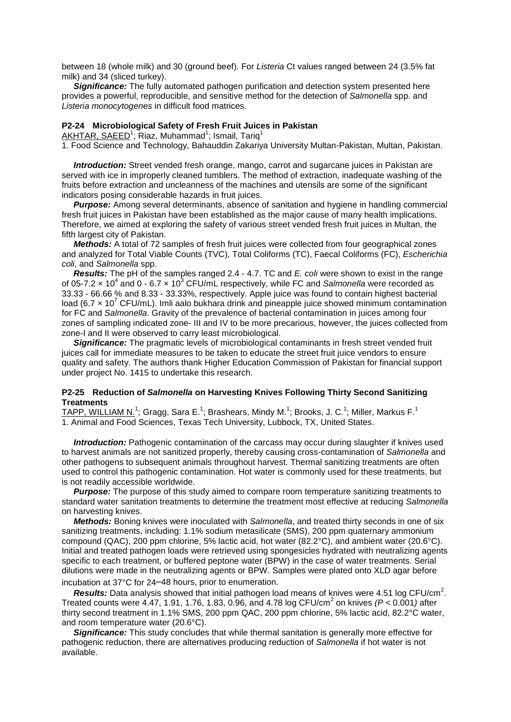between 18 (whole milk) and 30 (ground beef). For *Listeria* Ct values ranged between 24 (3.5% fat milk) and 34 (sliced turkey).

**Significance:** The fully automated pathogen purification and detection system presented here provides a powerful, reproducible, and sensitive method for the detection of *Salmonella* spp. and *Listeria monocytogenes* in difficult food matrices.

#### **P2-24 Microbiological Safety of Fresh Fruit Juices in Pakistan**

AKHTAR, SAEED<sup>1</sup>; Riaz, Muhammad<sup>1</sup>; Ismail, Tariq<sup>1</sup>

1. Food Science and Technology, Bahauddin Zakariya University Multan-Pakistan, Multan, Pakistan.

 *Introduction:* Street vended fresh orange, mango, carrot and sugarcane juices in Pakistan are served with ice in improperly cleaned tumblers. The method of extraction, inadequate washing of the fruits before extraction and uncleanness of the machines and utensils are some of the significant indicators posing considerable hazards in fruit juices.

 *Purpose:* Among several determinants, absence of sanitation and hygiene in handling commercial fresh fruit juices in Pakistan have been established as the major cause of many health implications. Therefore, we aimed at exploring the safety of various street vended fresh fruit juices in Multan, the fifth largest city of Pakistan.

 *Methods:* A total of 72 samples of fresh fruit juices were collected from four geographical zones and analyzed for Total Viable Counts (TVC), Total Coliforms (TC), Faecal Coliforms (FC), *Escherichia coli*, and *Salmonella* spp.

 *Results:* The pH of the samples ranged 2.4 - 4.7. TC and *E. coli* were shown to exist in the range of 05-7.2  $\times$  10<sup>4</sup> and 0 - 6.7  $\times$  10<sup>3</sup> CFU/mL respectively, while FC and *Salmonella* were recorded as 33.33 - 66.66 % and 8.33 - 33.33%, respectively. Apple juice was found to contain highest bacterial load (6.7  $\times$  10<sup>7</sup> CFU/mL). Imli aalo bukhara drink and pineapple juice showed minimum contamination for FC and *Salmonella*. Gravity of the prevalence of bacterial contamination in juices among four zones of sampling indicated zone- III and IV to be more precarious, however, the juices collected from zone-I and II were observed to carry least microbiological.

 *Significance:* The pragmatic levels of microbiological contaminants in fresh street vended fruit juices call for immediate measures to be taken to educate the street fruit juice vendors to ensure quality and safety. The authors thank Higher Education Commission of Pakistan for financial support under project No. 1415 to undertake this research.

#### **P2-25 Reduction of** *Salmonella* **on Harvesting Knives Following Thirty Second Sanitizing Treatments**

 ${\tt TAPP, WILLIAM\ N.}^1;$  Gragg, Sara E. $^1;$  Brashears, Mindy M. $^1;$  Brooks, J. C. $^1;$  Miller, Markus F. $^1$ 1. Animal and Food Sciences, Texas Tech University, Lubbock, TX, United States.

 *Introduction:* Pathogenic contamination of the carcass may occur during slaughter if knives used to harvest animals are not sanitized properly, thereby causing cross-contamination of *Salmonella* and other pathogens to subsequent animals throughout harvest. Thermal sanitizing treatments are often used to control this pathogenic contamination. Hot water is commonly used for these treatments, but is not readily accessible worldwide.

**Purpose:** The purpose of this study aimed to compare room temperature sanitizing treatments to standard water sanitation treatments to determine the treatment most effective at reducing *Salmonella* on harvesting knives.

 *Methods:* Boning knives were inoculated with *Salmonella*, and treated thirty seconds in one of six sanitizing treatments, including: 1.1% sodium metasilicate (SMS), 200 ppm quaternary ammonium compound (QAC), 200 ppm chlorine, 5% lactic acid, hot water (82.2°C), and ambient water (20.6°C). Initial and treated pathogen loads were retrieved using spongesicles hydrated with neutralizing agents specific to each treatment, or buffered peptone water (BPW) in the case of water treatments. Serial dilutions were made in the neutralizing agents or BPW. Samples were plated onto XLD agar before incubation at 37°C for 24–48 hours, prior to enumeration.

**Results:** Data analysis showed that initial pathogen load means of knives were 4.51 log CFU/cm<sup>2</sup>. Treated counts were 4.47, 1.91, 1.76, 1.83, 0.96, and 4.78 log CFU/cm<sup>2</sup> on knives *(P* < 0.001*)* after thirty second treatment in 1.1% SMS, 200 ppm QAC, 200 ppm chlorine, 5% lactic acid, 82.2°C water, and room temperature water (20.6°C).

 *Significance:* This study concludes that while thermal sanitation is generally more effective for pathogenic reduction, there are alternatives producing reduction of *Salmonella* if hot water is not available.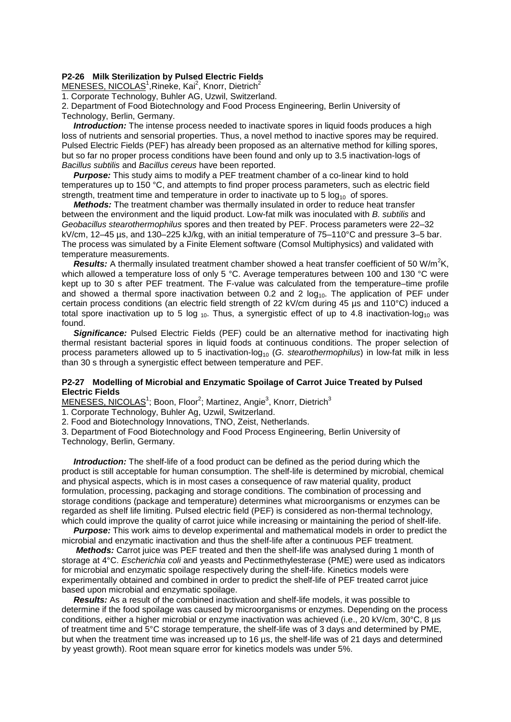#### **P2-26 Milk Sterilization by Pulsed Electric Fields**

MENESES, NICOLAS<sup>1</sup>, Rineke, Kai<sup>2</sup>, Knorr, Dietrich<sup>2</sup>

1. Corporate Technology, Buhler AG, Uzwil, Switzerland.

2. Department of Food Biotechnology and Food Process Engineering, Berlin University of Technology, Berlin, Germany.

**Introduction:** The intense process needed to inactivate spores in liquid foods produces a high loss of nutrients and sensorial properties. Thus, a novel method to inactive spores may be required. Pulsed Electric Fields (PEF) has already been proposed as an alternative method for killing spores, but so far no proper process conditions have been found and only up to 3.5 inactivation-logs of *Bacillus subtilis* and *Bacillus cereus* have been reported.

 *Purpose:* This study aims to modify a PEF treatment chamber of a co-linear kind to hold temperatures up to 150 °C, and attempts to find proper process parameters, such as electric field strength, treatment time and temperature in order to inactivate up to  $5 \log_{10}$  of spores.

 *Methods:* The treatment chamber was thermally insulated in order to reduce heat transfer between the environment and the liquid product. Low-fat milk was inoculated with *B. subtilis* and *Geobacillus stearothermophilus* spores and then treated by PEF. Process parameters were 22–32 kV/cm, 12–45 µs, and 130–225 kJ/kg, with an initial temperature of 75–110°C and pressure 3–5 bar. The process was simulated by a Finite Element software (Comsol Multiphysics) and validated with temperature measurements.

Results: A thermally insulated treatment chamber showed a heat transfer coefficient of 50 W/m<sup>2</sup>K, which allowed a temperature loss of only 5 °C. Average temperatures between 100 and 130 °C were kept up to 30 s after PEF treatment. The F-value was calculated from the temperature–time profile and showed a thermal spore inactivation between 0.2 and 2  $log<sub>10</sub>$ . The application of PEF under certain process conditions (an electric field strength of 22 kV/cm during 45 µs and 110°C) induced a total spore inactivation up to 5 log  $_{10}$ . Thus, a synergistic effect of up to 4.8 inactivation-log<sub>10</sub> was found.

**Significance:** Pulsed Electric Fields (PEF) could be an alternative method for inactivating high thermal resistant bacterial spores in liquid foods at continuous conditions. The proper selection of process parameters allowed up to 5 inactivation-log<sub>10</sub> (*G. stearothermophilus*) in low-fat milk in less than 30 s through a synergistic effect between temperature and PEF.

#### **P2-27 Modelling of Microbial and Enzymatic Spoilage of Carrot Juice Treated by Pulsed Electric Fields**

MENESES, NICOLAS<sup>1</sup>; Boon, Floor<sup>2</sup>; Martinez, Angie<sup>3</sup>, Knorr, Dietrich<sup>3</sup>

1. Corporate Technology, Buhler Ag, Uzwil, Switzerland.

2. Food and Biotechnology Innovations, TNO, Zeist, Netherlands.

3. Department of Food Biotechnology and Food Process Engineering, Berlin University of Technology, Berlin, Germany.

 *Introduction:* The shelf-life of a food product can be defined as the period during which the product is still acceptable for human consumption. The shelf-life is determined by microbial, chemical and physical aspects, which is in most cases a consequence of raw material quality, product formulation, processing, packaging and storage conditions. The combination of processing and storage conditions (package and temperature) determines what microorganisms or enzymes can be regarded as shelf life limiting. Pulsed electric field (PEF) is considered as non-thermal technology, which could improve the quality of carrot juice while increasing or maintaining the period of shelf-life.

 *Purpose:* This work aims to develop experimental and mathematical models in order to predict the microbial and enzymatic inactivation and thus the shelf-life after a continuous PEF treatment.

 *Methods:* Carrot juice was PEF treated and then the shelf-life was analysed during 1 month of storage at 4°C. *Escherichia coli* and yeasts and Pectinmethylesterase (PME) were used as indicators for microbial and enzymatic spoilage respectively during the shelf-life. Kinetics models were experimentally obtained and combined in order to predict the shelf-life of PEF treated carrot juice based upon microbial and enzymatic spoilage.

 *Results:* As a result of the combined inactivation and shelf-life models, it was possible to determine if the food spoilage was caused by microorganisms or enzymes. Depending on the process conditions, either a higher microbial or enzyme inactivation was achieved (i.e., 20 kV/cm, 30°C, 8 µs of treatment time and 5°C storage temperature, the shelf-life was of 3 days and determined by PME, but when the treatment time was increased up to 16 µs, the shelf-life was of 21 days and determined by yeast growth). Root mean square error for kinetics models was under 5%.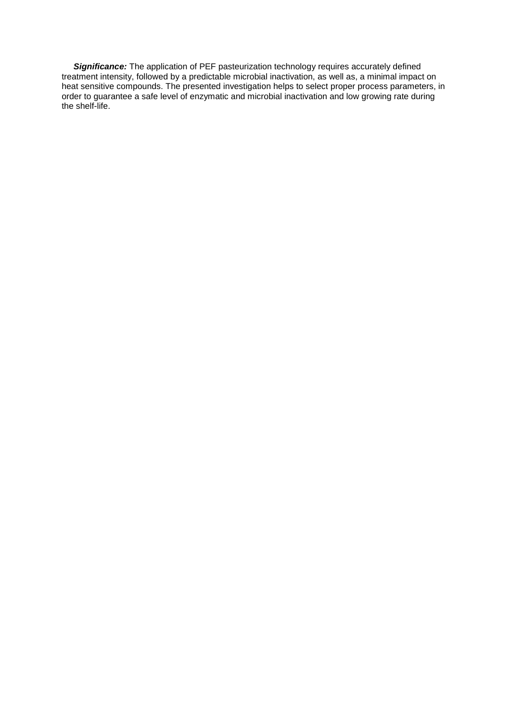**Significance:** The application of PEF pasteurization technology requires accurately defined treatment intensity, followed by a predictable microbial inactivation, as well as, a minimal impact on heat sensitive compounds. The presented investigation helps to select proper process parameters, in order to guarantee a safe level of enzymatic and microbial inactivation and low growing rate during the shelf-life.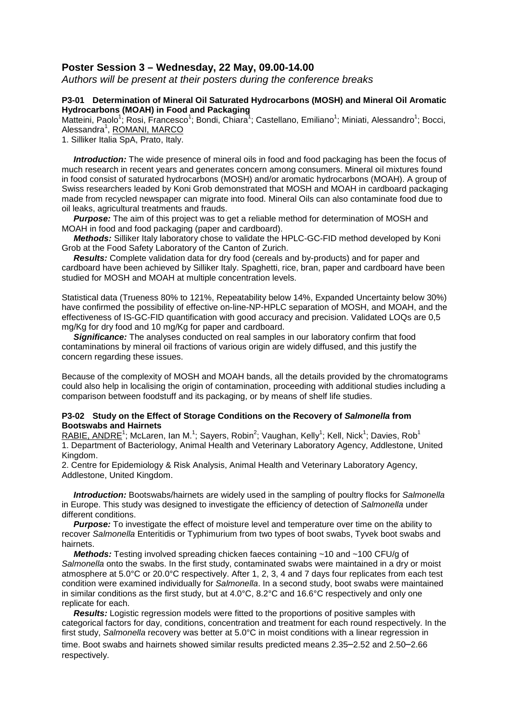## **Poster Session 3 – Wednesday, 22 May, 09.00-14.00**

*Authors will be present at their posters during the conference breaks*

## **P3-01 Determination of Mineral Oil Saturated Hydrocarbons (MOSH) and Mineral Oil Aromatic Hydrocarbons (MOAH) in Food and Packaging**

Matteini, Paolo<sup>1</sup>; Rosi, Francesco<sup>1</sup>; Bondi, Chiara<sup>1</sup>; Castellano, Emiliano<sup>1</sup>; Miniati, Alessandro<sup>1</sup>; Bocci, Alessandra<sup>1</sup>, <u>ROMANI, MARCO</u>

1. Silliker Italia SpA, Prato, Italy.

 *Introduction:* The wide presence of mineral oils in food and food packaging has been the focus of much research in recent years and generates concern among consumers. Mineral oil mixtures found in food consist of saturated hydrocarbons (MOSH) and/or aromatic hydrocarbons (MOAH). A group of Swiss researchers leaded by Koni Grob demonstrated that MOSH and MOAH in cardboard packaging made from recycled newspaper can migrate into food. Mineral Oils can also contaminate food due to oil leaks, agricultural treatments and frauds.

**Purpose:** The aim of this project was to get a reliable method for determination of MOSH and MOAH in food and food packaging (paper and cardboard).

 *Methods:* Silliker Italy laboratory chose to validate the HPLC-GC-FID method developed by Koni Grob at the Food Safety Laboratory of the Canton of Zurich.

 *Results:* Complete validation data for dry food (cereals and by-products) and for paper and cardboard have been achieved by Silliker Italy. Spaghetti, rice, bran, paper and cardboard have been studied for MOSH and MOAH at multiple concentration levels.

Statistical data (Trueness 80% to 121%, Repeatability below 14%, Expanded Uncertainty below 30%) have confirmed the possibility of effective on-line-NP-HPLC separation of MOSH, and MOAH, and the effectiveness of IS-GC-FID quantification with good accuracy and precision. Validated LOQs are 0,5 mg/Kg for dry food and 10 mg/Kg for paper and cardboard.

*Significance:* The analyses conducted on real samples in our laboratory confirm that food contaminations by mineral oil fractions of various origin are widely diffused, and this justify the concern regarding these issues.

Because of the complexity of MOSH and MOAH bands, all the details provided by the chromatograms could also help in localising the origin of contamination, proceeding with additional studies including a comparison between foodstuff and its packaging, or by means of shelf life studies.

#### **P3-02 Study on the Effect of Storage Conditions on the Recovery of** *Salmonella* **from Bootswabs and Hairnets**

 $\overline{\text{RABLE}}, \overline{\text{ANDRE}}^1; \text{McLaren},$  Ian M. $^1$ ; Sayers, Robin $^2$ ; Vaughan, Kelly $^1$ ; Kell, Nick $^1$ ; Davies, Rob $^1$ 1. Department of Bacteriology, Animal Health and Veterinary Laboratory Agency, Addlestone, United Kingdom.

2. Centre for Epidemiology & Risk Analysis, Animal Health and Veterinary Laboratory Agency, Addlestone, United Kingdom.

 *Introduction:* Bootswabs/hairnets are widely used in the sampling of poultry flocks for *Salmonella* in Europe. This study was designed to investigate the efficiency of detection of *Salmonella* under different conditions.

 *Purpose:* To investigate the effect of moisture level and temperature over time on the ability to recover *Salmonella* Enteritidis or Typhimurium from two types of boot swabs, Tyvek boot swabs and hairnets.

 *Methods:* Testing involved spreading chicken faeces containing ~10 and ~100 CFU/g of *Salmonella* onto the swabs. In the first study, contaminated swabs were maintained in a dry or moist atmosphere at 5.0°C or 20.0°C respectively. After 1, 2, 3, 4 and 7 days four replicates from each test condition were examined individually for *Salmonella*. In a second study, boot swabs were maintained in similar conditions as the first study, but at 4.0°C, 8.2°C and 16.6°C respectively and only one replicate for each.

 *Results:* Logistic regression models were fitted to the proportions of positive samples with categorical factors for day, conditions, concentration and treatment for each round respectively. In the first study, *Salmonella* recovery was better at 5.0°C in moist conditions with a linear regression in time. Boot swabs and hairnets showed similar results predicted means 2.35–2.52 and 2.50–2.66 respectively.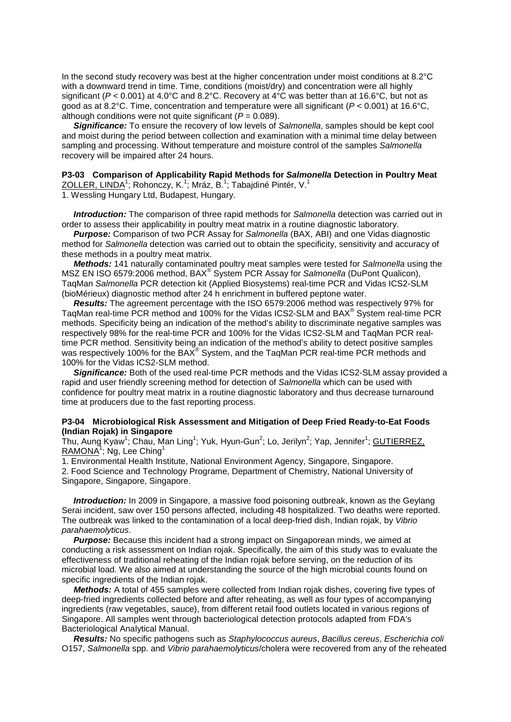In the second study recovery was best at the higher concentration under moist conditions at 8.2°C with a downward trend in time. Time, conditions (moist/dry) and concentration were all highly significant (*P* < 0.001) at 4.0°C and 8.2°C. Recovery at 4°C was better than at 16.6°C, but not as good as at 8.2°C. Time, concentration and temperature were all significant (*P* < 0.001) at 16.6°C, although conditions were not quite significant (*P* = 0.089).

 *Significance:* To ensure the recovery of low levels of *Salmonella*, samples should be kept cool and moist during the period between collection and examination with a minimal time delay between sampling and processing. Without temperature and moisture control of the samples *Salmonella* recovery will be impaired after 24 hours.

#### **P3-03 Comparison of Applicability Rapid Methods for** *Salmonella* **Detection in Poultry Meat**  ZOLLER, LINDA<sup>1</sup>; Rohonczy, K.<sup>1</sup>; Mráz, B.<sup>1</sup>; Tabajdiné Pintér, V.<sup>1</sup>

1. Wessling Hungary Ltd, Budapest, Hungary.

 *Introduction:* The comparison of three rapid methods for *Salmonella* detection was carried out in order to assess their applicability in poultry meat matrix in a routine diagnostic laboratory.

 *Purpose:* Comparison of two PCR Assay for *Salmonella* (BAX, ABI) and one Vidas diagnostic method for *Salmonella* detection was carried out to obtain the specificity, sensitivity and accuracy of these methods in a poultry meat matrix.

 *Methods:* 141 naturally contaminated poultry meat samples were tested for *Salmonella* using the MSZ EN ISO 6579:2006 method, BAX® System PCR Assay for *Salmonella* (DuPont Qualicon), TaqMan *Salmonella* PCR detection kit (Applied Biosystems) real-time PCR and Vidas ICS2-SLM (bioMérieux) diagnostic method after 24 h enrichment in buffered peptone water.

 *Results:* The agreement percentage with the ISO 6579:2006 method was respectively 97% for TaqMan real-time PCR method and 100% for the Vidas ICS2-SLM and BAX® System real-time PCR methods. Specificity being an indication of the method's ability to discriminate negative samples was respectively 98% for the real-time PCR and 100% for the Vidas ICS2-SLM and TaqMan PCR realtime PCR method. Sensitivity being an indication of the method's ability to detect positive samples was respectively 100% for the BAX<sup>®</sup> System, and the TaqMan PCR real-time PCR methods and 100% for the Vidas ICS2-SLM method.

 *Significance:* Both of the used real-time PCR methods and the Vidas ICS2-SLM assay provided a rapid and user friendly screening method for detection of *Salmonella* which can be used with confidence for poultry meat matrix in a routine diagnostic laboratory and thus decrease turnaround time at producers due to the fast reporting process.

#### **P3-04 Microbiological Risk Assessment and Mitigation of Deep Fried Ready-to-Eat Foods (Indian Rojak) in Singapore**

Thu, Aung Kyaw<sup>1</sup>; Chau, Man Ling<sup>1</sup>; Yuk, Hyun-Gun<sup>2</sup>; Lo, Jerilyn<sup>2</sup>; Yap, Jennifer<sup>1</sup>; GUTIERREZ, RAMONA<sup>1</sup>; Ng, Lee Ching<sup>1</sup>

1. Environmental Health Institute, National Environment Agency, Singapore, Singapore.

2. Food Science and Technology Programe, Department of Chemistry, National University of Singapore, Singapore, Singapore.

**Introduction:** In 2009 in Singapore, a massive food poisoning outbreak, known as the Geylang Serai incident, saw over 150 persons affected, including 48 hospitalized. Two deaths were reported. The outbreak was linked to the contamination of a local deep-fried dish, Indian rojak, by *Vibrio parahaemolyticus*.

*Purpose:* Because this incident had a strong impact on Singaporean minds, we aimed at conducting a risk assessment on Indian rojak. Specifically, the aim of this study was to evaluate the effectiveness of traditional reheating of the Indian rojak before serving, on the reduction of its microbial load. We also aimed at understanding the source of the high microbial counts found on specific ingredients of the Indian rojak.

 *Methods:* A total of 455 samples were collected from Indian rojak dishes, covering five types of deep-fried ingredients collected before and after reheating, as well as four types of accompanying ingredients (raw vegetables, sauce), from different retail food outlets located in various regions of Singapore. All samples went through bacteriological detection protocols adapted from FDA's Bacteriological Analytical Manual.

 *Results:* No specific pathogens such as *Staphylococcus aureus*, *Bacillus cereus*, *Escherichia coli* O157, *Salmonella* spp. and *Vibrio parahaemolyticus*/cholera were recovered from any of the reheated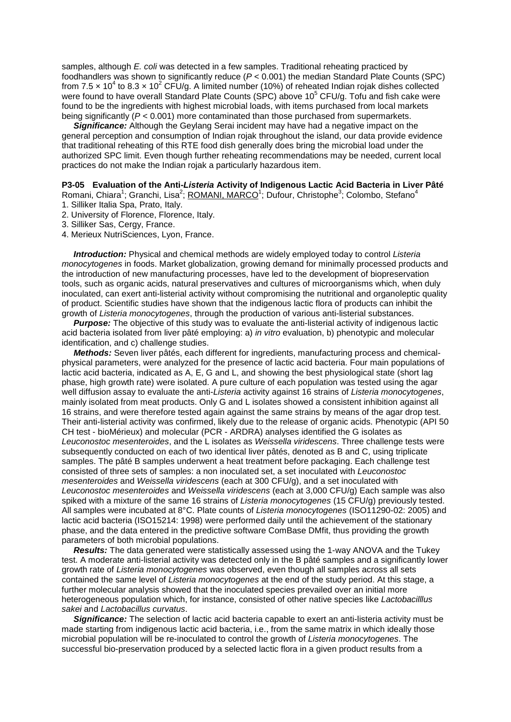samples, although *E. coli* was detected in a few samples. Traditional reheating practiced by foodhandlers was shown to significantly reduce (*P* < 0.001) the median Standard Plate Counts (SPC) from 7.5 x 10<sup>4</sup> to 8.3 x 10<sup>2</sup> CFU/g. A limited number (10%) of reheated Indian rojak dishes collected were found to have overall Standard Plate Counts (SPC) above  $10^5$  CFU/g. Tofu and fish cake were found to be the ingredients with highest microbial loads, with items purchased from local markets being significantly (*P* < 0.001) more contaminated than those purchased from supermarkets.

**Significance:** Although the Geylang Serai incident may have had a negative impact on the general perception and consumption of Indian rojak throughout the island, our data provide evidence that traditional reheating of this RTE food dish generally does bring the microbial load under the authorized SPC limit. Even though further reheating recommendations may be needed, current local practices do not make the Indian rojak a particularly hazardous item.

## **P3-05 Evaluation of the Anti-***Listeria* **Activity of Indigenous Lactic Acid Bacteria in Liver Pâté**

Romani, Chiara<sup>1</sup>; Granchi, Lisa<sup>2</sup>; <u>ROMANI, MARCO</u><sup>1</sup>; Dufour, Christophe<sup>3</sup>; Colombo, Stefano<sup>4</sup> 1. Silliker Italia Spa, Prato, Italy.

- 2. University of Florence, Florence, Italy.
- 3. Silliker Sas, Cergy, France.
- 4. Merieux NutriSciences, Lyon, France.

 *Introduction:* Physical and chemical methods are widely employed today to control *Listeria monocytogenes* in foods. Market globalization, growing demand for minimally processed products and the introduction of new manufacturing processes, have led to the development of biopreservation tools, such as organic acids, natural preservatives and cultures of microorganisms which, when duly inoculated, can exert anti-listerial activity without compromising the nutritional and organoleptic quality of product. Scientific studies have shown that the indigenous lactic flora of products can inhibit the growth of *Listeria monocytogenes*, through the production of various anti-listerial substances.

**Purpose:** The objective of this study was to evaluate the anti-listerial activity of indigenous lactic acid bacteria isolated from liver pâté employing: a) *in vitro* evaluation, b) phenotypic and molecular identification, and c) challenge studies.

 *Methods:* Seven liver pâtés, each different for ingredients, manufacturing process and chemicalphysical parameters, were analyzed for the presence of lactic acid bacteria. Four main populations of lactic acid bacteria, indicated as A, E, G and L, and showing the best physiological state (short lag phase, high growth rate) were isolated. A pure culture of each population was tested using the agar well diffusion assay to evaluate the anti-*Listeria* activity against 16 strains of *Listeria monocytogenes*, mainly isolated from meat products. Only G and L isolates showed a consistent inhibition against all 16 strains, and were therefore tested again against the same strains by means of the agar drop test. Their anti-listerial activity was confirmed, likely due to the release of organic acids. Phenotypic (API 50 CH test - bioMérieux) and molecular (PCR - ARDRA) analyses identified the G isolates as *Leuconostoc mesenteroides*, and the L isolates as *Weissella viridescens*. Three challenge tests were subsequently conducted on each of two identical liver pâtés, denoted as B and C, using triplicate samples. The pâté B samples underwent a heat treatment before packaging. Each challenge test consisted of three sets of samples: a non inoculated set, a set inoculated with *Leuconostoc mesenteroides* and *Weissella viridescens* (each at 300 CFU/g), and a set inoculated with *Leuconostoc mesenteroides* and *Weissella viridescens* (each at 3,000 CFU/g) Each sample was also spiked with a mixture of the same 16 strains of *Listeria monocytogenes* (15 CFU/g) previously tested. All samples were incubated at 8°C. Plate counts of *Listeria monocytogenes* (ISO11290-02: 2005) and lactic acid bacteria (ISO15214: 1998) were performed daily until the achievement of the stationary phase, and the data entered in the predictive software ComBase DMfit, thus providing the growth parameters of both microbial populations.

 *Results:* The data generated were statistically assessed using the 1-way ANOVA and the Tukey test. A moderate anti-listerial activity was detected only in the B pâté samples and a significantly lower growth rate of *Listeria monocytogenes* was observed, even though all samples across all sets contained the same level of *Listeria monocytogenes* at the end of the study period. At this stage, a further molecular analysis showed that the inoculated species prevailed over an initial more heterogeneous population which, for instance, consisted of other native species like *Lactobacilllus sakei* and *Lactobacillus curvatus*.

 *Significance:* The selection of lactic acid bacteria capable to exert an anti-listeria activity must be made starting from indigenous lactic acid bacteria, i.e., from the same matrix in which ideally those microbial population will be re-inoculated to control the growth of *Listeria monocytogenes*. The successful bio-preservation produced by a selected lactic flora in a given product results from a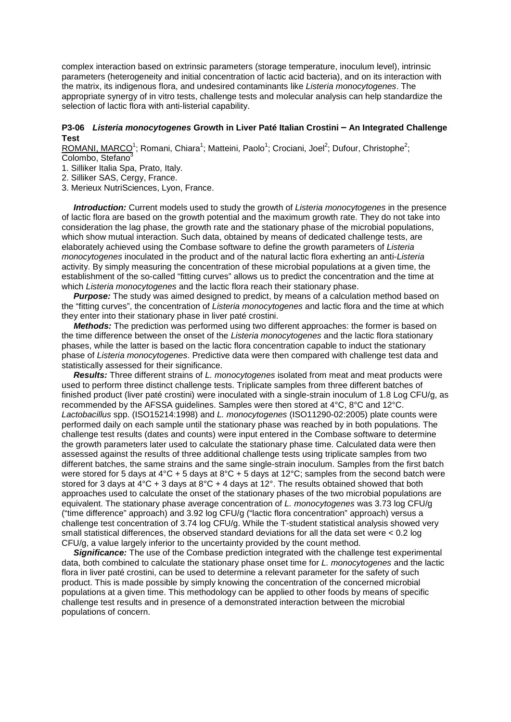complex interaction based on extrinsic parameters (storage temperature, inoculum level), intrinsic parameters (heterogeneity and initial concentration of lactic acid bacteria), and on its interaction with the matrix, its indigenous flora, and undesired contaminants like *Listeria monocytogenes*. The appropriate synergy of in vitro tests, challenge tests and molecular analysis can help standardize the selection of lactic flora with anti-listerial capability.

#### **P3-06** *Listeria monocytogenes* Growth in Liver Paté Italian Crostini – An Integrated Challenge **Test**

ROMANI, MARCO<sup>1</sup>; Romani, Chiara<sup>1</sup>; Matteini, Paolo<sup>1</sup>; Crociani, Joel<sup>2</sup>; Dufour, Christophe<sup>2</sup>; Colombo, Stefano3

1. Silliker Italia Spa, Prato, Italy.

2. Silliker SAS, Cergy, France.

3. Merieux NutriSciences, Lyon, France.

 *Introduction:* Current models used to study the growth of *Listeria monocytogenes* in the presence of lactic flora are based on the growth potential and the maximum growth rate. They do not take into consideration the lag phase, the growth rate and the stationary phase of the microbial populations, which show mutual interaction. Such data, obtained by means of dedicated challenge tests, are elaborately achieved using the Combase software to define the growth parameters of *Listeria monocytogenes* inoculated in the product and of the natural lactic flora exherting an anti-*Listeria* activity. By simply measuring the concentration of these microbial populations at a given time, the establishment of the so-called "fitting curves" allows us to predict the concentration and the time at which *Listeria monocytogenes* and the lactic flora reach their stationary phase.

*Purpose:* The study was aimed designed to predict, by means of a calculation method based on the "fitting curves", the concentration of *Listeria monocytogenes* and lactic flora and the time at which they enter into their stationary phase in liver paté crostini.

 *Methods:* The prediction was performed using two different approaches: the former is based on the time difference between the onset of the *Listeria monocytogenes* and the lactic flora stationary phases, while the latter is based on the lactic flora concentration capable to induct the stationary phase of *Listeria monocytogenes*. Predictive data were then compared with challenge test data and statistically assessed for their significance.

 *Results:* Three different strains of *L. monocytogenes* isolated from meat and meat products were used to perform three distinct challenge tests. Triplicate samples from three different batches of finished product (liver paté crostini) were inoculated with a single-strain inoculum of 1.8 Log CFU/g, as recommended by the AFSSA guidelines. Samples were then stored at 4°C, 8°C and 12°C. *Lactobacillus* spp. (ISO15214:1998) and *L. monocytogenes* (ISO11290-02:2005) plate counts were performed daily on each sample until the stationary phase was reached by in both populations. The challenge test results (dates and counts) were input entered in the Combase software to determine the growth parameters later used to calculate the stationary phase time. Calculated data were then assessed against the results of three additional challenge tests using triplicate samples from two different batches, the same strains and the same single-strain inoculum. Samples from the first batch were stored for 5 days at  $4^{\circ}$ C + 5 days at  $8^{\circ}$ C + 5 days at 12 $^{\circ}$ C; samples from the second batch were stored for 3 days at  $4^{\circ}$ C + 3 days at  $8^{\circ}$ C + 4 days at 12°. The results obtained showed that both approaches used to calculate the onset of the stationary phases of the two microbial populations are equivalent. The stationary phase average concentration of *L. monocytogenes* was 3.73 log CFU/g ("time difference" approach) and 3.92 log CFU/g ("lactic flora concentration" approach) versus a challenge test concentration of 3.74 log CFU/g. While the T-student statistical analysis showed very small statistical differences, the observed standard deviations for all the data set were < 0.2 log CFU/g, a value largely inferior to the uncertainty provided by the count method.

**Significance:** The use of the Combase prediction integrated with the challenge test experimental data, both combined to calculate the stationary phase onset time for *L. monocytogenes* and the lactic flora in liver paté crostini, can be used to determine a relevant parameter for the safety of such product. This is made possible by simply knowing the concentration of the concerned microbial populations at a given time. This methodology can be applied to other foods by means of specific challenge test results and in presence of a demonstrated interaction between the microbial populations of concern.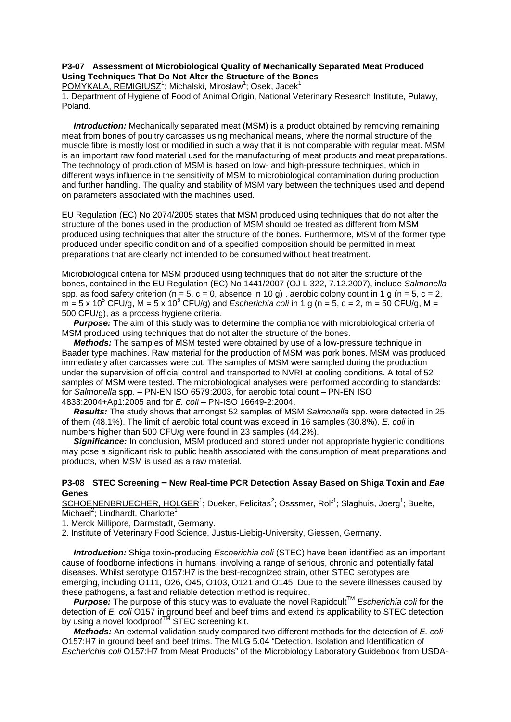## **P3-07 Assessment of Microbiological Quality of Mechanically Separated Meat Produced Using Techniques That Do Not Alter the Structure of the Bones**

POMYKALA, REMIGIUSZ<sup>1</sup>; Michalski, Miroslaw<sup>1</sup>; Osek, Jacek<sup>1</sup>

1. Department of Hygiene of Food of Animal Origin, National Veterinary Research Institute, Pulawy, Poland.

**Introduction:** Mechanically separated meat (MSM) is a product obtained by removing remaining meat from bones of poultry carcasses using mechanical means, where the normal structure of the muscle fibre is mostly lost or modified in such a way that it is not comparable with regular meat. MSM is an important raw food material used for the manufacturing of meat products and meat preparations. The technology of production of MSM is based on low- and high-pressure techniques, which in different ways influence in the sensitivity of MSM to microbiological contamination during production and further handling. The quality and stability of MSM vary between the techniques used and depend on parameters associated with the machines used.

EU Regulation (EC) No 2074/2005 states that MSM produced using techniques that do not alter the structure of the bones used in the production of MSM should be treated as different from MSM produced using techniques that alter the structure of the bones. Furthermore, MSM of the former type produced under specific condition and of a specified composition should be permitted in meat preparations that are clearly not intended to be consumed without heat treatment.

Microbiological criteria for MSM produced using techniques that do not alter the structure of the bones, contained in the EU Regulation (EC) No 1441/2007 (OJ L 322, 7.12.2007), include *Salmonella* spp. as food safety criterion ( $n = 5$ ,  $c = 0$ , absence in 10 g), aerobic colony count in 1 g ( $n = 5$ ,  $c = 2$ ,  $m = 5 \times 10^5$  CFU/g, M = 5 x 10<sup>6</sup> CFU/g) and *Escherichia coli* in 1 g (n = 5, c = 2, m = 50 CFU/g, M = 500 CFU/g), as a process hygiene criteria.

 *Purpose:* The aim of this study was to determine the compliance with microbiological criteria of MSM produced using techniques that do not alter the structure of the bones.

 *Methods:* The samples of MSM tested were obtained by use of a low-pressure technique in Baader type machines. Raw material for the production of MSM was pork bones. MSM was produced immediately after carcasses were cut. The samples of MSM were sampled during the production under the supervision of official control and transported to NVRI at cooling conditions. A total of 52 samples of MSM were tested. The microbiological analyses were performed according to standards: for *Salmonella* spp. – PN-EN ISO 6579:2003, for aerobic total count – PN-EN ISO 4833:2004+Ap1:2005 and for *E. coli* – PN-ISO 16649-2:2004.

 *Results:* The study shows that amongst 52 samples of MSM *Salmonella* spp. were detected in 25 of them (48.1%). The limit of aerobic total count was exceed in 16 samples (30.8%). *E. coli* in numbers higher than 500 CFU/g were found in 23 samples (44.2%).

**Significance:** In conclusion, MSM produced and stored under not appropriate hygienic conditions may pose a significant risk to public health associated with the consumption of meat preparations and products, when MSM is used as a raw material.

#### **P3-08 STEC Screening – New Real-time PCR Detection Assay Based on Shiga Toxin and** *Eae* **Genes**

SCHOENENBRUECHER, HOLGER<sup>1</sup>; Dueker, Felicitas<sup>2</sup>; Osssmer, Rolf<sup>1</sup>; Slaghuis, Joerg<sup>1</sup>; Buelte,  $\overline{\text{Michael}}^2$ ; Lindhardt, Charlotte<sup>1</sup>

1. Merck Millipore, Darmstadt, Germany.

2. Institute of Veterinary Food Science, Justus-Liebig-University, Giessen, Germany.

 *Introduction:* Shiga toxin-producing *Escherichia coli* (STEC) have been identified as an important cause of foodborne infections in humans, involving a range of serious, chronic and potentially fatal diseases. Whilst serotype O157:H7 is the best-recognized strain, other STEC serotypes are emerging, including O111, O26, O45, O103, O121 and O145. Due to the severe illnesses caused by these pathogens, a fast and reliable detection method is required.

**Purpose:** The purpose of this study was to evaluate the novel Rapidcult<sup>TM</sup> *Escherichia coli* for the detection of *E. coli* O157 in ground beef and beef trims and extend its applicability to STEC detection by using a novel foodproof<sup>TM</sup> STEC screening kit.

 *Methods:* An external validation study compared two different methods for the detection of *E. coli* O157:H7 in ground beef and beef trims. The MLG 5.04 "Detection, Isolation and Identification of *Escherichia coli* O157:H7 from Meat Products" of the Microbiology Laboratory Guidebook from USDA-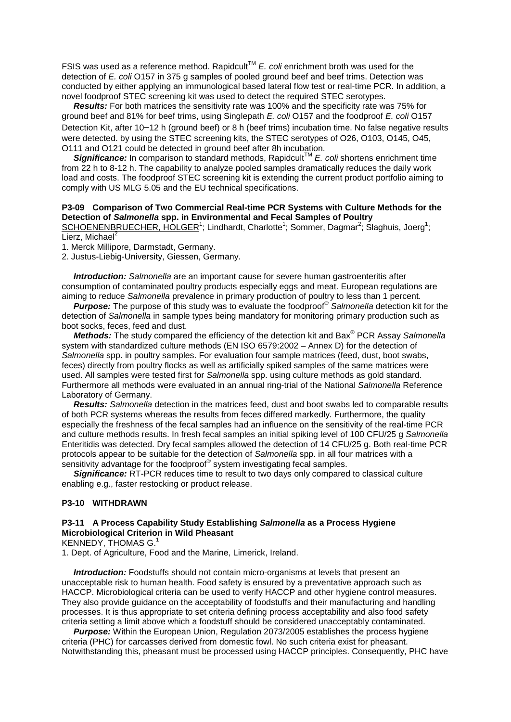FSIS was used as a reference method. Rapidcult<sup>TM</sup> *E. coli* enrichment broth was used for the detection of *E. coli* O157 in 375 g samples of pooled ground beef and beef trims. Detection was conducted by either applying an immunological based lateral flow test or real-time PCR. In addition, a novel foodproof STEC screening kit was used to detect the required STEC serotypes.

 *Results:* For both matrices the sensitivity rate was 100% and the specificity rate was 75% for ground beef and 81% for beef trims, using Singlepath *E. coli* O157 and the foodproof *E. coli* O157 Detection Kit, after 10–12 h (ground beef) or 8 h (beef trims) incubation time. No false negative results were detected. by using the STEC screening kits, the STEC serotypes of O26, O103, O145, O45, O111 and O121 could be detected in ground beef after 8h incubation.

**Significance:** In comparison to standard methods, Rapidcult™ *E. coli* shortens enrichment time from 22 h to 8-12 h. The capability to analyze pooled samples dramatically reduces the daily work load and costs. The foodproof STEC screening kit is extending the current product portfolio aiming to comply with US MLG 5.05 and the EU technical specifications.

#### **P3-09 Comparison of Two Commercial Real-time PCR Systems with Culture Methods for the Detection of** *Salmonella* **spp. in Environmental and Fecal Samples of Poultry**

SCHOENENBRUECHER, HOLGER<sup>1</sup>; Lindhardt, Charlotte<sup>1</sup>; Sommer, Dagmar<sup>2</sup>; Slaghuis, Joerg<sup>1</sup>; Lierz, Michael<sup>2</sup>

1. Merck Millipore, Darmstadt, Germany.

2. Justus-Liebig-University, Giessen, Germany.

 *Introduction: Salmonella* are an important cause for severe human gastroenteritis after consumption of contaminated poultry products especially eggs and meat. European regulations are aiming to reduce *Salmonella* prevalence in primary production of poultry to less than 1 percent.

 *Purpose:* The purpose of this study was to evaluate the foodproof® *Salmonella* detection kit for the detection of *Salmonella* in sample types being mandatory for monitoring primary production such as boot socks, feces, feed and dust.

 *Methods:* The study compared the efficiency of the detection kit and Bax® PCR Assay *Salmonella* system with standardized culture methods (EN ISO 6579:2002 – Annex D) for the detection of *Salmonella* spp. in poultry samples. For evaluation four sample matrices (feed, dust, boot swabs, feces) directly from poultry flocks as well as artificially spiked samples of the same matrices were used. All samples were tested first for *Salmonella* spp. using culture methods as gold standard. Furthermore all methods were evaluated in an annual ring-trial of the National *Salmonella* Reference Laboratory of Germany.

 *Results: Salmonella* detection in the matrices feed, dust and boot swabs led to comparable results of both PCR systems whereas the results from feces differed markedly. Furthermore, the quality especially the freshness of the fecal samples had an influence on the sensitivity of the real-time PCR and culture methods results. In fresh fecal samples an initial spiking level of 100 CFU/25 g *Salmonella* Enteritidis was detected. Dry fecal samples allowed the detection of 14 CFU/25 g. Both real-time PCR protocols appear to be suitable for the detection of *Salmonella* spp. in all four matrices with a sensitivity advantage for the foodproof<sup>®</sup> system investigating fecal samples.

**Significance:** RT-PCR reduces time to result to two days only compared to classical culture enabling e.g., faster restocking or product release.

#### **P3-10 WITHDRAWN**

## **P3-11 A Process Capability Study Establishing** *Salmonella* **as a Process Hygiene Microbiological Criterion in Wild Pheasant**

KENNEDY, THOMAS G.

1. Dept. of Agriculture, Food and the Marine, Limerick, Ireland.

*Introduction:* Foodstuffs should not contain micro-organisms at levels that present an unacceptable risk to human health. Food safety is ensured by a preventative approach such as HACCP. Microbiological criteria can be used to verify HACCP and other hygiene control measures. They also provide guidance on the acceptability of foodstuffs and their manufacturing and handling processes. It is thus appropriate to set criteria defining process acceptability and also food safety criteria setting a limit above which a foodstuff should be considered unacceptably contaminated.

 *Purpose:* Within the European Union, Regulation 2073/2005 establishes the process hygiene criteria (PHC) for carcasses derived from domestic fowl. No such criteria exist for pheasant. Notwithstanding this, pheasant must be processed using HACCP principles. Consequently, PHC have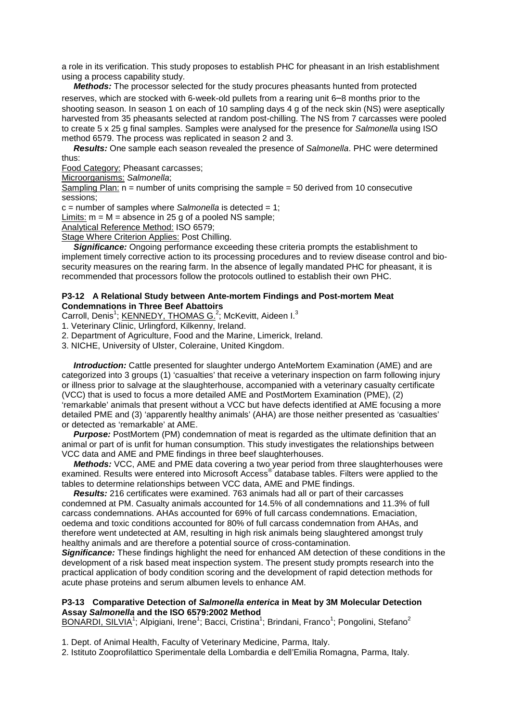a role in its verification. This study proposes to establish PHC for pheasant in an Irish establishment using a process capability study.

 *Methods:* The processor selected for the study procures pheasants hunted from protected reserves, which are stocked with 6-week-old pullets from a rearing unit 6–8 months prior to the shooting season. In season 1 on each of 10 sampling days 4 g of the neck skin (NS) were aseptically harvested from 35 pheasants selected at random post-chilling. The NS from 7 carcasses were pooled to create 5 x 25 g final samples. Samples were analysed for the presence for *Salmonella* using ISO method 6579. The process was replicated in season 2 and 3.

 *Results:* One sample each season revealed the presence of *Salmonella*. PHC were determined thus:

Food Category: Pheasant carcasses;

Microorganisms: *Salmonella*;

Sampling Plan:  $n =$  number of units comprising the sample  $= 50$  derived from 10 consecutive sessions;

c = number of samples where *Salmonella* is detected = 1;

 $Limits: m = M = absence$  in 25 g of a pooled NS sample;

Analytical Reference Method: ISO 6579;

Stage Where Criterion Applies: Post Chilling.

 *Significance:* Ongoing performance exceeding these criteria prompts the establishment to implement timely corrective action to its processing procedures and to review disease control and biosecurity measures on the rearing farm. In the absence of legally mandated PHC for pheasant, it is recommended that processors follow the protocols outlined to establish their own PHC.

#### **P3-12 A Relational Study between Ante-mortem Findings and Post-mortem Meat Condemnations in Three Beef Abattoirs**

Carroll, Denis<sup>1</sup>; KENNEDY, THOMAS G.<sup>2</sup>; McKevitt, Aideen I.<sup>3</sup>

1. Veterinary Clinic, Urlingford, Kilkenny, Ireland.

2. Department of Agriculture, Food and the Marine, Limerick, Ireland.

3. NICHE, University of Ulster, Coleraine, United Kingdom.

 *Introduction:* Cattle presented for slaughter undergo AnteMortem Examination (AME) and are categorized into 3 groups (1) 'casualties' that receive a veterinary inspection on farm following injury or illness prior to salvage at the slaughterhouse, accompanied with a veterinary casualty certificate (VCC) that is used to focus a more detailed AME and PostMortem Examination (PME), (2) 'remarkable' animals that present without a VCC but have defects identified at AME focusing a more detailed PME and (3) 'apparently healthy animals' (AHA) are those neither presented as 'casualties' or detected as 'remarkable' at AME.

**Purpose:** PostMortem (PM) condemnation of meat is regarded as the ultimate definition that an animal or part of is unfit for human consumption. This study investigates the relationships between VCC data and AME and PME findings in three beef slaughterhouses.

 *Methods:* VCC, AME and PME data covering a two year period from three slaughterhouses were examined. Results were entered into Microsoft Access<sup>®</sup> database tables. Filters were applied to the tables to determine relationships between VCC data, AME and PME findings.

 *Results:* 216 certificates were examined. 763 animals had all or part of their carcasses condemned at PM. Casualty animals accounted for 14.5% of all condemnations and 11.3% of full carcass condemnations. AHAs accounted for 69% of full carcass condemnations. Emaciation, oedema and toxic conditions accounted for 80% of full carcass condemnation from AHAs, and therefore went undetected at AM, resulting in high risk animals being slaughtered amongst truly healthy animals and are therefore a potential source of cross-contamination.

*Significance:* These findings highlight the need for enhanced AM detection of these conditions in the development of a risk based meat inspection system. The present study prompts research into the practical application of body condition scoring and the development of rapid detection methods for acute phase proteins and serum albumen levels to enhance AM.

#### **P3-13 Comparative Detection of** *Salmonella enterica* **in Meat by 3M Molecular Detection Assay** *Salmonella* **and the ISO 6579:2002 Method**

BONARDI, SILVIA<sup>1</sup>; Alpigiani, Irene<sup>1</sup>; Bacci, Cristina<sup>1</sup>; Brindani, Franco<sup>1</sup>; Pongolini, Stefano<sup>2</sup>

1. Dept. of Animal Health, Faculty of Veterinary Medicine, Parma, Italy.

2. Istituto Zooprofilattico Sperimentale della Lombardia e dell'Emilia Romagna, Parma, Italy.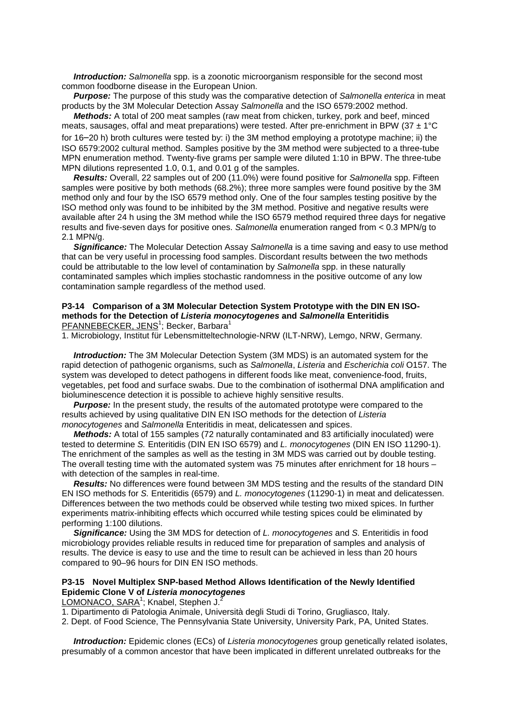*Introduction: Salmonella* spp. is a zoonotic microorganism responsible for the second most common foodborne disease in the European Union.

 *Purpose:* The purpose of this study was the comparative detection of *Salmonella enterica* in meat products by the 3M Molecular Detection Assay *Salmonella* and the ISO 6579:2002 method.

 *Methods:* A total of 200 meat samples (raw meat from chicken, turkey, pork and beef, minced meats, sausages, offal and meat preparations) were tested. After pre-enrichment in BPW (37  $\pm$  1°C for 16–20 h) broth cultures were tested by: i) the 3M method employing a prototype machine; ii) the ISO 6579:2002 cultural method. Samples positive by the 3M method were subjected to a three-tube MPN enumeration method. Twenty-five grams per sample were diluted 1:10 in BPW. The three-tube MPN dilutions represented 1.0, 0.1, and 0.01 g of the samples.

 *Results:* Overall, 22 samples out of 200 (11.0%) were found positive for *Salmonella* spp. Fifteen samples were positive by both methods (68.2%); three more samples were found positive by the 3M method only and four by the ISO 6579 method only. One of the four samples testing positive by the ISO method only was found to be inhibited by the 3M method. Positive and negative results were available after 24 h using the 3M method while the ISO 6579 method required three days for negative results and five-seven days for positive ones. *Salmonella* enumeration ranged from < 0.3 MPN/g to 2.1 MPN/g.

 *Significance:* The Molecular Detection Assay *Salmonella* is a time saving and easy to use method that can be very useful in processing food samples. Discordant results between the two methods could be attributable to the low level of contamination by *Salmonella* spp. in these naturally contaminated samples which implies stochastic randomness in the positive outcome of any low contamination sample regardless of the method used.

#### **P3-14 Comparison of a 3M Molecular Detection System Prototype with the DIN EN ISOmethods for the Detection of** *Listeria monocytogenes* **and** *Salmonella* **Enteritidis** PFANNEBECKER, JENS<sup>1</sup>; Becker, Barbara<sup>1</sup>

1. Microbiology, Institut für Lebensmitteltechnologie-NRW (ILT-NRW), Lemgo, NRW, Germany.

 *Introduction:* The 3M Molecular Detection System (3M MDS) is an automated system for the rapid detection of pathogenic organisms, such as *Salmonella*, *Listeria* and *Escherichia coli* O157. The system was developed to detect pathogens in different foods like meat, convenience-food, fruits, vegetables, pet food and surface swabs. Due to the combination of isothermal DNA amplification and bioluminescence detection it is possible to achieve highly sensitive results.

**Purpose:** In the present study, the results of the automated prototype were compared to the results achieved by using qualitative DIN EN ISO methods for the detection of *Listeria monocytogenes* and *Salmonella* Enteritidis in meat, delicatessen and spices.

 *Methods:* A total of 155 samples (72 naturally contaminated and 83 artificially inoculated) were tested to determine *S.* Enteritidis (DIN EN ISO 6579) and *L. monocytogenes* (DIN EN ISO 11290-1). The enrichment of the samples as well as the testing in 3M MDS was carried out by double testing. The overall testing time with the automated system was 75 minutes after enrichment for 18 hours – with detection of the samples in real-time.

 *Results:* No differences were found between 3M MDS testing and the results of the standard DIN EN ISO methods for *S.* Enteritidis (6579) and *L. monocytogenes* (11290-1) in meat and delicatessen. Differences between the two methods could be observed while testing two mixed spices. In further experiments matrix-inhibiting effects which occurred while testing spices could be eliminated by performing 1:100 dilutions.

 *Significance:* Using the 3M MDS for detection of *L. monocytogenes* and *S.* Enteritidis in food microbiology provides reliable results in reduced time for preparation of samples and analysis of results. The device is easy to use and the time to result can be achieved in less than 20 hours compared to 90–96 hours for DIN EN ISO methods.

#### **P3-15 Novel Multiplex SNP-based Method Allows Identification of the Newly Identified Epidemic Clone V of** *Listeria monocytogenes*

LOMONACO, SARA<sup>1</sup>; Knabel, Stephen J.<sup>2</sup>

1. Dipartimento di Patologia Animale, Università degli Studi di Torino, Grugliasco, Italy.

2. Dept. of Food Science, The Pennsylvania State University, University Park, PA, United States.

 *Introduction:* Epidemic clones (ECs) of *Listeria monocytogenes* group genetically related isolates, presumably of a common ancestor that have been implicated in different unrelated outbreaks for the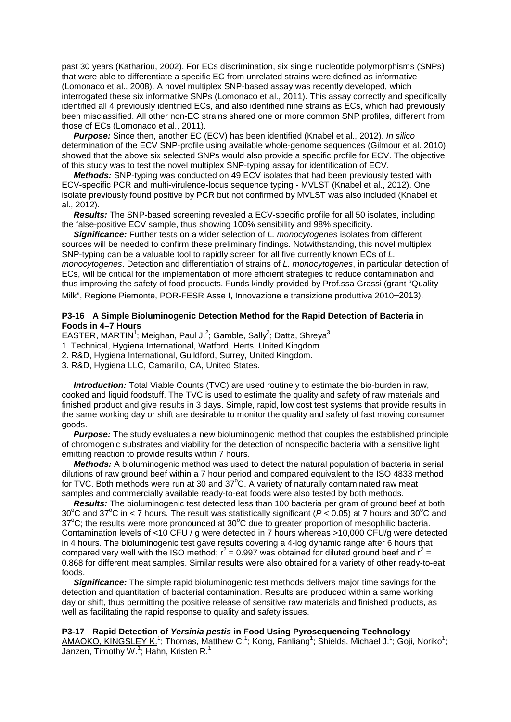past 30 years (Kathariou, 2002). For ECs discrimination, six single nucleotide polymorphisms (SNPs) that were able to differentiate a specific EC from unrelated strains were defined as informative (Lomonaco et al., 2008). A novel multiplex SNP-based assay was recently developed, which interrogated these six informative SNPs (Lomonaco et al., 2011). This assay correctly and specifically identified all 4 previously identified ECs, and also identified nine strains as ECs, which had previously been misclassified. All other non-EC strains shared one or more common SNP profiles, different from those of ECs (Lomonaco et al., 2011).

 *Purpose:* Since then, another EC (ECV) has been identified (Knabel et al., 2012). *In silico* determination of the ECV SNP-profile using available whole-genome sequences (Gilmour et al. 2010) showed that the above six selected SNPs would also provide a specific profile for ECV. The objective of this study was to test the novel multiplex SNP-typing assay for identification of ECV.

 *Methods:* SNP-typing was conducted on 49 ECV isolates that had been previously tested with ECV-specific PCR and multi-virulence-locus sequence typing - MVLST (Knabel et al., 2012). One isolate previously found positive by PCR but not confirmed by MVLST was also included (Knabel et al., 2012).

 *Results:* The SNP-based screening revealed a ECV-specific profile for all 50 isolates, including the false-positive ECV sample, thus showing 100% sensibility and 98% specificity.

 *Significance:* Further tests on a wider selection of *L. monocytogenes* isolates from different sources will be needed to confirm these preliminary findings. Notwithstanding, this novel multiplex SNP-typing can be a valuable tool to rapidly screen for all five currently known ECs of *L. monocytogenes*. Detection and differentiation of strains of *L. monocytogenes*, in particular detection of ECs, will be critical for the implementation of more efficient strategies to reduce contamination and thus improving the safety of food products. Funds kindly provided by Prof.ssa Grassi (grant "Quality Milk", Regione Piemonte, POR-FESR Asse I, Innovazione e transizione produttiva 2010–2013).

#### **P3-16 A Simple Bioluminogenic Detection Method for the Rapid Detection of Bacteria in Foods in 4–7 Hours**

EASTER, MARTIN<sup>1</sup>; Meighan, Paul J.<sup>2</sup>; Gamble, Sally<sup>2</sup>; Datta, Shreya<sup>3</sup>

1. Technical, Hygiena International, Watford, Herts, United Kingdom.

2. R&D, Hygiena International, Guildford, Surrey, United Kingdom.

3. R&D, Hygiena LLC, Camarillo, CA, United States.

 *Introduction:* Total Viable Counts (TVC) are used routinely to estimate the bio-burden in raw, cooked and liquid foodstuff. The TVC is used to estimate the quality and safety of raw materials and finished product and give results in 3 days. Simple, rapid, low cost test systems that provide results in the same working day or shift are desirable to monitor the quality and safety of fast moving consumer goods.

 *Purpose:* The study evaluates a new bioluminogenic method that couples the established principle of chromogenic substrates and viability for the detection of nonspecific bacteria with a sensitive light emitting reaction to provide results within 7 hours.

 *Methods:* A bioluminogenic method was used to detect the natural population of bacteria in serial dilutions of raw ground beef within a 7 hour period and compared equivalent to the ISO 4833 method for TVC. Both methods were run at 30 and  $37^{\circ}$ C. A variety of naturally contaminated raw meat samples and commercially available ready-to-eat foods were also tested by both methods.

*Results:* The bioluminogenic test detected less than 100 bacteria per gram of ground beef at both 30°C and 37°C in < 7 hours. The result was statistically significant ( $P < 0.05$ ) at 7 hours and 30°C and 37°C; the results were more pronounced at 30°C due to greater proportion of mesophilic bacteria. Contamination levels of <10 CFU / g were detected in 7 hours whereas >10,000 CFU/g were detected in 4 hours. The bioluminogenic test gave results covering a 4-log dynamic range after 6 hours that compared very well with the ISO method;  $r^2 = 0.997$  was obtained for diluted ground beef and  $r^2 =$ 0.868 for different meat samples. Similar results were also obtained for a variety of other ready-to-eat foods.

 *Significance:* The simple rapid bioluminogenic test methods delivers major time savings for the detection and quantitation of bacterial contamination. Results are produced within a same working day or shift, thus permitting the positive release of sensitive raw materials and finished products, as well as facilitating the rapid response to quality and safety issues.

#### **P3-17 Rapid Detection of** *Yersinia pestis* **in Food Using Pyrosequencing Technology**

AMAOKO, KINGSLEY K.<sup>1</sup>; Thomas, Matthew C.<sup>1</sup>; Kong, Fanliang<sup>1</sup>; Shields, Michael J.<sup>1</sup>; Goji, Noriko<sup>1</sup>; Janzen, Timothy W.<sup>1</sup>; Hahn, Kristen R.<sup>1</sup>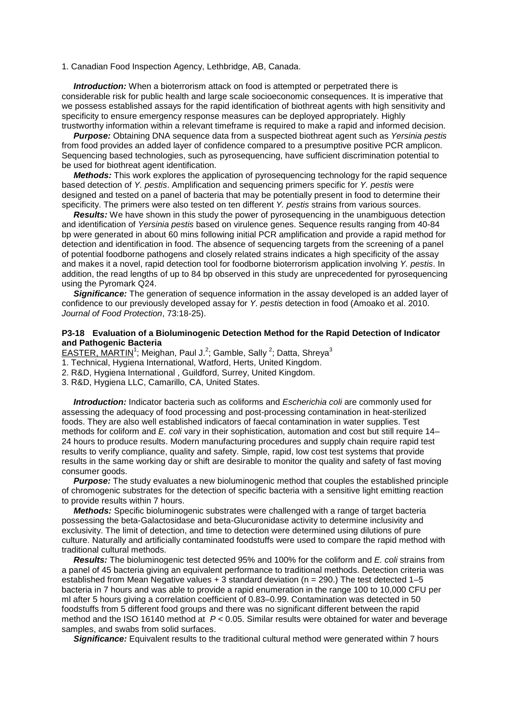#### 1. Canadian Food Inspection Agency, Lethbridge, AB, Canada.

*Introduction:* When a bioterrorism attack on food is attempted or perpetrated there is considerable risk for public health and large scale socioeconomic consequences. It is imperative that we possess established assays for the rapid identification of biothreat agents with high sensitivity and specificity to ensure emergency response measures can be deployed appropriately. Highly trustworthy information within a relevant timeframe is required to make a rapid and informed decision.

 *Purpose:* Obtaining DNA sequence data from a suspected biothreat agent such as *Yersinia pestis* from food provides an added layer of confidence compared to a presumptive positive PCR amplicon. Sequencing based technologies, such as pyrosequencing, have sufficient discrimination potential to be used for biothreat agent identification.

 *Methods:* This work explores the application of pyrosequencing technology for the rapid sequence based detection of *Y. pestis*. Amplification and sequencing primers specific for *Y. pestis* were designed and tested on a panel of bacteria that may be potentially present in food to determine their specificity. The primers were also tested on ten different *Y. pestis* strains from various sources.

*Results:* We have shown in this study the power of pyrosequencing in the unambiguous detection and identification of *Yersinia pestis* based on virulence genes. Sequence results ranging from 40-84 bp were generated in about 60 mins following initial PCR amplification and provide a rapid method for detection and identification in food. The absence of sequencing targets from the screening of a panel of potential foodborne pathogens and closely related strains indicates a high specificity of the assay and makes it a novel, rapid detection tool for foodborne bioterrorism application involving *Y. pestis*. In addition, the read lengths of up to 84 bp observed in this study are unprecedented for pyrosequencing using the Pyromark Q24.

*Significance:* The generation of sequence information in the assay developed is an added layer of confidence to our previously developed assay for *Y. pestis* detection in food (Amoako et al. 2010. *Journal of Food Protection*, 73:18-25).

#### **P3-18 Evaluation of a Bioluminogenic Detection Method for the Rapid Detection of Indicator and Pathogenic Bacteria**

EASTER, MARTIN<sup>1</sup>; Meighan, Paul J.<sup>2</sup>; Gamble, Sally <sup>2</sup>; Datta, Shreya<sup>3</sup>

- 1. Technical, Hygiena International, Watford, Herts, United Kingdom.
- 2. R&D, Hygiena International , Guildford, Surrey, United Kingdom.
- 3. R&D, Hygiena LLC, Camarillo, CA, United States.

 *Introduction:* Indicator bacteria such as coliforms and *Escherichia coli* are commonly used for assessing the adequacy of food processing and post-processing contamination in heat-sterilized foods. They are also well established indicators of faecal contamination in water supplies. Test methods for coliform and *E. coli* vary in their sophistication, automation and cost but still require 14– 24 hours to produce results. Modern manufacturing procedures and supply chain require rapid test results to verify compliance, quality and safety. Simple, rapid, low cost test systems that provide results in the same working day or shift are desirable to monitor the quality and safety of fast moving consumer goods.

 *Purpose:* The study evaluates a new bioluminogenic method that couples the established principle of chromogenic substrates for the detection of specific bacteria with a sensitive light emitting reaction to provide results within 7 hours.

 *Methods:* Specific bioluminogenic substrates were challenged with a range of target bacteria possessing the beta-Galactosidase and beta-Glucuronidase activity to determine inclusivity and exclusivity. The limit of detection, and time to detection were determined using dilutions of pure culture. Naturally and artificially contaminated foodstuffs were used to compare the rapid method with traditional cultural methods.

 *Results:* The bioluminogenic test detected 95% and 100% for the coliform and *E. coli* strains from a panel of 45 bacteria giving an equivalent performance to traditional methods. Detection criteria was established from Mean Negative values  $+3$  standard deviation ( $n = 290$ .) The test detected 1–5 bacteria in 7 hours and was able to provide a rapid enumeration in the range 100 to 10,000 CFU per ml after 5 hours giving a correlation coefficient of 0.83–0.99. Contamination was detected in 50 foodstuffs from 5 different food groups and there was no significant different between the rapid method and the ISO 16140 method at *P* < 0.05. Similar results were obtained for water and beverage samples, and swabs from solid surfaces.

**Significance:** Equivalent results to the traditional cultural method were generated within 7 hours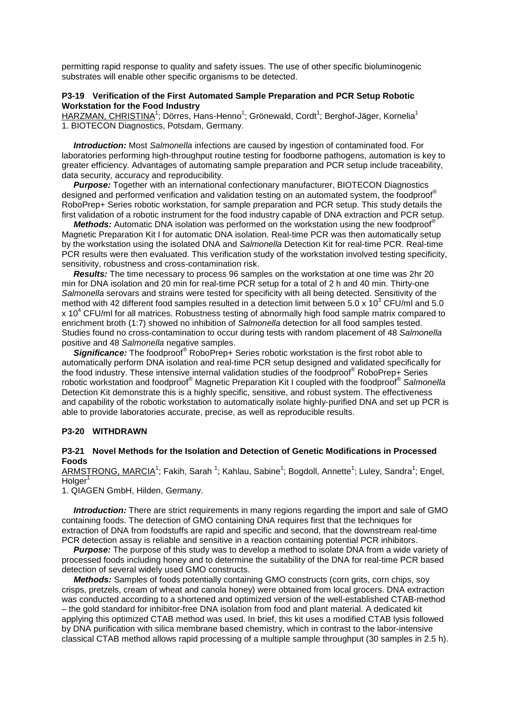permitting rapid response to quality and safety issues. The use of other specific bioluminogenic substrates will enable other specific organisms to be detected.

#### **P3-19 Verification of the First Automated Sample Preparation and PCR Setup Robotic Workstation for the Food Industry**

HARZMAN, CHRISTINA<sup>1</sup>; Dörres, Hans-Henno<sup>1</sup>; Grönewald, Cordt<sup>1</sup>; Berghof-Jäger, Kornelia<sup>1</sup> 1. BIOTECON Diagnostics, Potsdam, Germany.

 *Introduction:* Most *Salmonella* infections are caused by ingestion of contaminated food. For laboratories performing high-throughput routine testing for foodborne pathogens, automation is key to greater efficiency. Advantages of automating sample preparation and PCR setup include traceability, data security, accuracy and reproducibility.

*Purpose:* Together with an international confectionary manufacturer, BIOTECON Diagnostics designed and performed verification and validation testing on an automated system, the foodproof® RoboPrep+ Series robotic workstation, for sample preparation and PCR setup. This study details the first validation of a robotic instrument for the food industry capable of DNA extraction and PCR setup.

**Methods:** Automatic DNA isolation was performed on the workstation using the new foodproof<sup>®</sup> Magnetic Preparation Kit I for automatic DNA isolation. Real-time PCR was then automatically setup by the workstation using the isolated DNA and *Salmonella* Detection Kit for real-time PCR. Real-time PCR results were then evaluated. This verification study of the workstation involved testing specificity, sensitivity, robustness and cross-contamination risk.

 *Results:* The time necessary to process 96 samples on the workstation at one time was 2hr 20 min for DNA isolation and 20 min for real-time PCR setup for a total of 2 h and 40 min. Thirty-one *Salmonella* serovars and strains were tested for specificity with all being detected. Sensitivity of the method with 42 different food samples resulted in a detection limit between 5.0 x 10<sup>3</sup> CFU/ml and 5.0  $x$  10<sup>4</sup> CFU/ml for all matrices. Robustness testing of abnormally high food sample matrix compared to enrichment broth (1:7) showed no inhibition of *Salmonella* detection for all food samples tested. Studies found no cross-contamination to occur during tests with random placement of 48 *Salmonella* positive and 48 *Salmonella* negative samples.

**Significance:** The foodproof<sup>®</sup> RoboPrep+ Series robotic workstation is the first robot able to automatically perform DNA isolation and real-time PCR setup designed and validated specifically for the food industry. These intensive internal validation studies of the foodproof® RoboPrep+ Series robotic workstation and foodproof® Magnetic Preparation Kit I coupled with the foodproof® *Salmonella* Detection Kit demonstrate this is a highly specific, sensitive, and robust system. The effectiveness and capability of the robotic workstation to automatically isolate highly-purified DNA and set up PCR is able to provide laboratories accurate, precise, as well as reproducible results.

#### **P3-20 WITHDRAWN**

#### **P3-21 Novel Methods for the Isolation and Detection of Genetic Modifications in Processed Foods**

ARMSTRONG, MARCIA<sup>1</sup>; Fakih, Sarah <sup>1</sup>; Kahlau, Sabine<sup>1</sup>; Bogdoll, Annette<sup>1</sup>; Luley, Sandra<sup>1</sup>; Engel,  $Holger<sup>1</sup>$ 

1. QIAGEN GmbH, Hilden, Germany.

 *Introduction:* There are strict requirements in many regions regarding the import and sale of GMO containing foods. The detection of GMO containing DNA requires first that the techniques for extraction of DNA from foodstuffs are rapid and specific and second, that the downstream real-time PCR detection assay is reliable and sensitive in a reaction containing potential PCR inhibitors.

 *Purpose:* The purpose of this study was to develop a method to isolate DNA from a wide variety of processed foods including honey and to determine the suitability of the DNA for real-time PCR based detection of several widely used GMO constructs.

 *Methods:* Samples of foods potentially containing GMO constructs (corn grits, corn chips, soy crisps, pretzels, cream of wheat and canola honey) were obtained from local grocers. DNA extraction was conducted according to a shortened and optimized version of the well-established CTAB-method – the gold standard for inhibitor-free DNA isolation from food and plant material. A dedicated kit applying this optimized CTAB method was used. In brief, this kit uses a modified CTAB lysis followed by DNA purification with silica membrane based chemistry, which in contrast to the labor-intensive classical CTAB method allows rapid processing of a multiple sample throughput (30 samples in 2.5 h).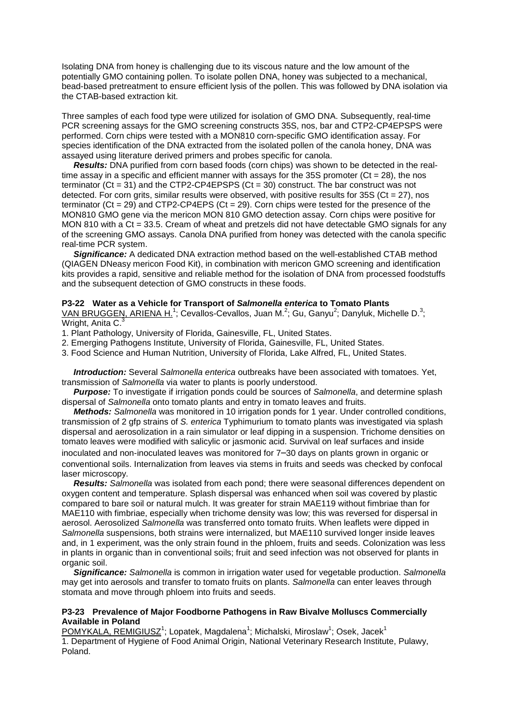Isolating DNA from honey is challenging due to its viscous nature and the low amount of the potentially GMO containing pollen. To isolate pollen DNA, honey was subjected to a mechanical, bead-based pretreatment to ensure efficient lysis of the pollen. This was followed by DNA isolation via the CTAB-based extraction kit.

Three samples of each food type were utilized for isolation of GMO DNA. Subsequently, real-time PCR screening assays for the GMO screening constructs 35S, nos, bar and CTP2-CP4EPSPS were performed. Corn chips were tested with a MON810 corn-specific GMO identification assay. For species identification of the DNA extracted from the isolated pollen of the canola honey, DNA was assayed using literature derived primers and probes specific for canola.

 *Results:* DNA purified from corn based foods (corn chips) was shown to be detected in the realtime assay in a specific and efficient manner with assays for the 35S promoter ( $Ct = 28$ ), the nos terminator (Ct = 31) and the CTP2-CP4EPSPS (Ct = 30) construct. The bar construct was not detected. For corn grits, similar results were observed, with positive results for  $35S$  (Ct = 27), nos terminator  $(Ct = 29)$  and CTP2-CP4EPS  $(Ct = 29)$ . Corn chips were tested for the presence of the MON810 GMO gene via the mericon MON 810 GMO detection assay. Corn chips were positive for MON 810 with a Ct =  $33.5$ . Cream of wheat and pretzels did not have detectable GMO signals for any of the screening GMO assays. Canola DNA purified from honey was detected with the canola specific real-time PCR system.

 *Significance:* A dedicated DNA extraction method based on the well-established CTAB method (QIAGEN DNeasy mericon Food Kit), in combination with mericon GMO screening and identification kits provides a rapid, sensitive and reliable method for the isolation of DNA from processed foodstuffs and the subsequent detection of GMO constructs in these foods.

#### **P3-22 Water as a Vehicle for Transport of** *Salmonella enterica* **to Tomato Plants**

VAN BRUGGEN, ARIENA H.<sup>1</sup>; Cevallos-Cevallos, Juan M.<sup>2</sup>; Gu, Ganyu<sup>2</sup>; Danyluk, Michelle D.<sup>3</sup>; Wright, Anita C.3

- 1. Plant Pathology, University of Florida, Gainesville, FL, United States.
- 2. Emerging Pathogens Institute, University of Florida, Gainesville, FL, United States.
- 3. Food Science and Human Nutrition, University of Florida, Lake Alfred, FL, United States.

 *Introduction:* Several *Salmonella enterica* outbreaks have been associated with tomatoes. Yet, transmission of *Salmonella* via water to plants is poorly understood.

 *Purpose:* To investigate if irrigation ponds could be sources of *Salmonella*, and determine splash dispersal of *Salmonella* onto tomato plants and entry in tomato leaves and fruits.

 *Methods: Salmonella* was monitored in 10 irrigation ponds for 1 year. Under controlled conditions, transmission of 2 gfp strains of *S. enterica* Typhimurium to tomato plants was investigated via splash dispersal and aerosolization in a rain simulator or leaf dipping in a suspension. Trichome densities on tomato leaves were modified with salicylic or jasmonic acid. Survival on leaf surfaces and inside

inoculated and non-inoculated leaves was monitored for 7–30 days on plants grown in organic or conventional soils. Internalization from leaves via stems in fruits and seeds was checked by confocal laser microscopy.

 *Results: Salmonella* was isolated from each pond; there were seasonal differences dependent on oxygen content and temperature. Splash dispersal was enhanced when soil was covered by plastic compared to bare soil or natural mulch. It was greater for strain MAE119 without fimbriae than for MAE110 with fimbriae, especially when trichome density was low; this was reversed for dispersal in aerosol. Aerosolized *Salmonella* was transferred onto tomato fruits. When leaflets were dipped in *Salmonella* suspensions, both strains were internalized, but MAE110 survived longer inside leaves and, in 1 experiment, was the only strain found in the phloem, fruits and seeds. Colonization was less in plants in organic than in conventional soils; fruit and seed infection was not observed for plants in organic soil.

 *Significance: Salmonella* is common in irrigation water used for vegetable production. *Salmonella* may get into aerosols and transfer to tomato fruits on plants. *Salmonella* can enter leaves through stomata and move through phloem into fruits and seeds.

#### **P3-23 Prevalence of Major Foodborne Pathogens in Raw Bivalve Molluscs Commercially Available in Poland**

<u>POMYKALA, REMIGIUSZ</u><sup>1</sup>; Lopatek, Magdalena<sup>1</sup>; Michalski, Miroslaw<sup>1</sup>; Osek, Jacek<sup>1</sup> 1. Department of Hygiene of Food Animal Origin, National Veterinary Research Institute, Pulawy, Poland.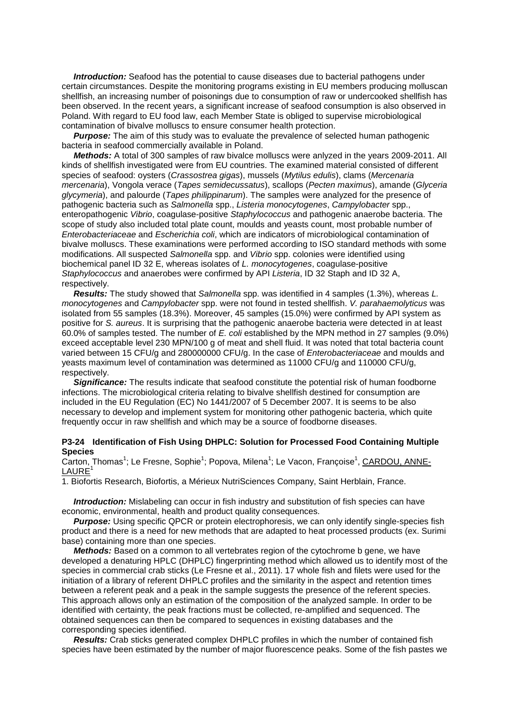*Introduction:* Seafood has the potential to cause diseases due to bacterial pathogens under certain circumstances. Despite the monitoring programs existing in EU members producing molluscan shellfish, an increasing number of poisonings due to consumption of raw or undercooked shellfish has been observed. In the recent years, a significant increase of seafood consumption is also observed in Poland. With regard to EU food law, each Member State is obliged to supervise microbiological contamination of bivalve molluscs to ensure consumer health protection.

**Purpose:** The aim of this study was to evaluate the prevalence of selected human pathogenic bacteria in seafood commercially available in Poland.

 *Methods:* A total of 300 samples of raw bivalce molluscs were anlyzed in the years 2009-2011. All kinds of shellfish investigated were from EU countries. The examined material consisted of different species of seafood: oysters (*Crassostrea gigas*), mussels (*Mytilus edulis*), clams (*Mercenaria mercenaria*), Vongola verace (*Tapes semidecussatus*), scallops (*Pecten maximus*), amande (*Glyceria glycymeria*), and palourde (*Tapes philippinarum*). The samples were analyzed for the presence of pathogenic bacteria such as *Salmonella* spp., *Listeria monocytogenes*, *Campylobacter* spp., enteropathogenic *Vibrio*, coagulase-positive *Staphylococcus* and pathogenic anaerobe bacteria. The scope of study also included total plate count, moulds and yeasts count, most probable number of *Enterobacteriaceae* and *Escherichia coli*, which are indicators of microbiological contamination of bivalve molluscs. These examinations were performed according to ISO standard methods with some modifications. All suspected *Salmonella* spp. and *Vibrio* spp. colonies were identified using biochemical panel ID 32 E, whereas isolates of *L. monocytogenes*, coagulase-positive *Staphylococcus* and anaerobes were confirmed by API *Listeria*, ID 32 Staph and ID 32 A, respectively.

 *Results:* The study showed that *Salmonella* spp. was identified in 4 samples (1.3%), whereas *L. monocytogenes* and *Campylobacter* spp. were not found in tested shellfish. *V. parahaemolyticus* was isolated from 55 samples (18.3%). Moreover, 45 samples (15.0%) were confirmed by API system as positive for *S. aureus*. It is surprising that the pathogenic anaerobe bacteria were detected in at least 60.0% of samples tested. The number of *E. coli* established by the MPN method in 27 samples (9.0%) exceed acceptable level 230 MPN/100 g of meat and shell fluid. It was noted that total bacteria count varied between 15 CFU/g and 280000000 CFU/g. In the case of *Enterobacteriaceae* and moulds and yeasts maximum level of contamination was determined as 11000 CFU/g and 110000 CFU/g, respectively.

 *Significance:* The results indicate that seafood constitute the potential risk of human foodborne infections. The microbiological criteria relating to bivalve shellfish destined for consumption are included in the EU Regulation (EC) No 1441/2007 of 5 December 2007. It is seems to be also necessary to develop and implement system for monitoring other pathogenic bacteria, which quite frequently occur in raw shellfish and which may be a source of foodborne diseases.

#### **P3-24 Identification of Fish Using DHPLC: Solution for Processed Food Containing Multiple Species**

Carton, Thomas<sup>1</sup>; Le Fresne, Sophie<sup>1</sup>; Popova, Milena<sup>1</sup>; Le Vacon, Françoise<sup>1</sup>, CARDOU, ANNE-**LAURE** 

1. Biofortis Research, Biofortis, a Mérieux NutriSciences Company, Saint Herblain, France.

**Introduction:** Mislabeling can occur in fish industry and substitution of fish species can have economic, environmental, health and product quality consequences.

**Purpose:** Using specific QPCR or protein electrophoresis, we can only identify single-species fish product and there is a need for new methods that are adapted to heat processed products (ex. Surimi base) containing more than one species.

*Methods:* Based on a common to all vertebrates region of the cytochrome b gene, we have developed a denaturing HPLC (DHPLC) fingerprinting method which allowed us to identify most of the species in commercial crab sticks (Le Fresne et al., 2011). 17 whole fish and filets were used for the initiation of a library of referent DHPLC profiles and the similarity in the aspect and retention times between a referent peak and a peak in the sample suggests the presence of the referent species. This approach allows only an estimation of the composition of the analyzed sample. In order to be identified with certainty, the peak fractions must be collected, re-amplified and sequenced. The obtained sequences can then be compared to sequences in existing databases and the corresponding species identified.

 *Results:* Crab sticks generated complex DHPLC profiles in which the number of contained fish species have been estimated by the number of major fluorescence peaks. Some of the fish pastes we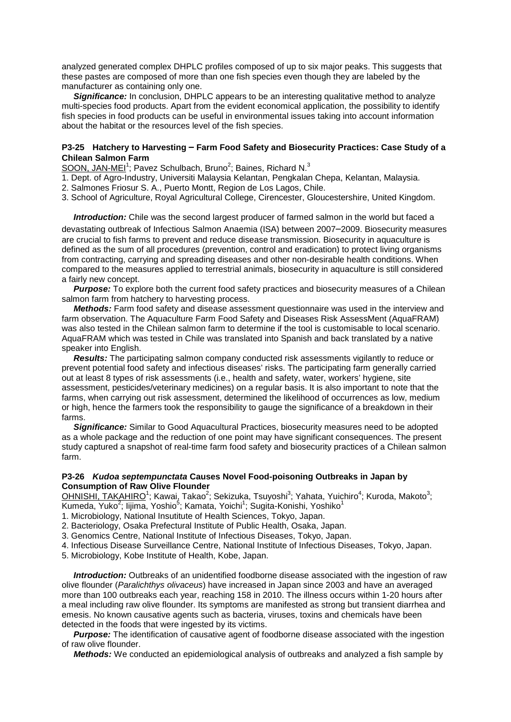analyzed generated complex DHPLC profiles composed of up to six major peaks. This suggests that these pastes are composed of more than one fish species even though they are labeled by the manufacturer as containing only one.

**Significance:** In conclusion, DHPLC appears to be an interesting qualitative method to analyze multi-species food products. Apart from the evident economical application, the possibility to identify fish species in food products can be useful in environmental issues taking into account information about the habitat or the resources level of the fish species.

## **P3-25 Hatchery to Harvesting – Farm Food Safety and Biosecurity Practices: Case Study of a Chilean Salmon Farm**

SOON, JAN-MEI<sup>1</sup>; Pavez Schulbach, Bruno<sup>2</sup>; Baines, Richard N.<sup>3</sup>

- 1. Dept. of Agro-Industry, Universiti Malaysia Kelantan, Pengkalan Chepa, Kelantan, Malaysia.
- 2. Salmones Friosur S. A., Puerto Montt, Region de Los Lagos, Chile.
- 3. School of Agriculture, Royal Agricultural College, Cirencester, Gloucestershire, United Kingdom.

 *Introduction:* Chile was the second largest producer of farmed salmon in the world but faced a devastating outbreak of Infectious Salmon Anaemia (ISA) between 2007–2009. Biosecurity measures are crucial to fish farms to prevent and reduce disease transmission. Biosecurity in aquaculture is defined as the sum of all procedures (prevention, control and eradication) to protect living organisms from contracting, carrying and spreading diseases and other non-desirable health conditions. When compared to the measures applied to terrestrial animals, biosecurity in aquaculture is still considered a fairly new concept.

 *Purpose:* To explore both the current food safety practices and biosecurity measures of a Chilean salmon farm from hatchery to harvesting process.

 *Methods:* Farm food safety and disease assessment questionnaire was used in the interview and farm observation. The Aquaculture Farm Food Safety and Diseases Risk AssessMent (AquaFRAM) was also tested in the Chilean salmon farm to determine if the tool is customisable to local scenario. AquaFRAM which was tested in Chile was translated into Spanish and back translated by a native speaker into English.

 *Results:* The participating salmon company conducted risk assessments vigilantly to reduce or prevent potential food safety and infectious diseases' risks. The participating farm generally carried out at least 8 types of risk assessments (i.e., health and safety, water, workers' hygiene, site assessment, pesticides/veterinary medicines) on a regular basis. It is also important to note that the farms, when carrying out risk assessment, determined the likelihood of occurrences as low, medium or high, hence the farmers took the responsibility to gauge the significance of a breakdown in their farms.

 *Significance:* Similar to Good Aquacultural Practices, biosecurity measures need to be adopted as a whole package and the reduction of one point may have significant consequences. The present study captured a snapshot of real-time farm food safety and biosecurity practices of a Chilean salmon farm.

#### **P3-26** *Kudoa septempunctata* **Causes Novel Food-poisoning Outbreaks in Japan by Consumption of Raw Olive Flounder**

OHNISHI, TAKAHIRO<sup>1</sup>; Kawai, Takao<sup>2</sup>; Sekizuka, Tsuyoshi<sup>3</sup>; Yahata, Yuichiro<sup>4</sup>; Kuroda, Makoto<sup>3</sup>; Kumeda, Yuko<sup>2</sup>; lijima, Yoshio<sup>5</sup>; Kamata, Yoichi<sup>1</sup>; Sugita-Konishi, Yoshiko<sup>1</sup>

- 1. Microbiology, National Insutitute of Health Sciences, Tokyo, Japan.
- 2. Bacteriology, Osaka Prefectural Institute of Public Health, Osaka, Japan.
- 3. Genomics Centre, National Institute of Infectious Diseases, Tokyo, Japan.
- 4. Infectious Disease Surveillance Centre, National Institute of Infectious Diseases, Tokyo, Japan.

5. Microbiology, Kobe Institute of Health, Kobe, Japan.

 *Introduction:* Outbreaks of an unidentified foodborne disease associated with the ingestion of raw olive flounder (*Paralichthys olivaceus*) have increased in Japan since 2003 and have an averaged more than 100 outbreaks each year, reaching 158 in 2010. The illness occurs within 1-20 hours after a meal including raw olive flounder. Its symptoms are manifested as strong but transient diarrhea and emesis. No known causative agents such as bacteria, viruses, toxins and chemicals have been detected in the foods that were ingested by its victims.

 *Purpose:* The identification of causative agent of foodborne disease associated with the ingestion of raw olive flounder.

 *Methods:* We conducted an epidemiological analysis of outbreaks and analyzed a fish sample by